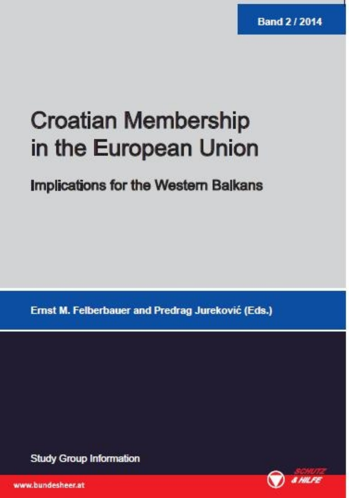# **Croatian Membership** in the European Union

Implications for the Western Balkans

Ernst M. Felberbauer and Predrag Jureković (Eds.)

**Study Group Information** 



www.bundesheer.at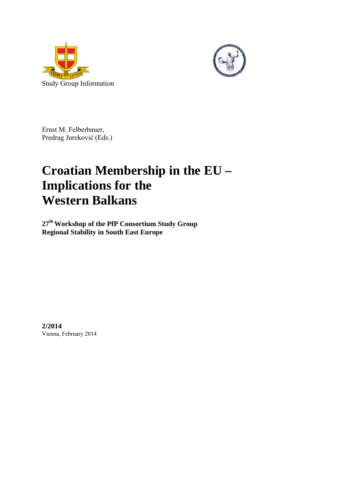



Ernst M. Felberbauer, Predrag Jureković (Eds.)

# **Croatian Membership in the EU – Implications for the Western Balkans**

**27th Workshop of the PfP Consortium Study Group Regional Stability in South East Europe** 

**2/2014**  Vienna, February 2014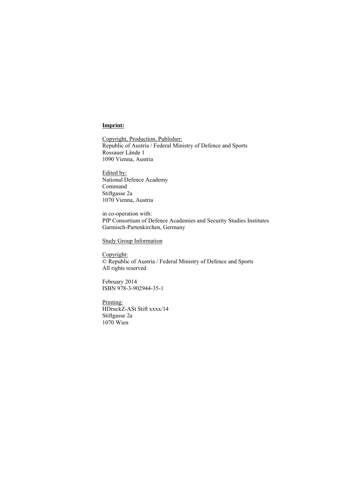#### **Imprint:**

Copyright, Production, Publisher: Republic of Austria / Federal Ministry of Defence and Sports Rossauer Lände 1 1090 Vienna, Austria

Edited by: National Defence Academy Command Stiftgasse 2a 1070 Vienna, Austria

in co-operation with: PfP Consortium of Defence Academies and Security Studies Institutes Garmisch-Partenkirchen, Germany

Study Group Information

Copyright: © Republic of Austria / Federal Ministry of Defence and Sports All rights reserved

February 2014 ISBN 978-3-902944-35-1

Printing: HDruckZ-ASt Stift xxxx/14 Stiftgasse 2a 1070 Wien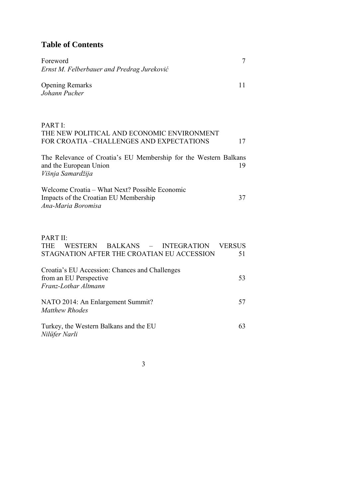## **Table of Contents**

| Foreword<br>Ernst M. Felberbauer and Predrag Jureković                                                                                                     | 7                   |
|------------------------------------------------------------------------------------------------------------------------------------------------------------|---------------------|
| <b>Opening Remarks</b><br>Johann Pucher                                                                                                                    | 11                  |
| PART I:<br>THE NEW POLITICAL AND ECONOMIC ENVIRONMENT<br>FOR CROATIA -CHALLENGES AND EXPECTATIONS                                                          | 17                  |
| The Relevance of Croatia's EU Membership for the Western Balkans<br>and the European Union<br>Višnja Samardžija                                            | 19                  |
| Welcome Croatia – What Next? Possible Economic<br>Impacts of the Croatian EU Membership<br>Ana-Maria Boromisa                                              | 37                  |
| PART II:<br><b>THE</b><br><b>WESTERN</b><br><b>BALKANS</b><br><b>INTEGRATION</b><br>$\overline{\phantom{0}}$<br>STAGNATION AFTER THE CROATIAN EU ACCESSION | <b>VERSUS</b><br>51 |
| Croatia's EU Accession: Chances and Challenges<br>from an EU Perspective<br>Franz-Lothar Altmann                                                           | 53                  |
| NATO 2014: An Enlargement Summit?<br><b>Matthew Rhodes</b>                                                                                                 | 57                  |
| Turkey, the Western Balkans and the EU<br>Nilüfer Narli                                                                                                    | 63                  |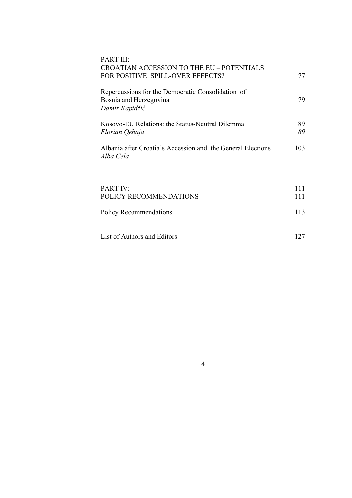| PART III:<br>CROATIAN ACCESSION TO THE EU - POTENTIALS<br>FOR POSITIVE SPILL-OVER EFFECTS?    | 77         |
|-----------------------------------------------------------------------------------------------|------------|
| Repercussions for the Democratic Consolidation of<br>Bosnia and Herzegovina<br>Damir Kapidžić | 79         |
| Kosovo-EU Relations: the Status-Neutral Dilemma<br>Florian Qehaja                             | 89<br>89   |
| Albania after Croatia's Accession and the General Elections<br>Alba Cela                      | 103        |
| <b>PART IV:</b><br>POLICY RECOMMENDATIONS                                                     | 111<br>111 |
| Policy Recommendations                                                                        | 113        |
| List of Authors and Editors                                                                   | 127        |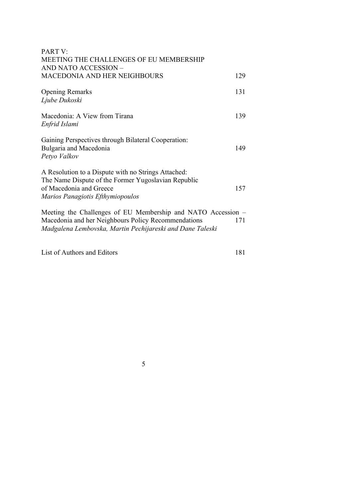| <b>PART V:</b><br>MEETING THE CHALLENGES OF EU MEMBERSHIP                      |     |
|--------------------------------------------------------------------------------|-----|
| AND NATO ACCESSION -<br><b>MACEDONIA AND HER NEIGHBOURS</b>                    | 129 |
|                                                                                |     |
| <b>Opening Remarks</b>                                                         | 131 |
| Ljube Dukoski                                                                  |     |
| Macedonia: A View from Tirana                                                  | 139 |
| Enfrid Islami                                                                  |     |
| Gaining Perspectives through Bilateral Cooperation:                            |     |
| Bulgaria and Macedonia                                                         | 149 |
| Petyo Valkov                                                                   |     |
| A Resolution to a Dispute with no Strings Attached:                            |     |
| The Name Dispute of the Former Yugoslavian Republic<br>of Macedonia and Greece | 157 |
| Marios Panagiotis Efthymiopoulos                                               |     |
| Meeting the Challenges of EU Membership and NATO Accession –                   |     |
| Macedonia and her Neighbours Policy Recommendations                            | 171 |
| Madgalena Lembovska, Martin Pechijareski and Dane Taleski                      |     |

List of Authors and Editors 181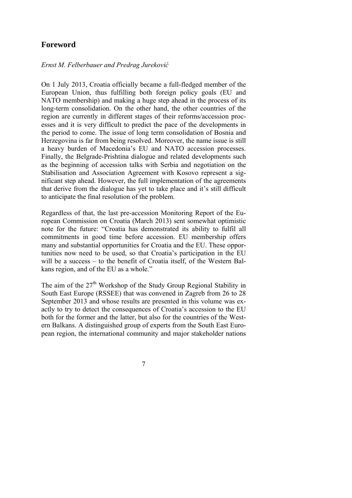### **Foreword**

#### *Ernst M. Felberbauer and Predrag Jureković*

On 1 July 2013, Croatia officially became a full-fledged member of the European Union, thus fulfilling both foreign policy goals (EU and NATO membership) and making a huge step ahead in the process of its long-term consolidation. On the other hand, the other countries of the region are currently in different stages of their reforms/accession processes and it is very difficult to predict the pace of the developments in the period to come. The issue of long term consolidation of Bosnia and Herzegovina is far from being resolved. Moreover, the name issue is still a heavy burden of Macedonia's EU and NATO accession processes. Finally, the Belgrade-Prishtina dialogue and related developments such as the beginning of accession talks with Serbia and negotiation on the Stabilisation and Association Agreement with Kosovo represent a significant step ahead. However, the full implementation of the agreements that derive from the dialogue has yet to take place and it's still difficult to anticipate the final resolution of the problem.

Regardless of that, the last pre-accession Monitoring Report of the European Commission on Croatia (March 2013) sent somewhat optimistic note for the future: "Croatia has demonstrated its ability to fulfil all commitments in good time before accession. EU membership offers many and substantial opportunities for Croatia and the EU. These opportunities now need to be used, so that Croatia's participation in the EU will be a success – to the benefit of Croatia itself, of the Western Balkans region, and of the EU as a whole."

The aim of the  $27<sup>th</sup>$  Workshop of the Study Group Regional Stability in South East Europe (RSSEE) that was convened in Zagreb from 26 to 28 September 2013 and whose results are presented in this volume was exactly to try to detect the consequences of Croatia's accession to the EU both for the former and the latter, but also for the countries of the Western Balkans. A distinguished group of experts from the South East European region, the international community and major stakeholder nations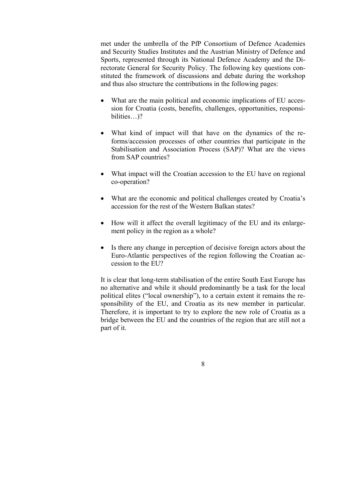met under the umbrella of the PfP Consortium of Defence Academies and Security Studies Institutes and the Austrian Ministry of Defence and Sports, represented through its National Defence Academy and the Directorate General for Security Policy. The following key questions constituted the framework of discussions and debate during the workshop and thus also structure the contributions in the following pages:

- What are the main political and economic implications of EU accession for Croatia (costs, benefits, challenges, opportunities, responsibilities...)?
- What kind of impact will that have on the dynamics of the reforms/accession processes of other countries that participate in the Stabilisation and Association Process (SAP)? What are the views from SAP countries?
- What impact will the Croatian accession to the EU have on regional co-operation?
- What are the economic and political challenges created by Croatia's accession for the rest of the Western Balkan states?
- How will it affect the overall legitimacy of the EU and its enlargement policy in the region as a whole?
- Is there any change in perception of decisive foreign actors about the Euro-Atlantic perspectives of the region following the Croatian accession to the EU?

It is clear that long-term stabilisation of the entire South East Europe has no alternative and while it should predominantly be a task for the local political elites ("local ownership"), to a certain extent it remains the responsibility of the EU, and Croatia as its new member in particular. Therefore, it is important to try to explore the new role of Croatia as a bridge between the EU and the countries of the region that are still not a part of it.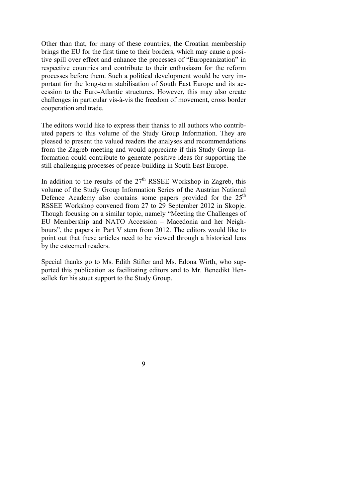Other than that, for many of these countries, the Croatian membership brings the EU for the first time to their borders, which may cause a positive spill over effect and enhance the processes of "Europeanization" in respective countries and contribute to their enthusiasm for the reform processes before them. Such a political development would be very important for the long-term stabilisation of South East Europe and its accession to the Euro-Atlantic structures. However, this may also create challenges in particular vis-à-vis the freedom of movement, cross border cooperation and trade.

The editors would like to express their thanks to all authors who contributed papers to this volume of the Study Group Information. They are pleased to present the valued readers the analyses and recommendations from the Zagreb meeting and would appreciate if this Study Group Information could contribute to generate positive ideas for supporting the still challenging processes of peace-building in South East Europe.

In addition to the results of the  $27<sup>th</sup>$  RSSEE Workshop in Zagreb, this volume of the Study Group Information Series of the Austrian National Defence Academy also contains some papers provided for the  $25<sup>th</sup>$ RSSEE Workshop convened from 27 to 29 September 2012 in Skopje. Though focusing on a similar topic, namely "Meeting the Challenges of EU Membership and NATO Accession – Macedonia and her Neighbours", the papers in Part V stem from 2012. The editors would like to point out that these articles need to be viewed through a historical lens by the esteemed readers.

Special thanks go to Ms. Edith Stifter and Ms. Edona Wirth, who supported this publication as facilitating editors and to Mr. Benedikt Hensellek for his stout support to the Study Group.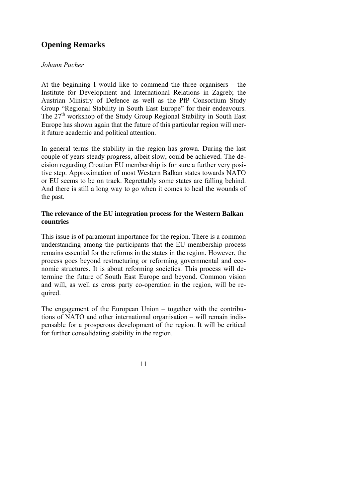### **Opening Remarks**

#### *Johann Pucher*

At the beginning I would like to commend the three organisers – the Institute for Development and International Relations in Zagreb; the Austrian Ministry of Defence as well as the PfP Consortium Study Group "Regional Stability in South East Europe" for their endeavours. The  $27<sup>th</sup>$  workshop of the Study Group Regional Stability in South East Europe has shown again that the future of this particular region will merit future academic and political attention.

In general terms the stability in the region has grown. During the last couple of years steady progress, albeit slow, could be achieved. The decision regarding Croatian EU membership is for sure a further very positive step. Approximation of most Western Balkan states towards NATO or EU seems to be on track. Regrettably some states are falling behind. And there is still a long way to go when it comes to heal the wounds of the past.

#### **The relevance of the EU integration process for the Western Balkan countries**

This issue is of paramount importance for the region. There is a common understanding among the participants that the EU membership process remains essential for the reforms in the states in the region. However, the process goes beyond restructuring or reforming governmental and economic structures. It is about reforming societies. This process will determine the future of South East Europe and beyond. Common vision and will, as well as cross party co-operation in the region, will be required.

The engagement of the European Union – together with the contributions of NATO and other international organisation – will remain indispensable for a prosperous development of the region. It will be critical for further consolidating stability in the region.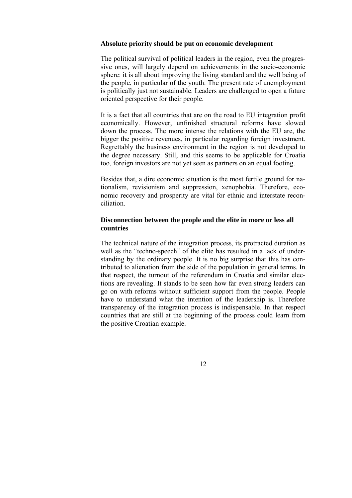#### **Absolute priority should be put on economic development**

The political survival of political leaders in the region, even the progressive ones, will largely depend on achievements in the socio-economic sphere: it is all about improving the living standard and the well being of the people, in particular of the youth. The present rate of unemployment is politically just not sustainable. Leaders are challenged to open a future oriented perspective for their people.

It is a fact that all countries that are on the road to EU integration profit economically. However, unfinished structural reforms have slowed down the process. The more intense the relations with the EU are, the bigger the positive revenues, in particular regarding foreign investment. Regrettably the business environment in the region is not developed to the degree necessary. Still, and this seems to be applicable for Croatia too, foreign investors are not yet seen as partners on an equal footing.

Besides that, a dire economic situation is the most fertile ground for nationalism, revisionism and suppression, xenophobia. Therefore, economic recovery and prosperity are vital for ethnic and interstate reconciliation.

#### **Disconnection between the people and the elite in more or less all countries**

The technical nature of the integration process, its protracted duration as well as the "techno-speech" of the elite has resulted in a lack of understanding by the ordinary people. It is no big surprise that this has contributed to alienation from the side of the population in general terms. In that respect, the turnout of the referendum in Croatia and similar elections are revealing. It stands to be seen how far even strong leaders can go on with reforms without sufficient support from the people. People have to understand what the intention of the leadership is. Therefore transparency of the integration process is indispensable. In that respect countries that are still at the beginning of the process could learn from the positive Croatian example.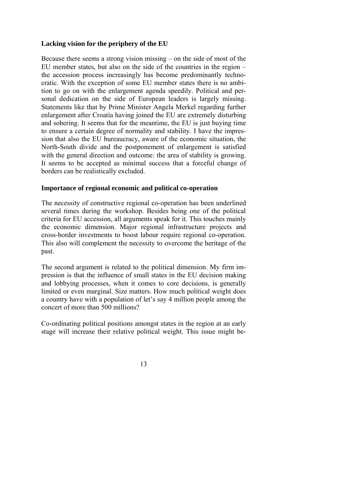#### **Lacking vision for the periphery of the EU**

Because there seems a strong vision missing – on the side of most of the EU member states, but also on the side of the countries in the region – the accession process increasingly has become predominantly technocratic. With the exception of some EU member states there is no ambition to go on with the enlargement agenda speedily. Political and personal dedication on the side of European leaders is largely missing. Statements like that by Prime Minister Angela Merkel regarding further enlargement after Croatia having joined the EU are extremely disturbing and sobering. It seems that for the meantime, the EU is just buying time to ensure a certain degree of normality and stability. I have the impression that also the EU bureaucracy, aware of the economic situation, the North-South divide and the postponement of enlargement is satisfied with the general direction and outcome: the area of stability is growing. It seems to be accepted as minimal success that a forceful change of borders can be realistically excluded.

#### **Importance of regional economic and political co-operation**

The necessity of constructive regional co-operation has been underlined several times during the workshop. Besides being one of the political criteria for EU accession, all arguments speak for it. This touches mainly the economic dimension. Major regional infrastructure projects and cross-border investments to boost labour require regional co-operation. This also will complement the necessity to overcome the heritage of the past.

The second argument is related to the political dimension. My firm impression is that the influence of small states in the EU decision making and lobbying processes, when it comes to core decisions, is generally limited or even marginal. Size matters. How much political weight does a country have with a population of let's say 4 million people among the concert of more than 500 millions?

Co-ordinating political positions amongst states in the region at an early stage will increase their relative political weight. This issue might be-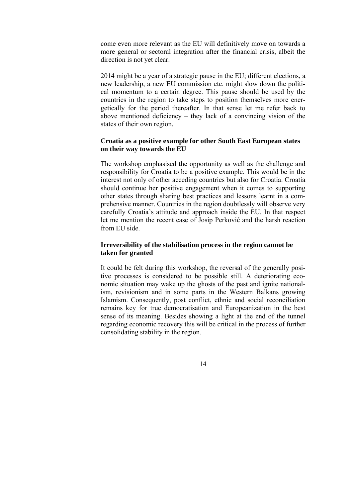come even more relevant as the EU will definitively move on towards a more general or sectoral integration after the financial crisis, albeit the direction is not yet clear.

2014 might be a year of a strategic pause in the EU; different elections, a new leadership, a new EU commission etc. might slow down the political momentum to a certain degree. This pause should be used by the countries in the region to take steps to position themselves more energetically for the period thereafter. In that sense let me refer back to above mentioned deficiency – they lack of a convincing vision of the states of their own region.

#### **Croatia as a positive example for other South East European states on their way towards the EU**

The workshop emphasised the opportunity as well as the challenge and responsibility for Croatia to be a positive example. This would be in the interest not only of other acceding countries but also for Croatia. Croatia should continue her positive engagement when it comes to supporting other states through sharing best practices and lessons learnt in a comprehensive manner. Countries in the region doubtlessly will observe very carefully Croatia's attitude and approach inside the EU. In that respect let me mention the recent case of Josip Perković and the harsh reaction from EU side.

#### **Irreversibility of the stabilisation process in the region cannot be taken for granted**

It could be felt during this workshop, the reversal of the generally positive processes is considered to be possible still. A deteriorating economic situation may wake up the ghosts of the past and ignite nationalism, revisionism and in some parts in the Western Balkans growing Islamism. Consequently, post conflict, ethnic and social reconciliation remains key for true democratisation and Europeanization in the best sense of its meaning. Besides showing a light at the end of the tunnel regarding economic recovery this will be critical in the process of further consolidating stability in the region.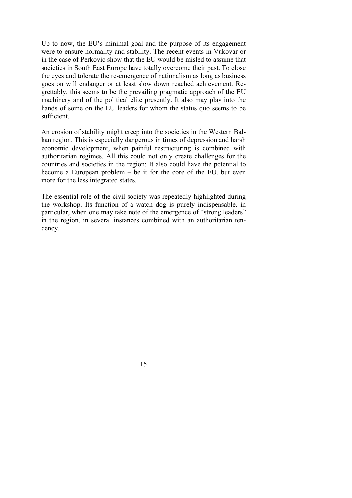Up to now, the EU's minimal goal and the purpose of its engagement were to ensure normality and stability. The recent events in Vukovar or in the case of Perković show that the EU would be misled to assume that societies in South East Europe have totally overcome their past. To close the eyes and tolerate the re-emergence of nationalism as long as business goes on will endanger or at least slow down reached achievement. Regrettably, this seems to be the prevailing pragmatic approach of the EU machinery and of the political elite presently. It also may play into the hands of some on the EU leaders for whom the status quo seems to be sufficient.

An erosion of stability might creep into the societies in the Western Balkan region. This is especially dangerous in times of depression and harsh economic development, when painful restructuring is combined with authoritarian regimes. All this could not only create challenges for the countries and societies in the region: It also could have the potential to become a European problem – be it for the core of the EU, but even more for the less integrated states.

The essential role of the civil society was repeatedly highlighted during the workshop. Its function of a watch dog is purely indispensable, in particular, when one may take note of the emergence of "strong leaders" in the region, in several instances combined with an authoritarian tendency.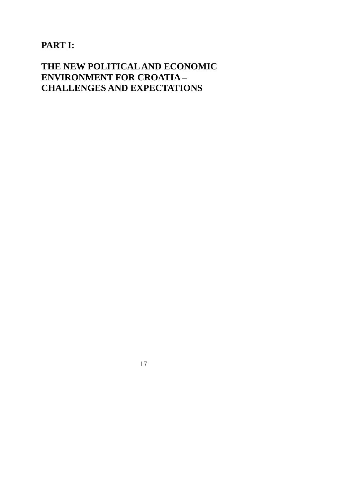# **PART I:**

# **THE NEW POLITICAL AND ECONOMIC ENVIRONMENT FOR CROATIA – CHALLENGES AND EXPECTATIONS**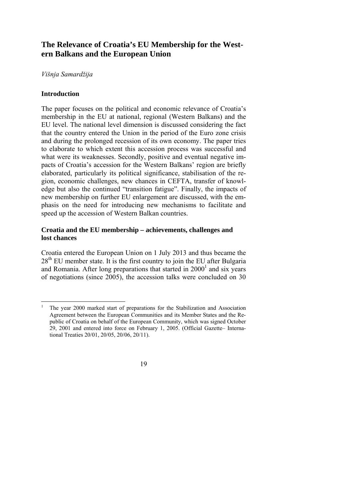### **The Relevance of Croatia's EU Membership for the Western Balkans and the European Union**

#### *Višnja Samardžija*

#### **Introduction**

 $\overline{\phantom{a}}$ 

The paper focuses on the political and economic relevance of Croatia's membership in the EU at national, regional (Western Balkans) and the EU level. The national level dimension is discussed considering the fact that the country entered the Union in the period of the Euro zone crisis and during the prolonged recession of its own economy. The paper tries to elaborate to which extent this accession process was successful and what were its weaknesses. Secondly, positive and eventual negative impacts of Croatia's accession for the Western Balkans' region are briefly elaborated, particularly its political significance, stabilisation of the region, economic challenges, new chances in CEFTA, transfer of knowledge but also the continued "transition fatigue". Finally, the impacts of new membership on further EU enlargement are discussed, with the emphasis on the need for introducing new mechanisms to facilitate and speed up the accession of Western Balkan countries.

#### **Croatia and the EU membership – achievements, challenges and lost chances**

Croatia entered the European Union on 1 July 2013 and thus became the  $28<sup>th</sup>$  EU member state. It is the first country to join the EU after Bulgaria and Romania. After long preparations that started in  $2000<sup>1</sup>$  and six years of negotiations (since 2005), the accession talks were concluded on 30

<sup>1</sup> The year 2000 marked start of preparations for the Stabilization and Association Agreement between the European Communities and its Member States and the Republic of Croatia on behalf of the European Community, which was signed October 29, 2001 and entered into force on February 1, 2005. (Official Gazette– International Treaties 20/01, 20/05, 20/06, 20/11).

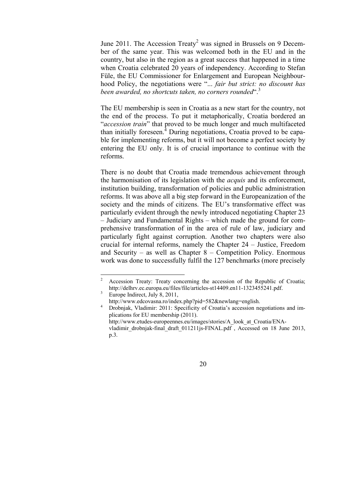June 2011. The Accession Treaty<sup>2</sup> was signed in Brussels on 9 December of the same year. This was welcomed both in the EU and in the country, but also in the region as a great success that happened in a time when Croatia celebrated 20 years of independency. According to Stefan Füle, the EU Commissioner for Enlargement and European Neighbourhood Policy, the negotiations were "... *fair but strict: no discount has been awarded, no shortcuts taken, no corners rounded*".<sup>3</sup>

The EU membership is seen in Croatia as a new start for the country, not the end of the process. To put it metaphorically, Croatia bordered an "*accession train*" that proved to be much longer and much multifaceted than initially foreseen.<sup>4</sup> During negotiations, Croatia proved to be capable for implementing reforms, but it will not become a perfect society by entering the EU only. It is of crucial importance to continue with the reforms.

There is no doubt that Croatia made tremendous achievement through the harmonisation of its legislation with the *acquis* and its enforcement, institution building, transformation of policies and public administration reforms. It was above all a big step forward in the Europeanization of the society and the minds of citizens. The EU's transformative effect was particularly evident through the newly introduced negotiating Chapter 23 – Judiciary and Fundamental Rights – which made the ground for comprehensive transformation of in the area of rule of law, judiciary and particularly fight against corruption. Another two chapters were also crucial for internal reforms, namely the Chapter 24 – Justice, Freedom and Security – as well as Chapter 8 – Competition Policy. Enormous work was done to successfully fulfil the 127 benchmarks (more precisely

vladimir\_drobnjak-final\_draft\_011211js-FINAL.pdf , Accessed on 18 June 2013, p.3.



 $\frac{1}{2}$  Accession Treaty: Treaty concerning the accession of the Republic of Croatia; http://delhrv.ec.europa.eu/files/file/articles-st14409.en11-1323455241.pdf.

Europe Indirect, July 8, 2011,

http://www.edcovasna.ro/index.php?pid=582&newlang=english.<br><sup>4</sup> Drobnjak, Vladimir: 2011: Specificity of Croatia's accession negotiations and im-

plications for EU membership (2011). http://www.etudes-europeennes.eu/images/stories/A\_look\_at\_Croatia/ENA-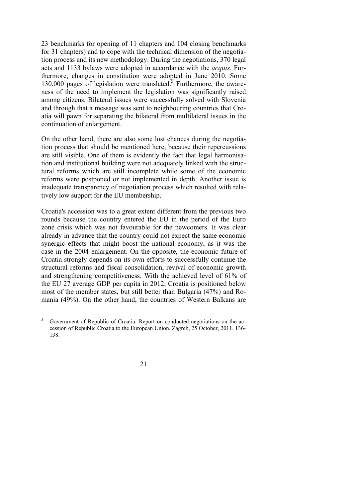23 benchmarks for opening of 11 chapters and 104 closing benchmarks for 31 chapters) and to cope with the technical dimension of the negotiation process and its new methodology. During the negotiations, 370 legal acts and 1133 bylaws were adopted in accordance with the *acquis.* Furthermore, changes in constitution were adopted in June 2010. Some 130.000 pages of legislation were translated.<sup>5</sup> Furthermore, the awareness of the need to implement the legislation was significantly raised among citizens. Bilateral issues were successfully solved with Slovenia and through that a message was sent to neighbouring countries that Croatia will pawn for separating the bilateral from multilateral issues in the continuation of enlargement.

On the other hand, there are also some lost chances during the negotiation process that should be mentioned here, because their repercussions are still visible. One of them is evidently the fact that legal harmonisation and institutional building were not adequately linked with the structural reforms which are still incomplete while some of the economic reforms were postponed or not implemented in depth. Another issue is inadequate transparency of negotiation process which resulted with relatively low support for the EU membership.

Croatia's accession was to a great extent different from the previous two rounds because the country entered the EU in the period of the Euro zone crisis which was not favourable for the newcomers. It was clear already in advance that the country could not expect the same economic synergic effects that might boost the national economy, as it was the case in the 2004 enlargement. On the opposite, the economic future of Croatia strongly depends on its own efforts to successfully continue the structural reforms and fiscal consolidation, revival of economic growth and strengthening competitiveness. With the achieved level of 61% of the EU 27 average GDP per capita in 2012, Croatia is positioned below most of the member states, but still better than Bulgaria (47%) and Romania (49%). On the other hand, the countries of Western Balkans are

 5 Government of Republic of Croatia: Report on conducted negotiations on the accession of Republic Croatia to the European Union. Zagreb, 25 October, 2011. 136- 138.

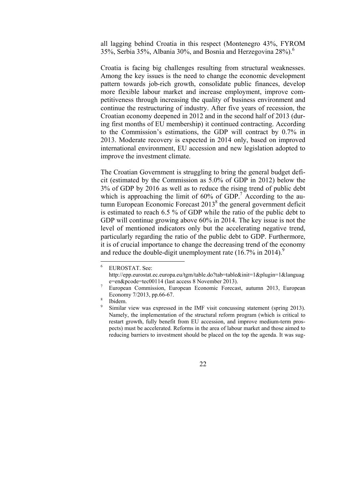all lagging behind Croatia in this respect (Montenegro 43%, FYROM 35%, Serbia 35%, Albania 30%, and Bosnia and Herzegovina 28%).6

Croatia is facing big challenges resulting from structural weaknesses. Among the key issues is the need to change the economic development pattern towards job-rich growth, consolidate public finances, develop more flexible labour market and increase employment, improve competitiveness through increasing the quality of business environment and continue the restructuring of industry. After five years of recession, the Croatian economy deepened in 2012 and in the second half of 2013 (during first months of EU membership) it continued contracting. According to the Commission's estimations, the GDP will contract by 0.7% in 2013. Moderate recovery is expected in 2014 only, based on improved international environment, EU accession and new legislation adopted to improve the investment climate.

The Croatian Government is struggling to bring the general budget deficit (estimated by the Commission as 5.0% of GDP in 2012) below the 3% of GDP by 2016 as well as to reduce the rising trend of public debt which is approaching the limit of  $60\%$  of GDP.<sup>7</sup> According to the autumn European Economic Forecast  $2013<sup>8</sup>$  the general government deficit is estimated to reach 6.5 % of GDP while the ratio of the public debt to GDP will continue growing above 60% in 2014. The key issue is not the level of mentioned indicators only but the accelerating negative trend, particularly regarding the ratio of the public debt to GDP. Furthermore, it is of crucial importance to change the decreasing trend of the economy and reduce the double-digit unemployment rate  $(16.7\% \text{ in } 2014)^9$ 

<sup>6</sup> EUROSTAT. See:

http://epp.eurostat.ec.europa.eu/tgm/table.do?tab=table&init=1&plugin=1&languag e=en&pcode=tec00114 (last access 8 November 2013).

European Commission, European Economic Forecast, autumn 2013, European Economy 7/2013, pp.66-67.

Ibidem.

<sup>9</sup> Similar view was expressed in the IMF visit concussing statement (spring 2013). Namely, the implementation of the structural reform program (which is critical to restart growth, fully benefit from EU accession, and improve medium-term prospects) must be accelerated. Reforms in the area of labour market and those aimed to reducing barriers to investment should be placed on the top the agenda. It was sug-

<sup>22</sup>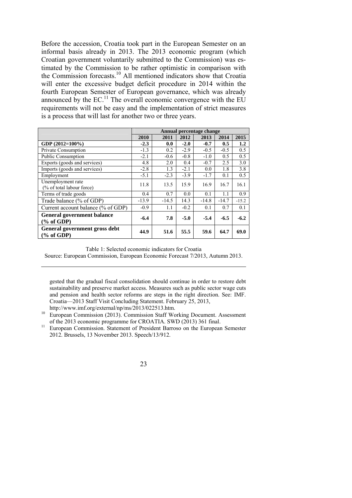Before the accession, Croatia took part in the European Semester on an informal basis already in 2013. The 2013 economic program (which Croatian government voluntarily submitted to the Commission) was estimated by the Commission to be rather optimistic in comparison with the Commission forecasts.<sup>10</sup> All mentioned indicators show that Croatia will enter the excessive budget deficit procedure in 2014 within the fourth European Semester of European governance, which was already announced by the  $EC^{11}$ . The overall economic convergence with the EU requirements will not be easy and the implementation of strict measures is a process that will last for another two or three years.

|                                                            | Annual percentage change |         |        |         |         |         |  |
|------------------------------------------------------------|--------------------------|---------|--------|---------|---------|---------|--|
|                                                            | 2010                     | 2011    | 2012   | 2013    | 2014    | 2015    |  |
| GDP (2012=100%)                                            | $-2.3$                   | 0.0     | $-2.0$ | $-0.7$  | 0.5     | 1.2     |  |
| <b>Private Consumption</b>                                 | $-1.3$                   | 0.2     | $-2.9$ | $-0.5$  | $-0.5$  | 0.5     |  |
| <b>Public Consumption</b>                                  | $-2.1$                   | $-0.6$  | $-0.8$ | $-1.0$  | 0.5     | 0.5     |  |
| Exports (goods and services)                               | 4.8                      | 2.0     | 0.4    | $-0.7$  | 2.5     | 3.0     |  |
| Imports (goods and services)                               | $-2.8$                   | 1.3     | $-2.1$ | 0.0     | 1.8     | 3.8     |  |
| Employment                                                 | $-5.1$                   | $-2.3$  | $-3.9$ | $-1.7$  | 0.1     | 0.5     |  |
| Unemployment rate<br>(% of total labour force)             | 11.8                     | 13.5    | 15.9   | 16.9    | 16.7    | 16.1    |  |
| Terms of trade goods                                       | 0.4                      | 0.7     | 0.0    | 0.1     | 1.1     | 0.9     |  |
| Trade balance (% of GDP)                                   | $-13.9$                  | $-14.5$ | 14.3   | $-14.8$ | $-14.7$ | $-15.2$ |  |
| Current account balance (% of GDP)                         | $-0.9$                   | 1.1     | $-0.2$ | 0.1     | 0.7     | 0.1     |  |
| <b>General government balance</b><br>$\frac{9}{6}$ of GDP) | $-6.4$                   | 7.8     | $-5.0$ | $-5.4$  | $-6.5$  | $-6.2$  |  |
| General government gross debt<br>$(\%$ of GDP)             | 44.9                     | 51.6    | 55.5   | 59.6    | 64.7    | 69.0    |  |

Table 1: Selected economic indicators for Croatia

Source: European Commission, European Economic Forecast 7/2013, Autumn 2013.

 $\overline{\phantom{a}}$ 

gested that the gradual fiscal consolidation should continue in order to restore debt sustainability and preserve market access. Measures such as public sector wage cuts and pension and health sector reforms are steps in the right direction. See: IMF. Croatia—2013 Staff Visit Concluding Statement. February 25, 2013,

http://www.imf.org/external/np/ms/2013/022513.htm. 10 European Commission (2013). Commission Staff Working Document. Assessment

of the 2013 economic programme for CROATIA. SWD (2013) 361 final.<br><sup>11</sup> European Commission. Statement of President Barroso on the European Semester 2012. Brussels, 13 November 2013. Speech/13/912.

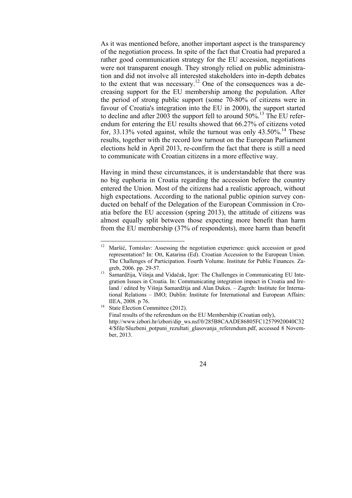As it was mentioned before, another important aspect is the transparency of the negotiation process. In spite of the fact that Croatia had prepared a rather good communication strategy for the EU accession, negotiations were not transparent enough. They strongly relied on public administration and did not involve all interested stakeholders into in-depth debates to the extent that was necessary.<sup>12</sup> One of the consequences was a decreasing support for the EU membership among the population. After the period of strong public support (some 70-80% of citizens were in favour of Croatia's integration into the EU in 2000), the support started to decline and after 2003 the support fell to around  $50\%$ <sup>13</sup>. The EU referendum for entering the EU results showed that 66.27% of citizens voted for,  $33.13\%$  voted against, while the turnout was only  $43.50\%$ .<sup>14</sup> These results, together with the record low turnout on the European Parliament elections held in April 2013, re-confirm the fact that there is still a need to communicate with Croatian citizens in a more effective way.

Having in mind these circumstances, it is understandable that there was no big euphoria in Croatia regarding the accession before the country entered the Union. Most of the citizens had a realistic approach, without high expectations. According to the national public opinion survey conducted on behalf of the Delegation of the European Commission in Croatia before the EU accession (spring 2013), the attitude of citizens was almost equally split between those expecting more benefit than harm from the EU membership (37% of respondents), more harm than benefit

Final results of the referendum on the EU Membership (Croatian only), http://www.izbori.hr/izbori/dip\_ws.nsf/0/285B8CAADE86805FC12579920040C32 4/\$file/Sluzbeni\_potpuni\_rezultati\_glasovanja\_referendum.pdf, accessed 8 November, 2013.



 $12\,$ Maršić, Tomislav: Assessing the negotiation experience: quick accession or good representation? In: Ott, Katarina (Ed). Croatian Accession to the European Union. The Challenges of Participation. Fourth Volume. Institute for Public Finances. Zagreb, 2006. pp. 29-57. 13 Samardžija, Višnja and Vidačak, Igor: The Challenges in Communicating EU Inte-

gration Issues in Croatia. In: Communicating integration impact in Croatia and Ireland / edited by Višnja Samardžija and Alan Dukes. – Zagreb: Institute for International Relations – IMO; Dublin: Institute for International and European Affairs: IIEA, 2008. p 76.<br><sup>14</sup> State Election Committee (2012).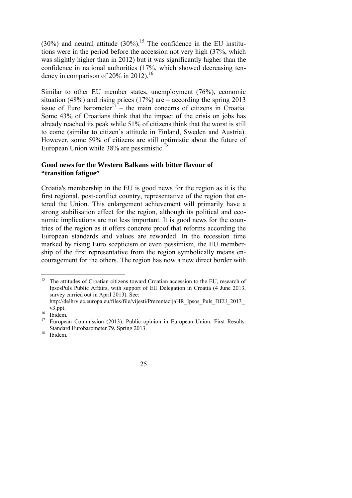(30%) and neutral attitude  $(30\%)$ .<sup>15</sup> The confidence in the EU institutions were in the period before the accession not very high (37%, which was slightly higher than in 2012) but it was significantly higher than the confidence in national authorities (17%, which showed decreasing tendency in comparison of  $20\%$  in 2012).<sup>16</sup>

Similar to other EU member states, unemployment (76%), economic situation (48%) and rising prices (17%) are  $-$  according the spring 2013 issue of Euro barometer $17$  – the main concerns of citizens in Croatia. Some 43% of Croatians think that the impact of the crisis on jobs has already reached its peak while 51% of citizens think that the worst is still to come (similar to citizen's attitude in Finland, Sweden and Austria). However, some 59% of citizens are still optimistic about the future of European Union while  $38\%$  are pessimistic.<sup>18</sup>

#### **Good news for the Western Balkans with bitter flavour of "transition fatigue"**

Croatia's membership in the EU is good news for the region as it is the first regional, post-conflict country, representative of the region that entered the Union. This enlargement achievement will primarily have a strong stabilisation effect for the region, although its political and economic implications are not less important. It is good news for the countries of the region as it offers concrete proof that reforms according the European standards and values are rewarded. In the recession time marked by rising Euro scepticism or even pessimism, the EU membership of the first representative from the region symbolically means encouragement for the others. The region has now a new direct border with

 <sup>15</sup> The attitudes of Croatian citizens toward Croatian accession to the EU, research of IpsosPuls Public Affairs, with support of EU Delegation in Croatia (4 June 2013, survey carried out in April 2013). See:

http://delhrv.ec.europa.eu/files/file/vijesti/PrezentacijaHR\_Ipsos\_Puls\_DEU\_2013 v3.ppt.<br> $^{16}$  Ibidem.<br> $^{17}$  Europes

<sup>17</sup> European Commission (2013). Public opinion in European Union. First Results. Standard Eurobarometer 79, Spring 2013. 18 Ibidem.

<sup>25</sup>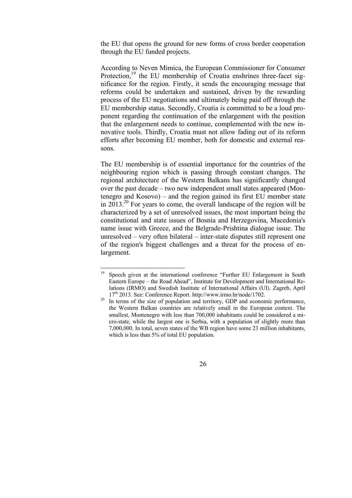the EU that opens the ground for new forms of cross border cooperation through the EU funded projects.

According to Neven Mimica, the European Commissioner for Consumer Protection,<sup>19</sup> the EU membership of Croatia enshrines three-facet significance for the region. Firstly, it sends the encouraging message that reforms could be undertaken and sustained, driven by the rewarding process of the EU negotiations and ultimately being paid off through the EU membership status. Secondly, Croatia is committed to be a loud proponent regarding the continuation of the enlargement with the position that the enlargement needs to continue, complemented with the new innovative tools. Thirdly, Croatia must not allow fading out of its reform efforts after becoming EU member, both for domestic and external reasons.

The EU membership is of essential importance for the countries of the neighbouring region which is passing through constant changes. The regional architecture of the Western Balkans has significantly changed over the past decade – two new independent small states appeared (Montenegro and Kosovo) – and the region gained its first EU member state in  $2013<sup>20</sup>$  For years to come, the overall landscape of the region will be characterized by a set of unresolved issues, the most important being the constitutional and state issues of Bosnia and Herzegovina, Macedonia's name issue with Greece, and the Belgrade-Prishtina dialogue issue. The unresolved – very often bilateral – inter-state disputes still represent one of the region's biggest challenges and a threat for the process of enlargement.

-

the Western Balkan countries are relatively small in the European context. The smallest, Montenegro with less than 700,000 inhabitants could be considered a micro-state, while the largest one is Serbia, with a population of slightly more than 7,000,000. In total, seven states of the WB region have some 23 million inhabitants, which is less than 5% of total EU population.



<sup>&</sup>lt;sup>19</sup> Speech given at the international conference "Further EU Enlargement in South Eastern Europe – the Road Ahead", Institute for Development and International Relations (IRMO) and Swedish Institute of International Affairs (UI). Zagreb, April  $17<sup>th</sup> 2013$ . See: Conference Report. http://www.irmo.hr/node/1702.<br><sup>20</sup> In terms of the size of population and territory, GDP and economic performance,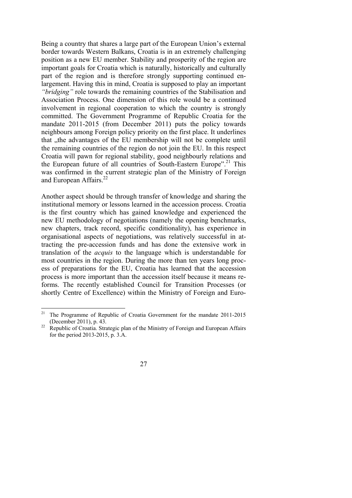Being a country that shares a large part of the European Union's external border towards Western Balkans, Croatia is in an extremely challenging position as a new EU member. Stability and prosperity of the region are important goals for Croatia which is naturally, historically and culturally part of the region and is therefore strongly supporting continued enlargement. Having this in mind, Croatia is supposed to play an important *"bridging"* role towards the remaining countries of the Stabilisation and Association Process. One dimension of this role would be a continued involvement in regional cooperation to which the country is strongly committed. The Government Programme of Republic Croatia for the mandate 2011-2015 (from December 2011) puts the policy towards neighbours among Foreign policy priority on the first place. It underlines that , the advantages of the EU membership will not be complete until the remaining countries of the region do not join the EU. In this respect Croatia will pawn for regional stability, good neighbourly relations and the European future of all countries of South-Eastern Europe".<sup>21</sup> This was confirmed in the current strategic plan of the Ministry of Foreign and European Affairs.<sup>2</sup>

Another aspect should be through transfer of knowledge and sharing the institutional memory or lessons learned in the accession process. Croatia is the first country which has gained knowledge and experienced the new EU methodology of negotiations (namely the opening benchmarks, new chapters, track record, specific conditionality), has experience in organisational aspects of negotiations, was relatively successful in attracting the pre-accession funds and has done the extensive work in translation of the *acquis* to the language which is understandable for most countries in the region. During the more than ten years long process of preparations for the EU, Croatia has learned that the accession process is more important than the accession itself because it means reforms. The recently established Council for Transition Processes (or shortly Centre of Excellence) within the Ministry of Foreign and Euro-

 $21$ 21 The Programme of Republic of Croatia Government for the mandate 2011-2015 (December 2011), p. 43.<br><sup>22</sup> Republic of Croatia. Strategic plan of the Ministry of Foreign and European Affairs

for the period 2013-2015, p. 3.A.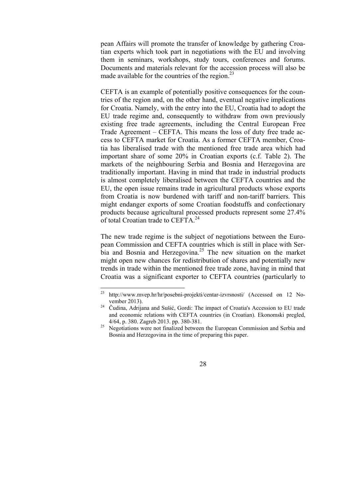pean Affairs will promote the transfer of knowledge by gathering Croatian experts which took part in negotiations with the EU and involving them in seminars, workshops, study tours, conferences and forums. Documents and materials relevant for the accession process will also be made available for the countries of the region. $^{23}$ 

CEFTA is an example of potentially positive consequences for the countries of the region and, on the other hand, eventual negative implications for Croatia. Namely, with the entry into the EU, Croatia had to adopt the EU trade regime and, consequently to withdraw from own previously existing free trade agreements, including the Central European Free Trade Agreement – CEFTA. This means the loss of duty free trade access to CEFTA market for Croatia. As a former CEFTA member, Croatia has liberalised trade with the mentioned free trade area which had important share of some 20% in Croatian exports (c.f. Table 2). The markets of the neighbouring Serbia and Bosnia and Herzegovina are traditionally important. Having in mind that trade in industrial products is almost completely liberalised between the CEFTA countries and the EU, the open issue remains trade in agricultural products whose exports from Croatia is now burdened with tariff and non-tariff barriers. This might endanger exports of some Croatian foodstuffs and confectionary products because agricultural processed products represent some 27.4% of total Croatian trade to CEFTA.<sup>24</sup>

The new trade regime is the subject of negotiations between the European Commission and CEFTA countries which is still in place with Serbia and Bosnia and Herzegovina.<sup>25</sup> The new situation on the market might open new chances for redistribution of shares and potentially new trends in trade within the mentioned free trade zone, having in mind that Croatia was a significant exporter to CEFTA countries (particularly to

Bosnia and Herzegovina in the time of preparing this paper.



<sup>23</sup> http://www.mvep.hr/hr/posebni-projekti/centar-izvrsnosti/ (Accessed on 12 November 2013). 24 <sup>Č</sup>udina, Adrijana and Sušić, Gordi: The impact of Croatia's Accession to EU trade

and economic relations with CEFTA countries (in Croatian). Ekonomski pregled, 4/64, p. 380. Zagreb 2013. pp. 380-381. 25 Negotiations were not finalized between the European Commission and Serbia and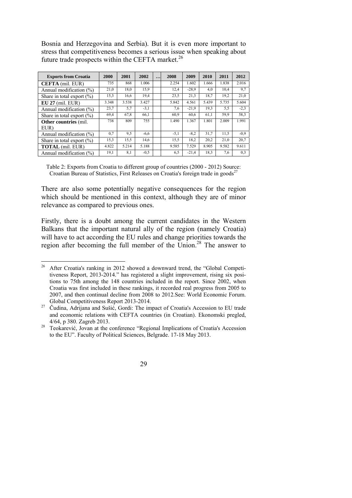Bosnia and Herzegovina and Serbia). But it is even more important to stress that competitiveness becomes a serious issue when speaking about future trade prospects within the CEFTA market.<sup>26</sup>

| <b>Exports from Croatia</b>   | 2000  | 2001  | 2002   | $\cdot \cdot \cdot$ | 2008   | 2009    | 2010  | 2011  | 2012   |
|-------------------------------|-------|-------|--------|---------------------|--------|---------|-------|-------|--------|
| <b>CEFTA</b> (mil. EUR)       | 735   | 868   | 1.006  |                     | 2.254  | 1.602   | 1.666 | 1.838 | 2.016  |
| Annual modification $(\%)$    | 21,0  | 18,0  | 15.9   |                     | 12.4   | $-28.9$ | 4.0   | 10.4  | 9,7    |
| Share in total export $(\% )$ | 15,3  | 16,6  | 19,4   |                     | 23,5   | 21.3    | 18.7  | 19.2  | 21,0   |
| $EU 27$ (mil. $EUR$ )         | 3.348 | 3.538 | 3.427  |                     | 5.842  | 4.561   | 5.439 | 5.735 | 5.604  |
| Annual modification $(\%)$    | 23,7  | 5,7   | $-3,1$ |                     | 7,6    | $-21.9$ | 19.3  | 5.5   | $-2.3$ |
| Share in total export $(\%)$  | 69,4  | 67,8  | 66,1   |                     | 60.9   | 60.6    | 61,1  | 59.9  | 58,3   |
| <b>Other countries</b> (mil.  | 738   | 809   | 755    |                     | 1.490  | 1.367   | 1.801 | 2.009 | 1.991  |
| EUR)                          |       |       |        |                     |        |         |       |       |        |
| Annual modification $(\% )$   | 0.7   | 9.5   | $-6,6$ |                     | $-5,1$ | $-8.2$  | 31,7  | 11,5  | $-0.9$ |
| Share in total export $(\% )$ | 15,3  | 15,5  | 14.6   |                     | 15,5   | 18.2    | 20.2  | 21.0  | 20.7   |
| <b>TOTAL</b> (mil. EUR)       | 4.822 | 5.214 | 5.188  |                     | 9.585  | 7.529   | 8.905 | 9.582 | 9.611  |
| Annual modification $(\%)$    | 19,1  | 8.1   | $-0,5$ |                     | 6,5    | $-21,4$ | 18.3  | 7,6   | 0.3    |

Table 2: Exports from Croatia to different group of countries (2000 - 2012) Source: Croatian Bureau of Statistics, First Releases on Croatia's foreign trade in goods $^{27}$ 

There are also some potentially negative consequences for the region which should be mentioned in this context, although they are of minor relevance as compared to previous ones.

Firstly, there is a doubt among the current candidates in the Western Balkans that the important natural ally of the region (namely Croatia) will have to act according the EU rules and change priorities towards the region after becoming the full member of the Union.<sup>28</sup> The answer to

 $26\,$ 26 After Croatia's ranking in 2012 showed a downward trend, the "Global Competitiveness Report, 2013-2014." has registered a slight improvement, rising six positions to 75th among the 148 countries included in the report. Since 2002, when Croatia was first included in these rankings, it recorded real progress from 2005 to 2007, and then continual decline from 2008 to 2012.See: World Economic Forum.

Global Competitiveness Report 2013-2014. 27 Čudina, Adrijana and Sušić, Gordi: The impact of Croatia's Accession to EU trade and economic relations with CEFTA countries (in Croatian). Ekonomski pregled,

<sup>4/64,</sup> p 380. Zagreb 2013. 28 Teokarević, Jovan at the conference "Regional Implications of Croatia's Accession to the EU". Faculty of Political Sciences, Belgrade. 17-18 May 2013.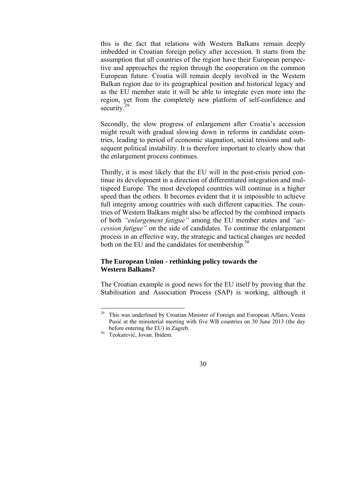this is the fact that relations with Western Balkans remain deeply imbedded in Croatian foreign policy after accession. It starts from the assumption that all countries of the region have their European perspective and approaches the region through the cooperation on the common European future. Croatia will remain deeply involved in the Western Balkan region due to its geographical position and historical legacy and as the EU member state it will be able to integrate even more into the region, yet from the completely new platform of self-confidence and security. $^{2}$ 

Secondly, the slow progress of enlargement after Croatia's accession might result with gradual slowing down in reforms in candidate countries, leading to period of economic stagnation, social tensions and subsequent political instability. It is therefore important to clearly show that the enlargement process continues.

Thirdly, it is most likely that the EU will in the post-crisis period continue its development in a direction of differentiated integration and multispeed Europe. The most developed countries will continue in a higher speed than the others. It becomes evident that it is impossible to achieve full integrity among countries with such different capacities. The countries of Western Balkans might also be affected by the combined impacts of both *"enlargement fatigue"* among the EU member states and *"accession fatigue"* on the side of candidates. To continue the enlargement process in an effective way, the strategic and tactical changes are needed both on the EU and the candidates for membership.<sup>30</sup>

#### **The European Union - rethinking policy towards the Western Balkans?**

The Croatian example is good news for the EU itself by proving that the Stabilisation and Association Process (SAP) is working, although it

<sup>29</sup> 29 This was underlined by Croatian Minister of Foreign and European Affairs, Vesna Pusić at the ministerial meeting with five WB countries on 30 June 2013 (the day before entering the EU) in Zagreb.<br><sup>30</sup> Teokarević, Jovan. Ibidem.

<sup>30</sup>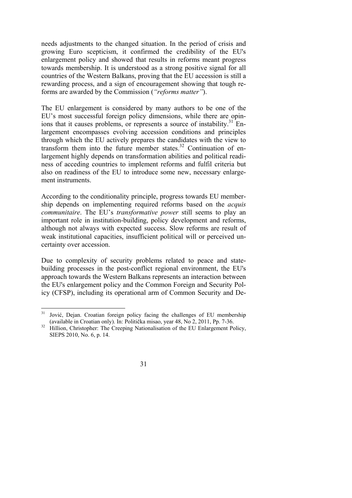needs adjustments to the changed situation. In the period of crisis and growing Euro scepticism, it confirmed the credibility of the EU's enlargement policy and showed that results in reforms meant progress towards membership. It is understood as a strong positive signal for all countries of the Western Balkans, proving that the EU accession is still a rewarding process, and a sign of encouragement showing that tough reforms are awarded by the Commission (*"reforms matter"*).

The EU enlargement is considered by many authors to be one of the EU's most successful foreign policy dimensions, while there are opinions that it causes problems, or represents a source of instability.<sup>31</sup> Enlargement encompasses evolving accession conditions and principles through which the EU actively prepares the candidates with the view to transform them into the future member states. $32$  Continuation of enlargement highly depends on transformation abilities and political readiness of acceding countries to implement reforms and fulfil criteria but also on readiness of the EU to introduce some new, necessary enlargement instruments.

According to the conditionality principle, progress towards EU membership depends on implementing required reforms based on the *acquis communitaire*. The EU's *transformative power* still seems to play an important role in institution-building, policy development and reforms, although not always with expected success. Slow reforms are result of weak institutional capacities, insufficient political will or perceived uncertainty over accession.

Due to complexity of security problems related to peace and statebuilding processes in the post-conflict regional environment, the EU's approach towards the Western Balkans represents an interaction between the EU's enlargement policy and the Common Foreign and Security Policy (CFSP), including its operational arm of Common Security and De-

SIEPS 2010, No. 6, p. 14.



 $31$ 31 Jović, Dejan. Croatian foreign policy facing the challenges of EU membership (available in Croatian only). In: Politička misao, year 48, No 2, 2011, Pp. 7-36. 32 Hillion, Christopher: The Creeping Nationalisation of the EU Enlargement Policy,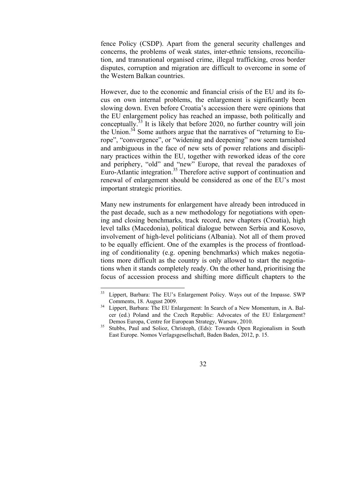fence Policy (CSDP). Apart from the general security challenges and concerns, the problems of weak states, inter-ethnic tensions, reconciliation, and transnational organised crime, illegal trafficking, cross border disputes, corruption and migration are difficult to overcome in some of the Western Balkan countries.

However, due to the economic and financial crisis of the EU and its focus on own internal problems, the enlargement is significantly been slowing down. Even before Croatia's accession there were opinions that the EU enlargement policy has reached an impasse, both politically and conceptually.<sup>33</sup> It is likely that before 2020, no further country will join the Union. $34$  Some authors argue that the narratives of "returning to Europe", "convergence", or "widening and deepening" now seem tarnished and ambiguous in the face of new sets of power relations and disciplinary practices within the EU, together with reworked ideas of the core and periphery, "old" and "new" Europe, that reveal the paradoxes of Euro-Atlantic integration.<sup>35</sup> Therefore active support of continuation and renewal of enlargement should be considered as one of the EU's most important strategic priorities.

Many new instruments for enlargement have already been introduced in the past decade, such as a new methodology for negotiations with opening and closing benchmarks, track record, new chapters (Croatia), high level talks (Macedonia), political dialogue between Serbia and Kosovo, involvement of high-level politicians (Albania). Not all of them proved to be equally efficient. One of the examples is the process of frontloading of conditionality (e.g. opening benchmarks) which makes negotiations more difficult as the country is only allowed to start the negotiations when it stands completely ready. On the other hand, prioritising the focus of accession process and shifting more difficult chapters to the

-

East Europe. Nomos Verlagsgesellschaft, Baden Baden, 2012, p. 15.



<sup>33</sup> Lippert, Barbara: The EU's Enlargement Policy. Ways out of the Impasse. SWP Comments, 18. August 2009.<br><sup>34</sup> Lippert, Barbara: The EU Enlargement: In Search of a New Momentum, in A. Bal-

cer (ed.) Poland and the Czech Republic: Advocates of the EU Enlargement? Demos Europa, Centre for European Strategy, Warsaw, 2010.<br><sup>35</sup> Stubbs, Paul and Solioz, Christoph, (Eds): Towards Open Regionalism in South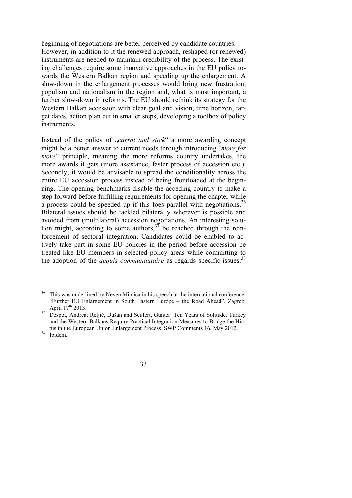beginning of negotiations are better perceived by candidate countries. However, in addition to it the renewed approach, reshaped (or renewed) instruments are needed to maintain credibility of the process. The existing challenges require some innovative approaches in the EU policy towards the Western Balkan region and speeding up the enlargement. A slow-down in the enlargement processes would bring new frustration, populism and nationalism in the region and, what is most important, a further slow-down in reforms. The EU should rethink its strategy for the Western Balkan accession with clear goal and vision, time horizon, target dates, action plan cut in smaller steps, developing a toolbox of policy instruments.

Instead of the policy of *"carrot and stick*" a more awarding concept might be a better answer to current needs through introducing "*more for more*" principle, meaning the more reforms country undertakes, the more awards it gets (more assistance, faster process of accession etc.). Secondly, it would be advisable to spread the conditionality across the entire EU accession process instead of being frontloaded at the beginning. The opening benchmarks disable the acceding country to make a step forward before fulfilling requirements for opening the chapter while a process could be speeded up if this foes parallel with negotiations.<sup>36</sup> Bilateral issues should be tackled bilaterally wherever is possible and avoided from (multilateral) accession negotiations. An interesting solution might, according to some authors,  $3<sup>37</sup>$  be reached through the reinforcement of sectoral integration. Candidates could be enabled to actively take part in some EU policies in the period before accession be treated like EU members in selected policy areas while committing to the adoption of the *acquis communautaire* as regards specific issues.<sup>38</sup>

<sup>&</sup>lt;sup>36</sup> This was underlined by Neven Mimica in his speech at the international conference: "Further EU Enlargement in South Eastern Europe – the Road Ahead". Zagreb, April  $17<sup>th</sup> 2013$ .

<sup>&</sup>lt;sup>37</sup> Despot, Andrea; Reljić, Dušan and Seufert, Günter: Ten Years of Solitude. Turkey and the Western Balkans Require Practical Integration Measures to Bridge the Hiatus in the European Union Enlargement Process. SWP Comments 16, May 2012.<br><sup>38</sup> Ibidem.

<sup>33</sup>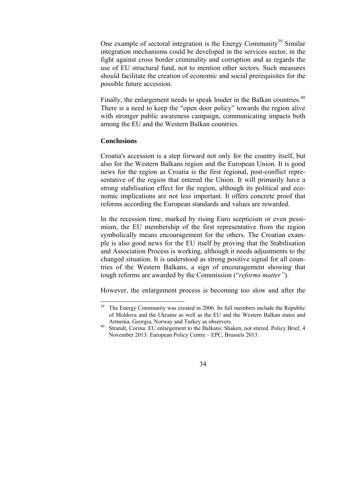One example of sectoral integration is the Energy Community<sup>39</sup> Similar integration mechanisms could be developed in the services sector, in the fight against cross border criminality and corruption and as regards the use of EU structural fund, not to mention other sectors. Such measures should facilitate the creation of economic and social prerequisites for the possible future accession.

Finally, the enlargement needs to speak louder in the Balkan countries.<sup>40</sup> There is a need to keep the "open door policy" towards the region alive with stronger public awareness campaign, communicating impacts both among the EU and the Western Balkan countries.

#### **Conclusions**

Croatia's accession is a step forward not only for the country itself, but also for the Western Balkans region and the European Union. It is good news for the region as Croatia is the first regional, post-conflict representative of the region that entered the Union. It will primarily have a strong stabilisation effect for the region, although its political and economic implications are not less important. It offers concrete proof that reforms according the European standards and values are rewarded.

In the recession time, marked by rising Euro scepticism or even pessimism, the EU membership of the first representative from the region symbolically means encouragement for the others. The Croatian example is also good news for the EU itself by proving that the Stabilisation and Association Process is working, although it needs adjustments to the changed situation. It is understood as strong positive signal for all countries of the Western Balkans, a sign of encouragement showing that tough reforms are awarded by the Commission ("*reforms matter"*).

However, the enlargement process is becoming too slow and after the

November 2013: European Policy Centre – EPC, Brussels 2013.



<sup>39</sup> The Energy Community was created in 2006. Its full members include the Republic of Moldova and the Ukraine as well as the EU and the Western Balkan states and Armenia, Georgia, Norway and Turkey as observers.<br><sup>40</sup> Stratult, Corina: EU enlargement to the Balkans: Shaken, not stirred. Policy Brief, 4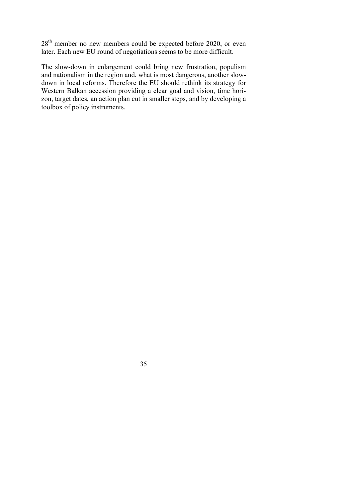28<sup>th</sup> member no new members could be expected before 2020, or even later. Each new EU round of negotiations seems to be more difficult.

The slow-down in enlargement could bring new frustration, populism and nationalism in the region and, what is most dangerous, another slowdown in local reforms. Therefore the EU should rethink its strategy for Western Balkan accession providing a clear goal and vision, time horizon, target dates, an action plan cut in smaller steps, and by developing a toolbox of policy instruments.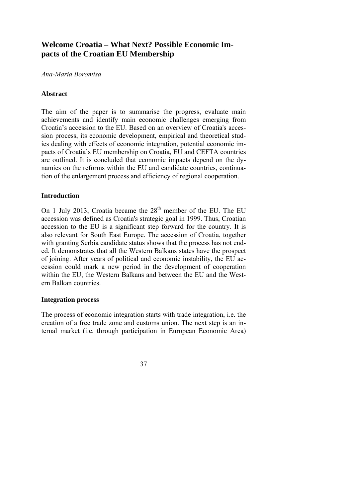# **Welcome Croatia – What Next? Possible Economic Impacts of the Croatian EU Membership**

## *Ana-Maria Boromisa*

# **Abstract**

The aim of the paper is to summarise the progress, evaluate main achievements and identify main economic challenges emerging from Croatia's accession to the EU. Based on an overview of Croatia's accession process, its economic development, empirical and theoretical studies dealing with effects of economic integration, potential economic impacts of Croatia's EU membership on Croatia, EU and CEFTA countries are outlined. It is concluded that economic impacts depend on the dynamics on the reforms within the EU and candidate countries, continuation of the enlargement process and efficiency of regional cooperation.

## **Introduction**

On 1 July 2013, Croatia became the  $28<sup>th</sup>$  member of the EU. The EU accession was defined as Croatia's strategic goal in 1999. Thus, Croatian accession to the EU is a significant step forward for the country. It is also relevant for South East Europe. The accession of Croatia, together with granting Serbia candidate status shows that the process has not ended. It demonstrates that all the Western Balkans states have the prospect of joining. After years of political and economic instability, the EU accession could mark a new period in the development of cooperation within the EU, the Western Balkans and between the EU and the Western Balkan countries.

#### **Integration process**

The process of economic integration starts with trade integration, i.e. the creation of a free trade zone and customs union. The next step is an internal market (i.e. through participation in European Economic Area)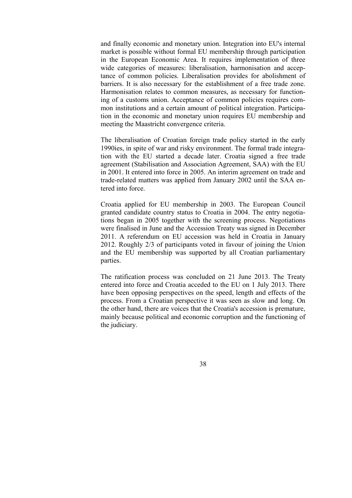and finally economic and monetary union. Integration into EU's internal market is possible without formal EU membership through participation in the European Economic Area. It requires implementation of three wide categories of measures: liberalisation, harmonisation and acceptance of common policies. Liberalisation provides for abolishment of barriers. It is also necessary for the establishment of a free trade zone. Harmonisation relates to common measures, as necessary for functioning of a customs union. Acceptance of common policies requires common institutions and a certain amount of political integration. Participation in the economic and monetary union requires EU membership and meeting the Maastricht convergence criteria.

The liberalisation of Croatian foreign trade policy started in the early 1990ies, in spite of war and risky environment. The formal trade integration with the EU started a decade later. Croatia signed a free trade agreement (Stabilisation and Association Agreement, SAA) with the EU in 2001. It entered into force in 2005. An interim agreement on trade and trade-related matters was applied from January 2002 until the SAA entered into force.

Croatia applied for EU membership in 2003. The European Council granted candidate country status to Croatia in 2004. The entry negotiations began in 2005 together with the screening process. Negotiations were finalised in June and the Accession Treaty was signed in December 2011. A referendum on EU accession was held in Croatia in January 2012. Roughly 2/3 of participants voted in favour of joining the Union and the EU membership was supported by all Croatian parliamentary parties.

The ratification process was concluded on 21 June 2013. The Treaty entered into force and Croatia acceded to the EU on 1 July 2013. There have been opposing perspectives on the speed, length and effects of the process. From a Croatian perspective it was seen as slow and long. On the other hand, there are voices that the Croatia's accession is premature, mainly because political and economic corruption and the functioning of the judiciary.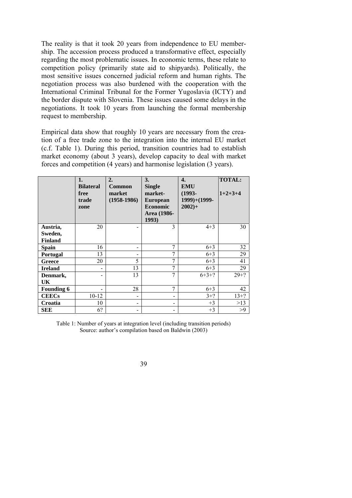The reality is that it took 20 years from independence to EU membership. The accession process produced a transformative effect, especially regarding the most problematic issues. In economic terms, these relate to competition policy (primarily state aid to shipyards). Politically, the most sensitive issues concerned judicial reform and human rights. The negotiation process was also burdened with the cooperation with the International Criminal Tribunal for the Former Yugoslavia (ICTY) and the border dispute with Slovenia. These issues caused some delays in the negotiations. It took 10 years from launching the formal membership request to membership.

Empirical data show that roughly 10 years are necessary from the creation of a free trade zone to the integration into the internal EU market (c.f. Table 1). During this period, transition countries had to establish market economy (about 3 years), develop capacity to deal with market forces and competition (4 years) and harmonise legislation (3 years).

|                   | 1.<br><b>Bilateral</b><br>free<br>trade<br>zone | 2.<br>Common<br>market<br>$(1958-1986)$ | 3.<br><b>Single</b><br>market-<br><b>European</b><br><b>Economic</b><br>Area (1986-<br>1993) | 4.<br><b>EMU</b><br>$(1993 -$<br>1999)+(1999-<br>$2002+$ | <b>TOTAL:</b><br>$1+2+3+4$ |
|-------------------|-------------------------------------------------|-----------------------------------------|----------------------------------------------------------------------------------------------|----------------------------------------------------------|----------------------------|
| Austria,          | 20                                              |                                         | 3                                                                                            | $4 + 3$                                                  | 30                         |
| Sweden,           |                                                 |                                         |                                                                                              |                                                          |                            |
| <b>Finland</b>    |                                                 |                                         |                                                                                              |                                                          |                            |
| <b>Spain</b>      | 16                                              | -                                       | 7                                                                                            | $6 + 3$                                                  | 32                         |
| <b>Portugal</b>   | 13                                              |                                         | 7                                                                                            | $6 + 3$                                                  | 29                         |
| <b>Greece</b>     | 20                                              | 5                                       | 7                                                                                            | $6 + 3$                                                  | 41                         |
| <b>Ireland</b>    | $\overline{\phantom{a}}$                        | 13                                      | 7                                                                                            | $6 + 3$                                                  | 29                         |
| Denmark,          |                                                 | 13                                      | $\overline{7}$                                                                               | $6+3+?$                                                  | $29 + ?$                   |
| UK                |                                                 |                                         |                                                                                              |                                                          |                            |
| <b>Founding 6</b> |                                                 | 28                                      | 7                                                                                            | $6 + 3$                                                  | 42                         |
| <b>CEECs</b>      | $10 - 12$                                       |                                         | $\overline{\phantom{0}}$                                                                     | $3+?$                                                    | $13+?$                     |
| Croatia           | 10                                              | $\overline{\phantom{0}}$                | $\overline{\phantom{0}}$                                                                     | $+3$                                                     | >13                        |
| <b>SEE</b>        | 6?                                              |                                         |                                                                                              | $+3$                                                     | >9                         |

Table 1: Number of years at integration level (including transition periods) Source: author's compilation based on Baldwin (2003)

| ٠<br>I |    |
|--------|----|
|        |    |
|        |    |
|        |    |
| ۰.     | ë  |
| ۰,     | C  |
| ۰.     | ۰. |
|        | v  |
|        |    |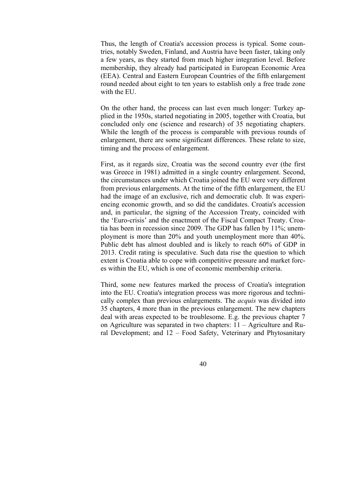Thus, the length of Croatia's accession process is typical. Some countries, notably Sweden, Finland, and Austria have been faster, taking only a few years, as they started from much higher integration level. Before membership, they already had participated in European Economic Area (EEA). Central and Eastern European Countries of the fifth enlargement round needed about eight to ten years to establish only a free trade zone with the EU.

On the other hand, the process can last even much longer: Turkey applied in the 1950s, started negotiating in 2005, together with Croatia, but concluded only one (science and research) of 35 negotiating chapters. While the length of the process is comparable with previous rounds of enlargement, there are some significant differences. These relate to size, timing and the process of enlargement.

First, as it regards size, Croatia was the second country ever (the first was Greece in 1981) admitted in a single country enlargement. Second, the circumstances under which Croatia joined the EU were very different from previous enlargements. At the time of the fifth enlargement, the EU had the image of an exclusive, rich and democratic club. It was experiencing economic growth, and so did the candidates. Croatia's accession and, in particular, the signing of the Accession Treaty, coincided with the 'Euro-crisis' and the enactment of the Fiscal Compact Treaty. Croatia has been in recession since 2009. The GDP has fallen by 11%; unemployment is more than 20% and youth unemployment more than 40%. Public debt has almost doubled and is likely to reach 60% of GDP in 2013. Credit rating is speculative. Such data rise the question to which extent is Croatia able to cope with competitive pressure and market forces within the EU, which is one of economic membership criteria.

Third, some new features marked the process of Croatia's integration into the EU. Croatia's integration process was more rigorous and technically complex than previous enlargements. The *acquis* was divided into 35 chapters, 4 more than in the previous enlargement. The new chapters deal with areas expected to be troublesome. E.g. the previous chapter 7 on Agriculture was separated in two chapters: 11 – Agriculture and Rural Development; and 12 – Food Safety, Veterinary and Phytosanitary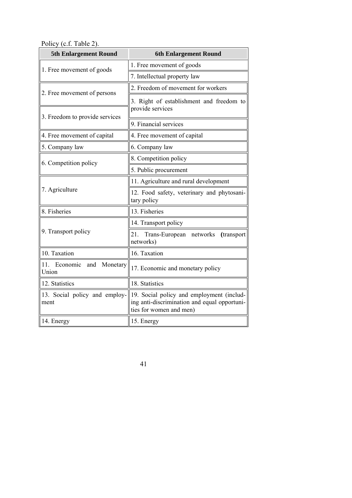Policy (c.f. Table 2).

| <b>5th Enlargement Round</b>             | <b>6th Enlargement Round</b>                                                                                         |  |  |
|------------------------------------------|----------------------------------------------------------------------------------------------------------------------|--|--|
| 1. Free movement of goods                | 1. Free movement of goods                                                                                            |  |  |
|                                          | 7. Intellectual property law                                                                                         |  |  |
| 2. Free movement of persons              | 2. Freedom of movement for workers                                                                                   |  |  |
|                                          | 3. Right of establishment and freedom to<br>provide services                                                         |  |  |
| 3. Freedom to provide services           | 9. Financial services                                                                                                |  |  |
| 4. Free movement of capital              | 4. Free movement of capital                                                                                          |  |  |
| 5. Company law                           | 6. Company law                                                                                                       |  |  |
| 6. Competition policy                    | 8. Competition policy                                                                                                |  |  |
|                                          | 5. Public procurement                                                                                                |  |  |
|                                          | 11. Agriculture and rural development                                                                                |  |  |
| 7. Agriculture                           | 12. Food safety, veterinary and phytosani-<br>tary policy                                                            |  |  |
| 8. Fisheries                             | 13. Fisheries                                                                                                        |  |  |
|                                          | 14. Transport policy                                                                                                 |  |  |
| 9. Transport policy                      | Trans-European networks<br>21.<br>(transport<br>networks)                                                            |  |  |
| 10. Taxation                             | 16. Taxation                                                                                                         |  |  |
| Monetary<br>11. Economic<br>and<br>Union | 17. Economic and monetary policy                                                                                     |  |  |
| 12. Statistics                           | 18. Statistics                                                                                                       |  |  |
| 13. Social policy and employ-<br>ment    | 19. Social policy and employment (includ-<br>ing anti-discrimination and equal opportuni-<br>ties for women and men) |  |  |
| 14. Energy                               | 15. Energy                                                                                                           |  |  |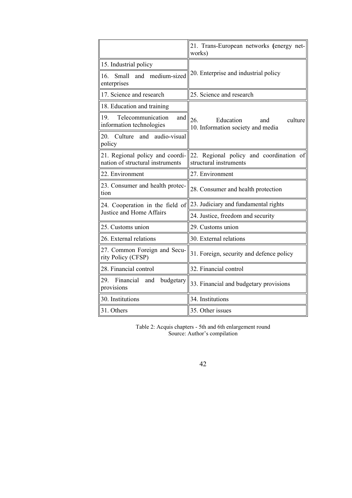|                                                                     | 21. Trans-European networks (energy net-<br>works)                      |  |  |
|---------------------------------------------------------------------|-------------------------------------------------------------------------|--|--|
| 15. Industrial policy                                               |                                                                         |  |  |
| medium-sized<br>Small<br>and<br>16.<br>enterprises                  | 20. Enterprise and industrial policy                                    |  |  |
| 17. Science and research                                            | 25. Science and research                                                |  |  |
| 18. Education and training                                          |                                                                         |  |  |
| 19.<br>Telecommunication<br>and<br>information technologies         | 26.<br>Education<br>culture<br>and<br>10. Information society and media |  |  |
| audio-visual<br>Culture<br>and<br>20.<br>policy                     |                                                                         |  |  |
| 21. Regional policy and coordi-<br>nation of structural instruments | 22. Regional policy and coordination of<br>structural instruments       |  |  |
| 22. Environment                                                     | 27. Environment                                                         |  |  |
| 23. Consumer and health protec-<br>tion                             | 28. Consumer and health protection                                      |  |  |
| 24. Cooperation in the field of                                     | 23. Judiciary and fundamental rights                                    |  |  |
| Justice and Home Affairs                                            | 24. Justice, freedom and security                                       |  |  |
| 25. Customs union                                                   | 29. Customs union                                                       |  |  |
| 26. External relations                                              | 30. External relations                                                  |  |  |
| 27. Common Foreign and Secu-<br>rity Policy (CFSP)                  | 31. Foreign, security and defence policy                                |  |  |
| 28. Financial control                                               | 32. Financial control                                                   |  |  |
| 29.<br>Financial<br>budgetary<br>and<br>provisions                  | 33. Financial and budgetary provisions                                  |  |  |
| 30. Institutions                                                    | 34. Institutions                                                        |  |  |
| 31. Others                                                          | 35. Other issues                                                        |  |  |

Table 2: Acquis chapters - 5th and 6th enlargement round Source: Author's compilation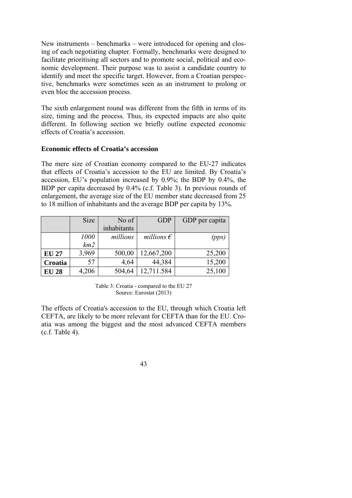New instruments – benchmarks – were introduced for opening and closing of each negotiating chapter. Formally, benchmarks were designed to facilitate prioritising all sectors and to promote social, political and economic development. Their purpose was to assist a candidate country to identify and meet the specific target. However, from a Croatian perspective, benchmarks were sometimes seen as an instrument to prolong or even bloc the accession process.

The sixth enlargement round was different from the fifth in terms of its size, timing and the process. Thus, its expected impacts are also quite different. In following section we briefly outline expected economic effects of Croatia's accession.

## **Economic effects of Croatia's accession**

The mere size of Croatian economy compared to the EU-27 indicates that effects of Croatia's accession to the EU are limited. By Croatia's accession, EU's population increased by 0.9%; the BDP by 0.4%, the BDP per capita decreased by 0.4% (c.f. Table 3). In previous rounds of enlargement, the average size of the EU member state decreased from 25 to 18 million of inhabitants and the average BDP per capita by 13%.

|              | <b>Size</b> | No of       | <b>GDP</b>          | GDP per capita |
|--------------|-------------|-------------|---------------------|----------------|
|              |             | inhabitants |                     |                |
|              | 1000        | millions    | millions $\epsilon$ | (pps)          |
|              | km2         |             |                     |                |
| <b>EU 27</b> | 3,969       | 500,00      | 12,667,200          | 25,200         |
| Croatia      | 57          | 4,64        | 44,384              | 15,200         |
| <b>EU 28</b> | 4,206       | 504,64      | 12,711.584          | 25,100         |

Table 3: Croatia - compared to the EU 27 Source: Eurostat (2013)

The effects of Croatia's accession to the EU, through which Croatia left CEFTA, are likely to be more relevant for CEFTA than for the EU. Croatia was among the biggest and the most advanced CEFTA members (c.f. Table 4).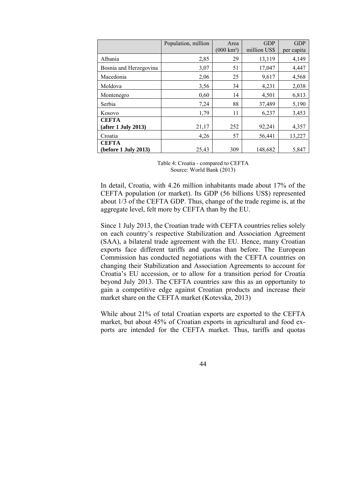|                        | Population, million | Area                 | <b>GDP</b>   | <b>GDP</b> |
|------------------------|---------------------|----------------------|--------------|------------|
|                        |                     | $(000 \text{ km}^2)$ | million US\$ | per capita |
| Albania                | 2,85                | 29                   | 13,119       | 4,149      |
| Bosnia and Herzegovina | 3,07                | 51                   | 17,047       | 4,447      |
| Macedonia              | 2,06                | 25                   | 9,617        | 4,568      |
| Moldova                | 3,56                | 34                   | 4,231        | 2,038      |
| Montenegro             | 0,60                | 14                   | 4,501        | 6,813      |
| Serbia                 | 7,24                | 88                   | 37,489       | 5,190      |
| Kosovo                 | 1,79                | 11                   | 6,237        | 3,453      |
| <b>CEFTA</b>           |                     |                      |              |            |
| (after 1 July 2013)    | 21,17               | 252                  | 92,241       | 4,357      |
| Croatia                | 4,26                | 57                   | 56,441       | 13,227     |
| <b>CEFTA</b>           |                     |                      |              |            |
| (before 1 July 2013)   | 25,43               | 309                  | 148,682      | 5,847      |

Table 4: Croatia - compared to CEFTA Source: World Bank (2013)

In detail, Croatia, with 4.26 million inhabitants made about 17% of the CEFTA population (or market). Its GDP (56 billions US\$) represented about 1/3 of the CEFTA GDP. Thus, change of the trade regime is, at the aggregate level, felt more by CEFTA than by the EU.

Since 1 July 2013, the Croatian trade with CEFTA countries relies solely on each country's respective Stabilization and Association Agreement (SAA), a bilateral trade agreement with the EU. Hence, many Croatian exports face different tariffs and quotas than before. The European Commission has conducted negotiations with the CEFTA countries on changing their Stabilization and Association Agreements to account for Croatia's EU accession, or to allow for a transition period for Croatia beyond July 2013. The CEFTA countries saw this as an opportunity to gain a competitive edge against Croatian products and increase their market share on the CEFTA market (Kotevska, 2013)

While about 21% of total Croatian exports are exported to the CEFTA market, but about 45% of Croatian exports in agricultural and food exports are intended for the CEFTA market. Thus, tariffs and quotas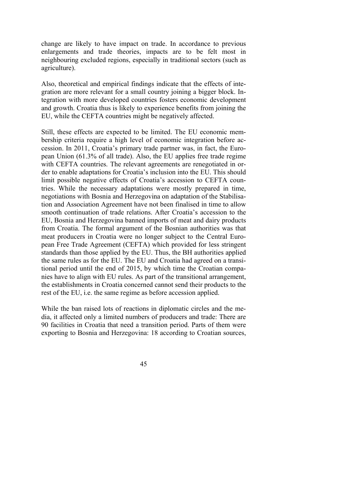change are likely to have impact on trade. In accordance to previous enlargements and trade theories, impacts are to be felt most in neighbouring excluded regions, especially in traditional sectors (such as agriculture).

Also, theoretical and empirical findings indicate that the effects of integration are more relevant for a small country joining a bigger block. Integration with more developed countries fosters economic development and growth. Croatia thus is likely to experience benefits from joining the EU, while the CEFTA countries might be negatively affected.

Still, these effects are expected to be limited. The EU economic membership criteria require a high level of economic integration before accession. In 2011, Croatia's primary trade partner was, in fact, the European Union (61.3% of all trade). Also, the EU applies free trade regime with CEFTA countries. The relevant agreements are renegotiated in order to enable adaptations for Croatia's inclusion into the EU. This should limit possible negative effects of Croatia's accession to CEFTA countries. While the necessary adaptations were mostly prepared in time, negotiations with Bosnia and Herzegovina on adaptation of the Stabilisation and Association Agreement have not been finalised in time to allow smooth continuation of trade relations. After Croatia's accession to the EU, Bosnia and Herzegovina banned imports of meat and dairy products from Croatia. The formal argument of the Bosnian authorities was that meat producers in Croatia were no longer subject to the Central European Free Trade Agreement (CEFTA) which provided for less stringent standards than those applied by the EU. Thus, the BH authorities applied the same rules as for the EU. The EU and Croatia had agreed on a transitional period until the end of 2015, by which time the Croatian companies have to align with EU rules. As part of the transitional arrangement, the establishments in Croatia concerned cannot send their products to the rest of the EU, i.e. the same regime as before accession applied.

While the ban raised lots of reactions in diplomatic circles and the media, it affected only a limited numbers of producers and trade: There are 90 facilities in Croatia that need a transition period. Parts of them were exporting to Bosnia and Herzegovina: 18 according to Croatian sources,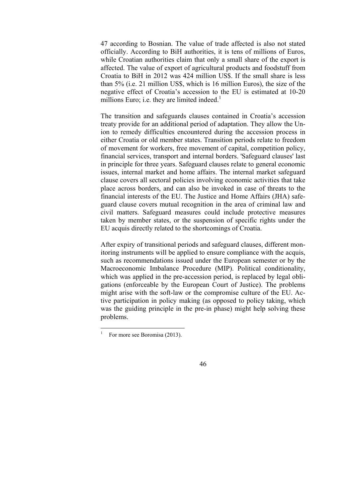47 according to Bosnian. The value of trade affected is also not stated officially. According to BiH authorities, it is tens of millions of Euros, while Croatian authorities claim that only a small share of the export is affected. The value of export of agricultural products and foodstuff from Croatia to BiH in 2012 was 424 million US\$. If the small share is less than 5% (i.e. 21 million US\$, which is 16 million Euros), the size of the negative effect of Croatia's accession to the EU is estimated at 10-20 millions Euro; i.e. they are limited indeed.<sup>1</sup>

The transition and safeguards clauses contained in Croatia's accession treaty provide for an additional period of adaptation. They allow the Union to remedy difficulties encountered during the accession process in either Croatia or old member states. Transition periods relate to freedom of movement for workers, free movement of capital, competition policy, financial services, transport and internal borders. 'Safeguard clauses' last in principle for three years. Safeguard clauses relate to general economic issues, internal market and home affairs. The internal market safeguard clause covers all sectoral policies involving economic activities that take place across borders, and can also be invoked in case of threats to the financial interests of the EU. The Justice and Home Affairs (JHA) safeguard clause covers mutual recognition in the area of criminal law and civil matters. Safeguard measures could include protective measures taken by member states, or the suspension of specific rights under the EU acquis directly related to the shortcomings of Croatia.

After expiry of transitional periods and safeguard clauses, different monitoring instruments will be applied to ensure compliance with the acquis, such as recommendations issued under the European semester or by the Macroeconomic Imbalance Procedure (MIP). Political conditionality, which was applied in the pre-accession period, is replaced by legal obligations (enforceable by the European Court of Justice). The problems might arise with the soft-law or the compromise culture of the EU. Active participation in policy making (as opposed to policy taking, which was the guiding principle in the pre-in phase) might help solving these problems.

 $\frac{1}{1}$ For more see Boromisa (2013).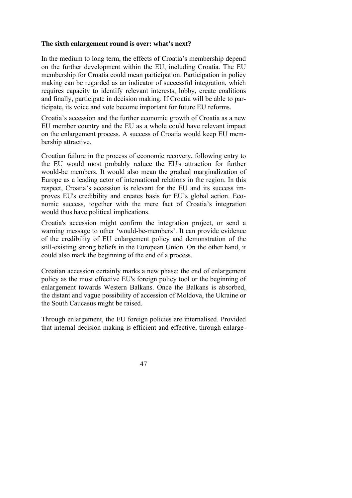## **The sixth enlargement round is over: what's next?**

In the medium to long term, the effects of Croatia's membership depend on the further development within the EU, including Croatia. The EU membership for Croatia could mean participation. Participation in policy making can be regarded as an indicator of successful integration, which requires capacity to identify relevant interests, lobby, create coalitions and finally, participate in decision making. If Croatia will be able to participate, its voice and vote become important for future EU reforms.

Croatia's accession and the further economic growth of Croatia as a new EU member country and the EU as a whole could have relevant impact on the enlargement process. A success of Croatia would keep EU membership attractive.

Croatian failure in the process of economic recovery, following entry to the EU would most probably reduce the EU's attraction for further would-be members. It would also mean the gradual marginalization of Europe as a leading actor of international relations in the region. In this respect, Croatia's accession is relevant for the EU and its success improves EU's credibility and creates basis for EU's global action. Economic success, together with the mere fact of Croatia's integration would thus have political implications.

Croatia's accession might confirm the integration project, or send a warning message to other 'would-be-members'. It can provide evidence of the credibility of EU enlargement policy and demonstration of the still-existing strong beliefs in the European Union. On the other hand, it could also mark the beginning of the end of a process.

Croatian accession certainly marks a new phase: the end of enlargement policy as the most effective EU's foreign policy tool or the beginning of enlargement towards Western Balkans. Once the Balkans is absorbed, the distant and vague possibility of accession of Moldova, the Ukraine or the South Caucasus might be raised.

Through enlargement, the EU foreign policies are internalised. Provided that internal decision making is efficient and effective, through enlarge-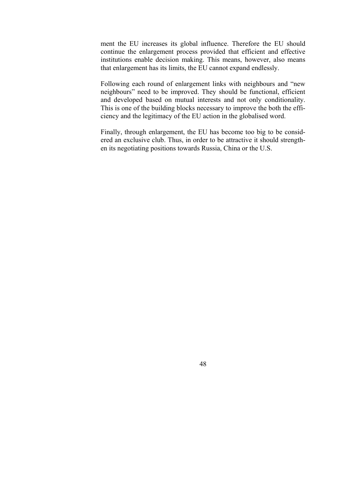ment the EU increases its global influence. Therefore the EU should continue the enlargement process provided that efficient and effective institutions enable decision making. This means, however, also means that enlargement has its limits, the EU cannot expand endlessly.

Following each round of enlargement links with neighbours and "new neighbours" need to be improved. They should be functional, efficient and developed based on mutual interests and not only conditionality. This is one of the building blocks necessary to improve the both the efficiency and the legitimacy of the EU action in the globalised word.

Finally, through enlargement, the EU has become too big to be considered an exclusive club. Thus, in order to be attractive it should strengthen its negotiating positions towards Russia, China or the U.S.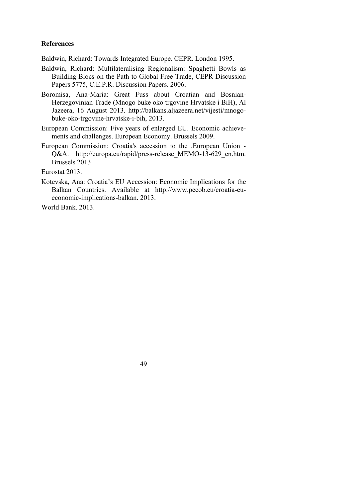# **References**

Baldwin, Richard: Towards Integrated Europe. CEPR. London 1995.

- Baldwin, Richard: Multilateralising Regionalism: Spaghetti Bowls as Building Blocs on the Path to Global Free Trade, CEPR Discussion Papers 5775, C.E.P.R. Discussion Papers. 2006.
- Boromisa, Ana-Maria: Great Fuss about Croatian and Bosnian-Herzegovinian Trade (Mnogo buke oko trgovine Hrvatske i BiH), Al Jazeera, 16 August 2013. http://balkans.aljazeera.net/vijesti/mnogobuke-oko-trgovine-hrvatske-i-bih, 2013.
- European Commission: Five years of enlarged EU. Economic achievements and challenges. European Economy. Brussels 2009.
- European Commission: Croatia's accession to the .European Union Q&A. http://europa.eu/rapid/press-release MEMO-13-629 en.htm. Brussels 2013

Eurostat 2013.

Kotevska, Ana: Croatia's EU Accession: Economic Implications for the Balkan Countries. Available at http://www.pecob.eu/croatia-eueconomic-implications-balkan. 2013.

World Bank. 2013.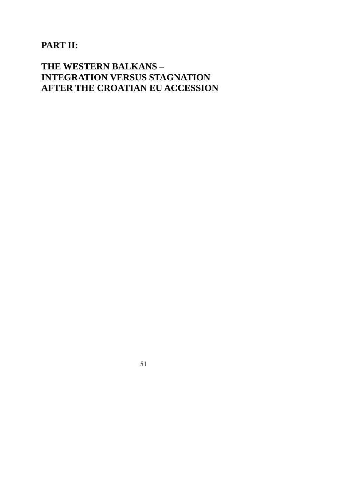# **PART II:**

# **THE WESTERN BALKANS – INTEGRATION VERSUS STAGNATION AFTER THE CROATIAN EU ACCESSION**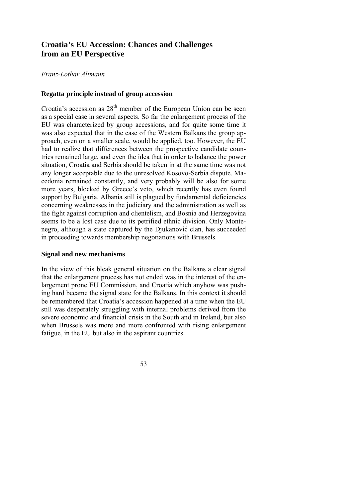# **Croatia's EU Accession: Chances and Challenges from an EU Perspective**

# *Franz-Lothar Altmann*

# **Regatta principle instead of group accession**

Croatia's accession as  $28<sup>th</sup>$  member of the European Union can be seen as a special case in several aspects. So far the enlargement process of the EU was characterized by group accessions, and for quite some time it was also expected that in the case of the Western Balkans the group approach, even on a smaller scale, would be applied, too. However, the EU had to realize that differences between the prospective candidate countries remained large, and even the idea that in order to balance the power situation, Croatia and Serbia should be taken in at the same time was not any longer acceptable due to the unresolved Kosovo-Serbia dispute. Macedonia remained constantly, and very probably will be also for some more years, blocked by Greece's veto, which recently has even found support by Bulgaria. Albania still is plagued by fundamental deficiencies concerning weaknesses in the judiciary and the administration as well as the fight against corruption and clientelism, and Bosnia and Herzegovina seems to be a lost case due to its petrified ethnic division. Only Montenegro, although a state captured by the Djukanović clan, has succeeded in proceeding towards membership negotiations with Brussels.

#### **Signal and new mechanisms**

In the view of this bleak general situation on the Balkans a clear signal that the enlargement process has not ended was in the interest of the enlargement prone EU Commission, and Croatia which anyhow was pushing hard became the signal state for the Balkans. In this context it should be remembered that Croatia's accession happened at a time when the EU still was desperately struggling with internal problems derived from the severe economic and financial crisis in the South and in Ireland, but also when Brussels was more and more confronted with rising enlargement fatigue, in the EU but also in the aspirant countries.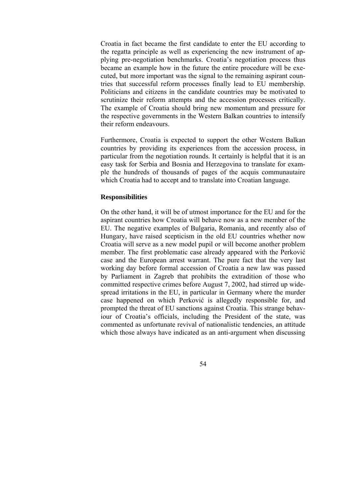Croatia in fact became the first candidate to enter the EU according to the regatta principle as well as experiencing the new instrument of applying pre-negotiation benchmarks. Croatia's negotiation process thus became an example how in the future the entire procedure will be executed, but more important was the signal to the remaining aspirant countries that successful reform processes finally lead to EU membership. Politicians and citizens in the candidate countries may be motivated to scrutinize their reform attempts and the accession processes critically. The example of Croatia should bring new momentum and pressure for the respective governments in the Western Balkan countries to intensify their reform endeavours.

Furthermore, Croatia is expected to support the other Western Balkan countries by providing its experiences from the accession process, in particular from the negotiation rounds. It certainly is helpful that it is an easy task for Serbia and Bosnia and Herzegovina to translate for example the hundreds of thousands of pages of the acquis communautaire which Croatia had to accept and to translate into Croatian language.

#### **Responsibilities**

On the other hand, it will be of utmost importance for the EU and for the aspirant countries how Croatia will behave now as a new member of the EU. The negative examples of Bulgaria, Romania, and recently also of Hungary, have raised scepticism in the old EU countries whether now Croatia will serve as a new model pupil or will become another problem member. The first problematic case already appeared with the Perković case and the European arrest warrant. The pure fact that the very last working day before formal accession of Croatia a new law was passed by Parliament in Zagreb that prohibits the extradition of those who committed respective crimes before August 7, 2002, had stirred up widespread irritations in the EU, in particular in Germany where the murder case happened on which Perković is allegedly responsible for, and prompted the threat of EU sanctions against Croatia. This strange behaviour of Croatia's officials, including the President of the state, was commented as unfortunate revival of nationalistic tendencies, an attitude which those always have indicated as an anti-argument when discussing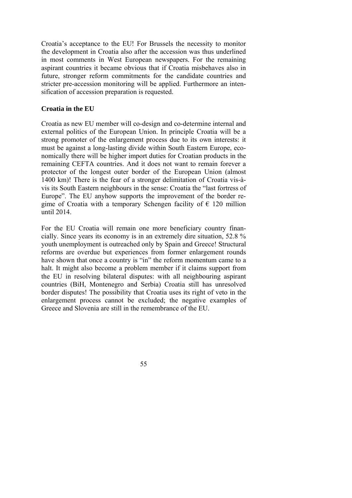Croatia's acceptance to the EU! For Brussels the necessity to monitor the development in Croatia also after the accession was thus underlined in most comments in West European newspapers. For the remaining aspirant countries it became obvious that if Croatia misbehaves also in future, stronger reform commitments for the candidate countries and stricter pre-accession monitoring will be applied. Furthermore an intensification of accession preparation is requested.

## **Croatia in the EU**

Croatia as new EU member will co-design and co-determine internal and external politics of the European Union. In principle Croatia will be a strong promoter of the enlargement process due to its own interests: it must be against a long-lasting divide within South Eastern Europe, economically there will be higher import duties for Croatian products in the remaining CEFTA countries. And it does not want to remain forever a protector of the longest outer border of the European Union (almost 1400 km)! There is the fear of a stronger delimitation of Croatia vis-àvis its South Eastern neighbours in the sense: Croatia the "last fortress of Europe". The EU anyhow supports the improvement of the border regime of Croatia with a temporary Schengen facility of  $\epsilon$  120 million until 2014.

For the EU Croatia will remain one more beneficiary country financially. Since years its economy is in an extremely dire situation, 52.8 % youth unemployment is outreached only by Spain and Greece! Structural reforms are overdue but experiences from former enlargement rounds have shown that once a country is "in" the reform momentum came to a halt. It might also become a problem member if it claims support from the EU in resolving bilateral disputes: with all neighbouring aspirant countries (BiH, Montenegro and Serbia) Croatia still has unresolved border disputes! The possibility that Croatia uses its right of veto in the enlargement process cannot be excluded; the negative examples of Greece and Slovenia are still in the remembrance of the EU.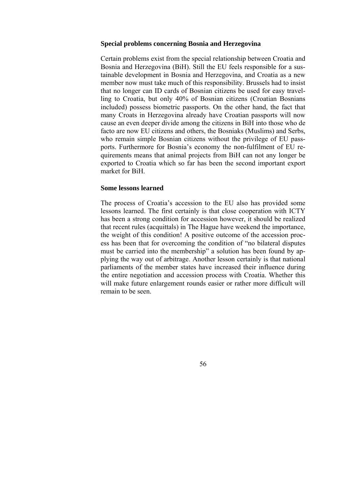#### **Special problems concerning Bosnia and Herzegovina**

Certain problems exist from the special relationship between Croatia and Bosnia and Herzegovina (BiH). Still the EU feels responsible for a sustainable development in Bosnia and Herzegovina, and Croatia as a new member now must take much of this responsibility. Brussels had to insist that no longer can ID cards of Bosnian citizens be used for easy travelling to Croatia, but only 40% of Bosnian citizens (Croatian Bosnians included) possess biometric passports. On the other hand, the fact that many Croats in Herzegovina already have Croatian passports will now cause an even deeper divide among the citizens in BiH into those who de facto are now EU citizens and others, the Bosniaks (Muslims) and Serbs, who remain simple Bosnian citizens without the privilege of EU passports. Furthermore for Bosnia's economy the non-fulfilment of EU requirements means that animal projects from BiH can not any longer be exported to Croatia which so far has been the second important export market for BiH.

#### **Some lessons learned**

The process of Croatia's accession to the EU also has provided some lessons learned. The first certainly is that close cooperation with ICTY has been a strong condition for accession however, it should be realized that recent rules (acquittals) in The Hague have weekend the importance, the weight of this condition! A positive outcome of the accession process has been that for overcoming the condition of "no bilateral disputes must be carried into the membership" a solution has been found by applying the way out of arbitrage. Another lesson certainly is that national parliaments of the member states have increased their influence during the entire negotiation and accession process with Croatia. Whether this will make future enlargement rounds easier or rather more difficult will remain to be seen.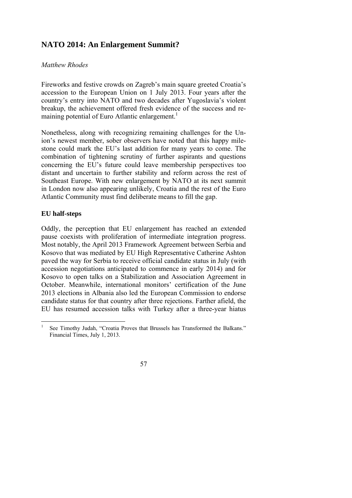# **NATO 2014: An Enlargement Summit?**

# *Matthew Rhodes*

Fireworks and festive crowds on Zagreb's main square greeted Croatia's accession to the European Union on 1 July 2013. Four years after the country's entry into NATO and two decades after Yugoslavia's violent breakup, the achievement offered fresh evidence of the success and remaining potential of Euro Atlantic enlargement.<sup>1</sup>

Nonetheless, along with recognizing remaining challenges for the Union's newest member, sober observers have noted that this happy milestone could mark the EU's last addition for many years to come. The combination of tightening scrutiny of further aspirants and questions concerning the EU's future could leave membership perspectives too distant and uncertain to further stability and reform across the rest of Southeast Europe. With new enlargement by NATO at its next summit in London now also appearing unlikely, Croatia and the rest of the Euro Atlantic Community must find deliberate means to fill the gap.

# **EU half-steps**

Oddly, the perception that EU enlargement has reached an extended pause coexists with proliferation of intermediate integration progress. Most notably, the April 2013 Framework Agreement between Serbia and Kosovo that was mediated by EU High Representative Catherine Ashton paved the way for Serbia to receive official candidate status in July (with accession negotiations anticipated to commence in early 2014) and for Kosovo to open talks on a Stabilization and Association Agreement in October. Meanwhile, international monitors' certification of the June 2013 elections in Albania also led the European Commission to endorse candidate status for that country after three rejections. Farther afield, the EU has resumed accession talks with Turkey after a three-year hiatus

 1 See Timothy Judah, "Croatia Proves that Brussels has Transformed the Balkans." Financial Times, July 1, 2013.

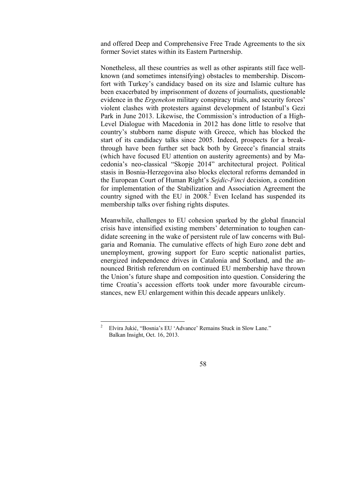and offered Deep and Comprehensive Free Trade Agreements to the six former Soviet states within its Eastern Partnership.

Nonetheless, all these countries as well as other aspirants still face wellknown (and sometimes intensifying) obstacles to membership. Discomfort with Turkey's candidacy based on its size and Islamic culture has been exacerbated by imprisonment of dozens of journalists, questionable evidence in the *Ergenekon* military conspiracy trials, and security forces' violent clashes with protesters against development of Istanbul's Gezi Park in June 2013. Likewise, the Commission's introduction of a High-Level Dialogue with Macedonia in 2012 has done little to resolve that country's stubborn name dispute with Greece, which has blocked the start of its candidacy talks since 2005. Indeed, prospects for a breakthrough have been further set back both by Greece's financial straits (which have focused EU attention on austerity agreements) and by Macedonia's neo-classical "Skopje 2014" architectural project. Political stasis in Bosnia-Herzegovina also blocks electoral reforms demanded in the European Court of Human Right's *Sejdic-Finci* decision, a condition for implementation of the Stabilization and Association Agreement the country signed with the EU in  $2008<sup>2</sup>$  Even Iceland has suspended its membership talks over fishing rights disputes.

Meanwhile, challenges to EU cohesion sparked by the global financial crisis have intensified existing members' determination to toughen candidate screening in the wake of persistent rule of law concerns with Bulgaria and Romania. The cumulative effects of high Euro zone debt and unemployment, growing support for Euro sceptic nationalist parties, energized independence drives in Catalonia and Scotland, and the announced British referendum on continued EU membership have thrown the Union's future shape and composition into question. Considering the time Croatia's accession efforts took under more favourable circumstances, new EU enlargement within this decade appears unlikely.

 $\frac{1}{2}$  Elvira Jukić, "Bosnia's EU 'Advance' Remains Stuck in Slow Lane." Balkan Insight, Oct. 16, 2013.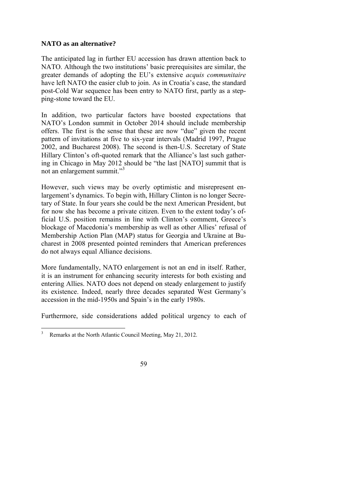# **NATO as an alternative?**

The anticipated lag in further EU accession has drawn attention back to NATO. Although the two institutions' basic prerequisites are similar, the greater demands of adopting the EU's extensive *acquis communitaire*  have left NATO the easier club to join. As in Croatia's case, the standard post-Cold War sequence has been entry to NATO first, partly as a stepping-stone toward the EU.

In addition, two particular factors have boosted expectations that NATO's London summit in October 2014 should include membership offers. The first is the sense that these are now "due" given the recent pattern of invitations at five to six-year intervals (Madrid 1997, Prague 2002, and Bucharest 2008). The second is then-U.S. Secretary of State Hillary Clinton's oft-quoted remark that the Alliance's last such gathering in Chicago in May 2012 should be "the last [NATO] summit that is not an enlargement summit."<sup>3</sup>

However, such views may be overly optimistic and misrepresent enlargement's dynamics. To begin with, Hillary Clinton is no longer Secretary of State. In four years she could be the next American President, but for now she has become a private citizen. Even to the extent today's official U.S. position remains in line with Clinton's comment, Greece's blockage of Macedonia's membership as well as other Allies' refusal of Membership Action Plan (MAP) status for Georgia and Ukraine at Bucharest in 2008 presented pointed reminders that American preferences do not always equal Alliance decisions.

More fundamentally, NATO enlargement is not an end in itself. Rather, it is an instrument for enhancing security interests for both existing and entering Allies. NATO does not depend on steady enlargement to justify its existence. Indeed, nearly three decades separated West Germany's accession in the mid-1950s and Spain's in the early 1980s.

Furthermore, side considerations added political urgency to each of

<sup>&</sup>lt;sup>2</sup><br>3 Remarks at the North Atlantic Council Meeting, May 21, 2012.

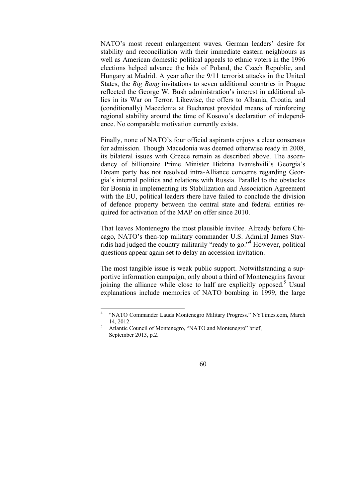NATO's most recent enlargement waves. German leaders' desire for stability and reconciliation with their immediate eastern neighbours as well as American domestic political appeals to ethnic voters in the 1996 elections helped advance the bids of Poland, the Czech Republic, and Hungary at Madrid. A year after the 9/11 terrorist attacks in the United States, the *Big Bang* invitations to seven additional countries in Prague reflected the George W. Bush administration's interest in additional allies in its War on Terror. Likewise, the offers to Albania, Croatia, and (conditionally) Macedonia at Bucharest provided means of reinforcing regional stability around the time of Kosovo's declaration of independence. No comparable motivation currently exists.

Finally, none of NATO's four official aspirants enjoys a clear consensus for admission. Though Macedonia was deemed otherwise ready in 2008, its bilateral issues with Greece remain as described above. The ascendancy of billionaire Prime Minister Bidzina Ivanishvili's Georgia's Dream party has not resolved intra-Alliance concerns regarding Georgia's internal politics and relations with Russia. Parallel to the obstacles for Bosnia in implementing its Stabilization and Association Agreement with the EU, political leaders there have failed to conclude the division of defence property between the central state and federal entities required for activation of the MAP on offer since 2010.

That leaves Montenegro the most plausible invitee. Already before Chicago, NATO's then-top military commander U.S. Admiral James Stavridis had judged the country militarily "ready to go."4 However, political questions appear again set to delay an accession invitation.

The most tangible issue is weak public support. Notwithstanding a supportive information campaign, only about a third of Montenegrins favour joining the alliance while close to half are explicitly opposed.<sup>5</sup> Usual explanations include memories of NATO bombing in 1999, the large

Atlantic Council of Montenegro, "NATO and Montenegro" brief, September 2013, p.2.



 $\frac{1}{4}$  "NATO Commander Lauds Montenegro Military Progress." NYTimes.com, March  $14, 2012.$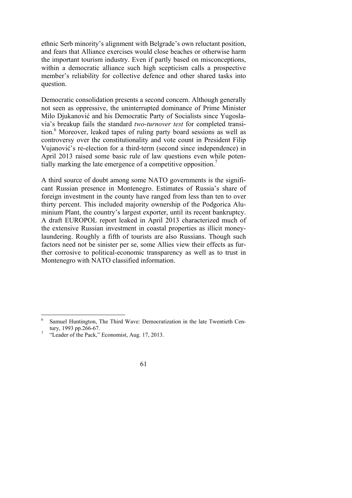ethnic Serb minority's alignment with Belgrade's own reluctant position, and fears that Alliance exercises would close beaches or otherwise harm the important tourism industry. Even if partly based on misconceptions, within a democratic alliance such high scepticism calls a prospective member's reliability for collective defence and other shared tasks into question.

Democratic consolidation presents a second concern. Although generally not seen as oppressive, the uninterrupted dominance of Prime Minister Milo Djukanović and his Democratic Party of Socialists since Yugoslavia's breakup fails the standard *two-turnover test* for completed transition.<sup>6</sup> Moreover, leaked tapes of ruling party board sessions as well as controversy over the constitutionality and vote count in President Filip Vujanović's re-election for a third-term (second since independence) in April 2013 raised some basic rule of law questions even while potentially marking the late emergence of a competitive opposition.<sup>7</sup>

A third source of doubt among some NATO governments is the significant Russian presence in Montenegro. Estimates of Russia's share of foreign investment in the county have ranged from less than ten to over thirty percent. This included majority ownership of the Podgorica Aluminium Plant, the country's largest exporter, until its recent bankruptcy. A draft EUROPOL report leaked in April 2013 characterized much of the extensive Russian investment in coastal properties as illicit moneylaundering. Roughly a fifth of tourists are also Russians. Though such factors need not be sinister per se, some Allies view their effects as further corrosive to political-economic transparency as well as to trust in Montenegro with NATO classified information.

 6 Samuel Huntington, The Third Wave: Democratization in the late Twentieth Century, 1993 pp.266-67.

 <sup>&</sup>quot;Leader of the Pack," Economist, Aug. 17, 2013.

<sup>61</sup>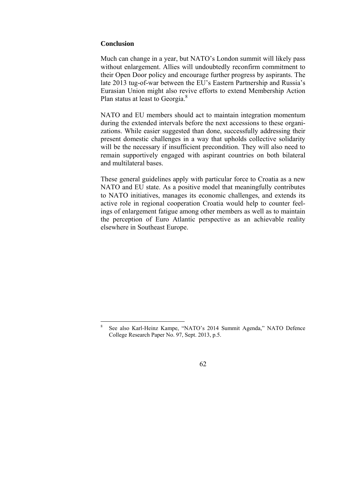# **Conclusion**

Much can change in a year, but NATO's London summit will likely pass without enlargement. Allies will undoubtedly reconfirm commitment to their Open Door policy and encourage further progress by aspirants. The late 2013 tug-of-war between the EU's Eastern Partnership and Russia's Eurasian Union might also revive efforts to extend Membership Action Plan status at least to Georgia.<sup>8</sup>

NATO and EU members should act to maintain integration momentum during the extended intervals before the next accessions to these organizations. While easier suggested than done, successfully addressing their present domestic challenges in a way that upholds collective solidarity will be the necessary if insufficient precondition. They will also need to remain supportively engaged with aspirant countries on both bilateral and multilateral bases.

These general guidelines apply with particular force to Croatia as a new NATO and EU state. As a positive model that meaningfully contributes to NATO initiatives, manages its economic challenges, and extends its active role in regional cooperation Croatia would help to counter feelings of enlargement fatigue among other members as well as to maintain the perception of Euro Atlantic perspective as an achievable reality elsewhere in Southeast Europe.

<sup>-&</sup>lt;br>8 See also Karl-Heinz Kampe, "NATO's 2014 Summit Agenda," NATO Defence College Research Paper No. 97, Sept. 2013, p.5.

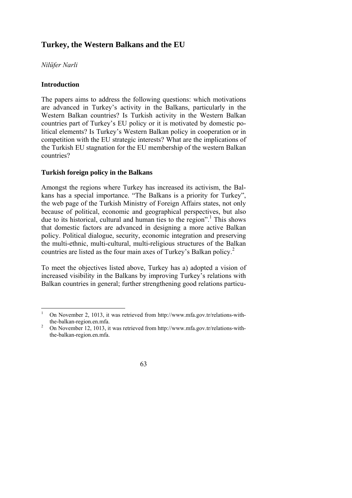# **Turkey, the Western Balkans and the EU**

# *Nilüfer Narli*

# **Introduction**

The papers aims to address the following questions: which motivations are advanced in Turkey's activity in the Balkans, particularly in the Western Balkan countries? Is Turkish activity in the Western Balkan countries part of Turkey's EU policy or it is motivated by domestic political elements? Is Turkey's Western Balkan policy in cooperation or in competition with the EU strategic interests? What are the implications of the Turkish EU stagnation for the EU membership of the western Balkan countries?

# **Turkish foreign policy in the Balkans**

Amongst the regions where Turkey has increased its activism, the Balkans has a special importance. "The Balkans is a priority for Turkey", the web page of the Turkish Ministry of Foreign Affairs states, not only because of political, economic and geographical perspectives, but also due to its historical, cultural and human ties to the region".<sup>1</sup> This shows that domestic factors are advanced in designing a more active Balkan policy. Political dialogue, security, economic integration and preserving the multi-ethnic, multi-cultural, multi-religious structures of the Balkan countries are listed as the four main axes of Turkey's Balkan policy.2

To meet the objectives listed above, Turkey has a) adopted a vision of increased visibility in the Balkans by improving Turkey's relations with Balkan countries in general; further strengthening good relations particu-

On November 12, 1013, it was retrieved from http://www.mfa.gov.tr/relations-withthe-balkan-region.en.mfa.



 $\frac{1}{1}$  On November 2, 1013, it was retrieved from http://www.mfa.gov.tr/relations-withthe-balkan-region.en.mfa.<br> $\frac{2}{\pi}$  On November 12, 1012, it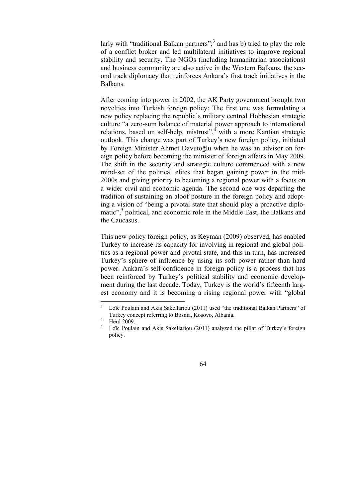larly with "traditional Balkan partners";<sup>3</sup> and has b) tried to play the role of a conflict broker and led multilateral initiatives to improve regional stability and security. The NGOs (including humanitarian associations) and business community are also active in the Western Balkans, the second track diplomacy that reinforces Ankara's first track initiatives in the Balkans.

After coming into power in 2002, the AK Party government brought two novelties into Turkish foreign policy: The first one was formulating a new policy replacing the republic's military centred Hobbesian strategic culture "a zero-sum balance of material power approach to international relations, based on self-help, mistrust", with a more Kantian strategic outlook. This change was part of Turkey's new foreign policy, initiated by Foreign Minister Ahmet Davutoğlu when he was an advisor on foreign policy before becoming the minister of foreign affairs in May 2009. The shift in the security and strategic culture commenced with a new mind-set of the political elites that began gaining power in the mid-2000s and giving priority to becoming a regional power with a focus on a wider civil and economic agenda. The second one was departing the tradition of sustaining an aloof posture in the foreign policy and adopting a vision of "being a pivotal state that should play a proactive diplomatic",<sup>5</sup> political, and economic role in the Middle East, the Balkans and the Caucasus.

This new policy foreign policy, as Keyman (2009) observed, has enabled Turkey to increase its capacity for involving in regional and global politics as a regional power and pivotal state, and this in turn, has increased Turkey's sphere of influence by using its soft power rather than hard power. Ankara's self-confidence in foreign policy is a process that has been reinforced by Turkey's political stability and economic development during the last decade. Today, Turkey is the world's fifteenth largest economy and it is becoming a rising regional power with "global

<sup>5</sup> Loïc Poulain and Akis Sakellariou (2011) analyzed the pillar of Turkey's foreign policy.



 $\frac{1}{3}$  Loïc Poulain and Akis Sakellariou (2011) used "the traditional Balkan Partners" of Turkey concept referring to Bosnia, Kosovo, Albania. 4

Herd 2009.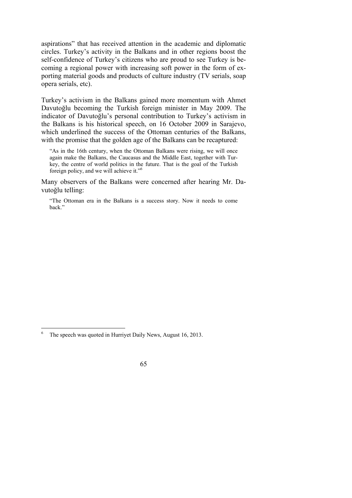aspirations" that has received attention in the academic and diplomatic circles. Turkey's activity in the Balkans and in other regions boost the self-confidence of Turkey's citizens who are proud to see Turkey is becoming a regional power with increasing soft power in the form of exporting material goods and products of culture industry (TV serials, soap opera serials, etc).

Turkey's activism in the Balkans gained more momentum with Ahmet Davutoğlu becoming the Turkish foreign minister in May 2009. The indicator of Davutoğlu's personal contribution to Turkey's activism in the Balkans is his historical speech, on 16 October 2009 in Sarajevo, which underlined the success of the Ottoman centuries of the Balkans, with the promise that the golden age of the Balkans can be recaptured:

"As in the 16th century, when the Ottoman Balkans were rising, we will once again make the Balkans, the Caucasus and the Middle East, together with Turkey, the centre of world politics in the future. That is the goal of the Turkish foreign policy, and we will achieve it."6

Many observers of the Balkans were concerned after hearing Mr. Davutoğlu telling:

"The Ottoman era in the Balkans is a success story. Now it needs to come back."

 $\frac{1}{6}$ The speech was quoted in Hurriyet Daily News, August 16, 2013.

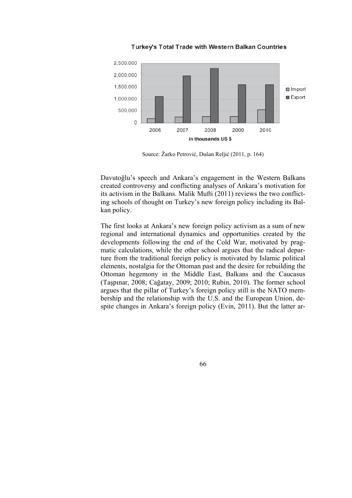

Turkey's Total Trade with Western Balkan Countries

Source: Žarko Petrović, Dušan Reljić (2011, p. 164)

Davutoğlu's speech and Ankara's engagement in the Western Balkans created controversy and conflicting analyses of Ankara's motivation for its activism in the Balkans. Malik Mufti (2011) reviews the two conflicting schools of thought on Turkey's new foreign policy including its Balkan policy.

The first looks at Ankara's new foreign policy activism as a sum of new regional and international dynamics and opportunities created by the developments following the end of the Cold War, motivated by pragmatic calculations, while the other school argues that the radical departure from the traditional foreign policy is motivated by Islamic political elements, nostalgia for the Ottoman past and the desire for rebuilding the Ottoman hegemony in the Middle East, Balkans and the Caucasus (Taşpınar, 2008; Cağatay, 2009; 2010; Rubin, 2010). The former school argues that the pillar of Turkey's foreign policy still is the NATO membership and the relationship with the U.S. and the European Union, despite changes in Ankara's foreign policy (Evin, 2011). But the latter ar-

66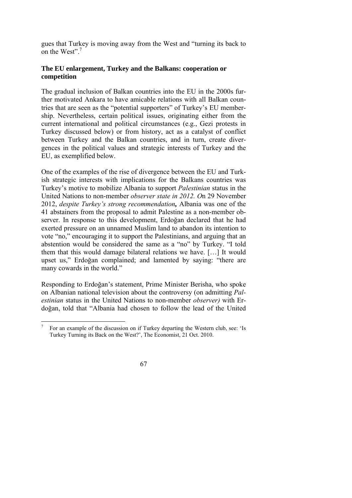gues that Turkey is moving away from the West and "turning its back to on the West".<sup>7</sup>

# **The EU enlargement, Turkey and the Balkans: cooperation or competition**

The gradual inclusion of Balkan countries into the EU in the 2000s further motivated Ankara to have amicable relations with all Balkan countries that are seen as the "potential supporters" of Turkey's EU membership. Nevertheless, certain political issues, originating either from the current international and political circumstances (e.g., Gezi protests in Turkey discussed below) or from history, act as a catalyst of conflict between Turkey and the Balkan countries, and in turn, create divergences in the political values and strategic interests of Turkey and the EU, as exemplified below.

One of the examples of the rise of divergence between the EU and Turkish strategic interests with implications for the Balkans countries was Turkey's motive to mobilize Albania to support *Palestinian* status in the United Nations to non-member *observer state in 2012. O*n 29 November 2012, *despite Turkey's strong recommendation,* Albania was one of the 41 abstainers from the proposal to admit Palestine as a non-member observer. In response to this development, Erdoğan declared that he had exerted pressure on an unnamed Muslim land to abandon its intention to vote "no," encouraging it to support the Palestinians, and arguing that an abstention would be considered the same as a "no" by Turkey. "I told them that this would damage bilateral relations we have. […] It would upset us," Erdoğan complained; and lamented by saying: "there are many cowards in the world."

Responding to Erdoğan's statement, Prime Minister Berisha, who spoke on Albanian national television about the controversy (on admitting *Palestinian* status in the United Nations to non-member *observer)* with Erdoğan, told that "Albania had chosen to follow the lead of the United

 7 For an example of the discussion on if Turkey departing the Western club, see: 'Is Turkey Turning its Back on the West?', The Economist, 21 Oct. 2010.

<sup>67</sup>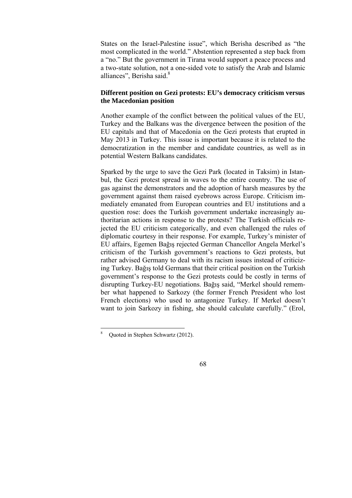States on the Israel-Palestine issue", which Berisha described as "the most complicated in the world." Abstention represented a step back from a "no." But the government in Tirana would support a peace process and a two-state solution, not a one-sided vote to satisfy the Arab and Islamic alliances", Berisha said.<sup>8</sup>

# **Different position on Gezi protests: EU's democracy criticism versus the Macedonian position**

Another example of the conflict between the political values of the EU, Turkey and the Balkans was the divergence between the position of the EU capitals and that of Macedonia on the Gezi protests that erupted in May 2013 in Turkey. This issue is important because it is related to the democratization in the member and candidate countries, as well as in potential Western Balkans candidates.

Sparked by the urge to save the Gezi Park (located in Taksim) in Istanbul, the Gezi protest spread in waves to the entire country. The use of gas against the demonstrators and the adoption of harsh measures by the government against them raised eyebrows across Europe. Criticism immediately emanated from European countries and EU institutions and a question rose: does the Turkish government undertake increasingly authoritarian actions in response to the protests? The Turkish officials rejected the EU criticism categorically, and even challenged the rules of diplomatic courtesy in their response. For example, Turkey's minister of EU affairs, Egemen Bağış rejected German Chancellor Angela Merkel's criticism of the Turkish government's reactions to Gezi protests, but rather advised Germany to deal with its racism issues instead of criticizing Turkey. Bağış told Germans that their critical position on the Turkish government's response to the Gezi protests could be costly in terms of disrupting Turkey-EU negotiations. Bağış said, "Merkel should remember what happened to Sarkozy (the former French President who lost French elections) who used to antagonize Turkey. If Merkel doesn't want to join Sarkozy in fishing, she should calculate carefully." (Erol,

<sup>-&</sup>lt;br>8 Quoted in Stephen Schwartz (2012).

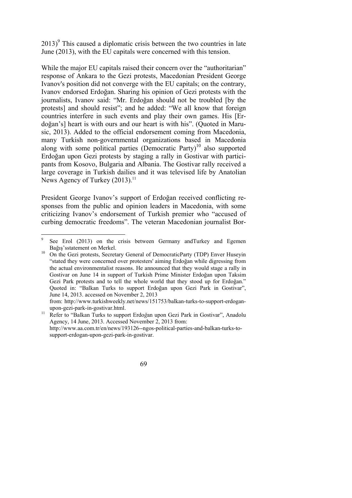$2013$ <sup>9</sup> This caused a diplomatic crisis between the two countries in late June (2013), with the EU capitals were concerned with this tension.

While the major EU capitals raised their concern over the "authoritarian" response of Ankara to the Gezi protests, Macedonian President George Ivanov's position did not converge with the EU capitals; on the contrary, Ivanov endorsed Erdoğan. Sharing his opinion of Gezi protests with the journalists, Ivanov said: "Mr. Erdoğan should not be troubled [by the protests] and should resist"; and he added: "We all know that foreign countries interfere in such events and play their own games. His [Erdoğan's] heart is with ours and our heart is with his". (Quoted in Marusic, 2013). Added to the official endorsement coming from Macedonia, many Turkish non-governmental organizations based in Macedonia along with some political parties (Democratic Party)<sup>10</sup> also supported Erdoğan upon Gezi protests by staging a rally in Gostivar with participants from Kosovo, Bulgaria and Albania. The Gostivar rally received a large coverage in Turkish dailies and it was televised life by Anatolian News Agency of Turkey (2013).<sup>11</sup>

President George Ivanov's support of Erdoğan received conflicting responses from the public and opinion leaders in Macedonia, with some criticizing Ivanov's endorsement of Turkish premier who "accused of curbing democratic freedoms". The veteran Macedonian journalist Bor-

Agency, 14 June, 2013. Accessed November 2, 2013 from: http://www.aa.com.tr/en/news/193126--ngos-political-parties-and-balkan-turks-tosupport-erdogan-upon-gezi-park-in-gostivar.



 $\overline{a}$ 9 See Erol (2013) on the crisis between Germany andTurkey and Egemen

Bağış'sstatement on Merkel.<br><sup>10</sup> On the Gezi protests, Secretary General of DemocraticParty (TDP) Enver Huseyin "stated they were concerned over protesters' aiming Erdoğan while digressing from the actual environmentalist reasons. He announced that they would stage a rally in Gostivar on June 14 in support of Turkish Prime Minister Erdoğan upon Taksim Gezi Park protests and to tell the whole world that they stood up for Erdoğan." Quoted in: "Balkan Turks to support Erdoğan upon Gezi Park in Gostivar", June 14, 2013. accessed on November 2, 2013

from: http://www.turkishweekly.net/news/151753/balkan-turks-to-support-erdoganupon-gezi-park-in-gostivar.html. 11 Refer to "Balkan Turks to support Erdo*ğ*an upon Gezi Park in Gostivar", Anadolu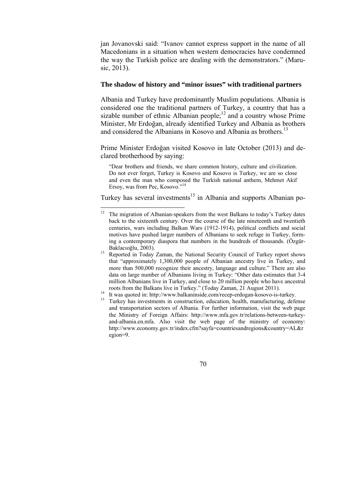jan Jovanovski said: "Ivanov cannot express support in the name of all Macedonians in a situation when western democracies have condemned the way the Turkish police are dealing with the demonstrators." (Marusic, 2013).

#### **The shadow of history and "minor issues" with traditional partners**

Albania and Turkey have predominantly Muslim populations. Albania is considered one the traditional partners of Turkey, a country that has a sizable number of ethnic Albanian people; $12$  and a country whose Prime Minister, Mr Erdoğan, already identified Turkey and Albania as brothers and considered the Albanians in Kosovo and Albania as brothers.<sup>13</sup>

Prime Minister Erdoğan visited Kosovo in late October (2013) and declared brotherhood by saying:

"Dear brothers and friends, we share common history, culture and civilization. Do not ever forget, Turkey is Kosovo and Kosovo is Turkey, we are so close and even the man who composed the Turkish national anthem, Mehmet Akif Ersoy, was from Pec, Kosovo."14

Turkey has several investments<sup>15</sup> in Albania and supports Albanian po-

-

Turkey has investments in construction, education, health, manufacturing, defense and transportation sectors of Albania. For further information, visit the web page the Ministry of Foreign Affairs: http://www.mfa.gov.tr/relations-between-turkeyand-albania.en.mfa. Also visit the web page of the ministry of economy: http://www.economy.gov.tr/index.cfm?sayfa=countriesandregions&country=AL&r egion=9.



The migration of Albanian-speakers from the west Balkans to today's Turkey dates back to the sixteenth century. Over the course of the late nineteenth and twentieth centuries, wars including Balkan Wars (1912-1914), political conflicts and social motives have pushed larger numbers of Albanians to seek refuge in Turkey, forming a contemporary diaspora that numbers in the hundreds of thousands. (Özgür-Baklacıoğlu, 2003).<br><sup>13</sup> Reported in Today Zaman, the National Security Council of Turkey report shows

that "approximately 1,300,000 people of Albanian ancestry live in Turkey, and more than 500,000 recognize their ancestry, language and culture." There are also data on large number of Albanians living in Turkey: "Other data estimates that 3-4 million Albanians live in Turkey, and close to 20 million people who have ancestral roots from the Balkans live in Turkey." (Today Zaman, 21 August 2011).<br>
<sup>14</sup> It was quoted in: http://www.balkaninside.com/recep-erdogan-kosovo-is-turkey.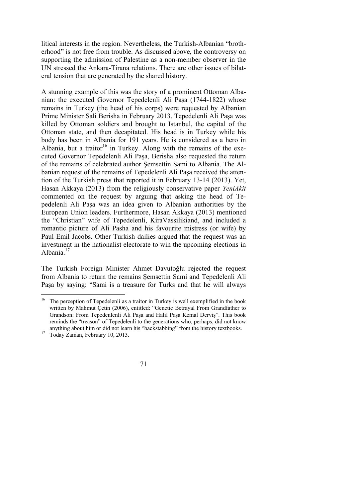litical interests in the region. Nevertheless, the Turkish-Albanian "brotherhood" is not free from trouble. As discussed above, the controversy on supporting the admission of Palestine as a non-member observer in the UN stressed the Ankara-Tirana relations. There are other issues of bilateral tension that are generated by the shared history.

A stunning example of this was the story of a prominent Ottoman Albanian: the executed Governor Tepedelenli Ali Paşa (1744-1822) whose remains in Turkey (the head of his corps) were requested by Albanian Prime Minister Sali Berisha in February 2013. Tepedelenli Ali Paşa was killed by Ottoman soldiers and brought to Istanbul, the capital of the Ottoman state, and then decapitated. His head is in Turkey while his body has been in Albania for 191 years. He is considered as a hero in Albania, but a traitor<sup>16</sup> in Turkey. Along with the remains of the executed Governor Tepedelenli Ali Paşa, Berisha also requested the return of the remains of celebrated author Şemsettin Sami to Albania. The Albanian request of the remains of Tepedelenli Ali Paşa received the attention of the Turkish press that reported it in February 13-14 (2013). Yet, Hasan Akkaya (2013) from the religiously conservative paper *YeniAkit*  commented on the request by arguing that asking the head of Tepedelenli Ali Paşa was an idea given to Albanian authorities by the European Union leaders. Furthermore, Hasan Akkaya (2013) mentioned the "Christian" wife of Tepedelenli, KiraVassilikiand, and included a romantic picture of Ali Pasha and his favourite mistress (or wife) by Paul Emil Jacobs. Other Turkish dailies argued that the request was an investment in the nationalist electorate to win the upcoming elections in Albania.<sup>17</sup>

The Turkish Foreign Minister Ahmet Davutoğlu rejected the request from Albania to return the remains Şemsettin Sami and Tepedelenli Ali Paşa by saying: "Sami is a treasure for Turks and that he will always

 $\overline{a}$ 



 $16$  The perception of Tepedelenli as a traitor in Turkey is well exemplified in the book written by Mahmut Çetin (2006), entitled: "Genetic Betrayal From Grandfather to Grandson: From Tepedenlenli Ali Paşa and Halil Paşa Kemal Derviş". This book reminds the "treason" of Tepedelenli to the generations who, perhaps, did not know anything about him or did not learn his "backstabbing" from the history textbooks. 17 Today Zaman, February 10, 2013.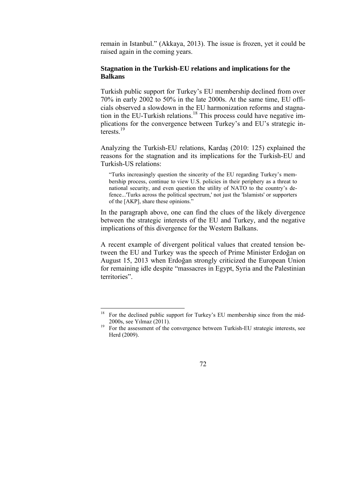remain in Istanbul." (Akkaya, 2013). The issue is frozen, yet it could be raised again in the coming years.

#### **Stagnation in the Turkish-EU relations and implications for the Balkans**

Turkish public support for Turkey's EU membership declined from over 70% in early 2002 to 50% in the late 2000s. At the same time, EU officials observed a slowdown in the EU harmonization reforms and stagnation in the EU-Turkish relations.<sup>18</sup> This process could have negative implications for the convergence between Turkey's and EU's strategic interests<sup>19</sup>

Analyzing the Turkish-EU relations, Kardaş (2010: 125) explained the reasons for the stagnation and its implications for the Turkish-EU and Turkish-US relations:

"Turks increasingly question the sincerity of the EU regarding Turkey's membership process, continue to view U.S. policies in their periphery as a threat to national security, and even question the utility of NATO to the country's defence...'Turks across the political spectrum,' not just the 'Islamists' or supporters of the [AKP], share these opinions."

In the paragraph above, one can find the clues of the likely divergence between the strategic interests of the EU and Turkey, and the negative implications of this divergence for the Western Balkans.

A recent example of divergent political values that created tension between the EU and Turkey was the speech of Prime Minister Erdoğan on August 15, 2013 when Erdoğan strongly criticized the European Union for remaining idle despite "massacres in Egypt, Syria and the Palestinian territories".

Herd (2009).



<sup>18</sup> 18 For the declined public support for Turkey's EU membership since from the mid-2000s, see Yılmaz (2011).<br><sup>19</sup> For the assessment of the convergence between Turkish-EU strategic interests, see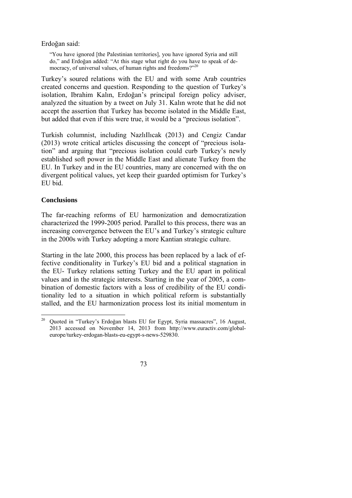Erdoğan said:

"You have ignored [the Palestinian territories], you have ignored Syria and still do," and Erdoğan added: "At this stage what right do you have to speak of democracy, of universal values, of human rights and freedoms?"<sup>20</sup>

Turkey's soured relations with the EU and with some Arab countries created concerns and question. Responding to the question of Turkey's isolation, Ibrahim Kalın, Erdoğan's principal foreign policy adviser, analyzed the situation by a tweet on July 31. Kalın wrote that he did not accept the assertion that Turkey has become isolated in the Middle East, but added that even if this were true, it would be a "precious isolation".

Turkish columnist, including NazlıIlıcak (2013) and Cengiz Candar (2013) wrote critical articles discussing the concept of "precious isolation" and arguing that "precious isolation could curb Turkey's newly established soft power in the Middle East and alienate Turkey from the EU. In Turkey and in the EU countries, many are concerned with the on divergent political values, yet keep their guarded optimism for Turkey's EU bid.

### **Conclusions**

The far-reaching reforms of EU harmonization and democratization characterized the 1999-2005 period. Parallel to this process, there was an increasing convergence between the EU's and Turkey's strategic culture in the 2000s with Turkey adopting a more Kantian strategic culture.

Starting in the late 2000, this process has been replaced by a lack of effective conditionality in Turkey's EU bid and a political stagnation in the EU- Turkey relations setting Turkey and the EU apart in political values and in the strategic interests. Starting in the year of 2005, a combination of domestic factors with a loss of credibility of the EU conditionality led to a situation in which political reform is substantially stalled, and the EU harmonization process lost its initial momentum in

 <sup>20</sup> Quoted in "Turkey's Erdoğan blasts EU for Egypt, Syria massacres", 16 August, 2013 accessed on November 14, 2013 from http://www.euractiv.com/globaleurope/turkey-erdogan-blasts-eu-egypt-s-news-529830.

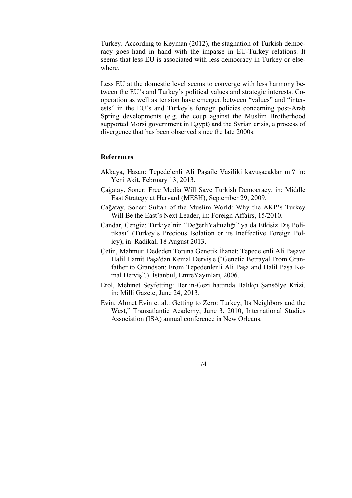Turkey. According to Keyman (2012), the stagnation of Turkish democracy goes hand in hand with the impasse in EU-Turkey relations. It seems that less EU is associated with less democracy in Turkey or elsewhere.

Less EU at the domestic level seems to converge with less harmony between the EU's and Turkey's political values and strategic interests. Cooperation as well as tension have emerged between "values" and "interests" in the EU's and Turkey's foreign policies concerning post-Arab Spring developments (e.g. the coup against the Muslim Brotherhood supported Morsi government in Egypt) and the Syrian crisis, a process of divergence that has been observed since the late 2000s.

#### **References**

- Akkaya, Hasan: Tepedelenli Ali Paşaile Vasiliki kavuşacaklar mı? in: Yeni Akit, February 13, 2013.
- Çağatay, Soner: Free Media Will Save Turkish Democracy, in: Middle East Strategy at Harvard (MESH), September 29, 2009.
- Cağatay, Soner: Sultan of the Muslim World: Why the AKP's Turkey Will Be the East's Next Leader, in: Foreign Affairs, 15/2010.
- Candar, Cengiz: Türkiye'nin "DeğerliYalnızlığı" ya da Etkisiz Dış Politikası" (Turkey's Precious Isolation or its Ineffective Foreign Policy), in: Radikal, 18 August 2013.
- Çetin, Mahmut: Dededen Toruna Genetik İhanet: Tepedelenli Ali Paşave Halil Hamit Paşa'dan Kemal Derviş'e ("Genetic Betrayal From Granfather to Grandson: From Tepedenlenli Ali Paşa and Halil Paşa Kemal Derviş".). İstanbul, EmreYayınları, 2006.
- Erol, Mehmet Seyfetting: Berlin-Gezi hattında Balıkçı Şansölye Krizi, in: Milli Gazete, June 24, 2013.
- Evin, Ahmet Evin et al.: Getting to Zero: Turkey, Its Neighbors and the West," Transatlantic Academy, June 3, 2010, International Studies Association (ISA) annual conference in New Orleans.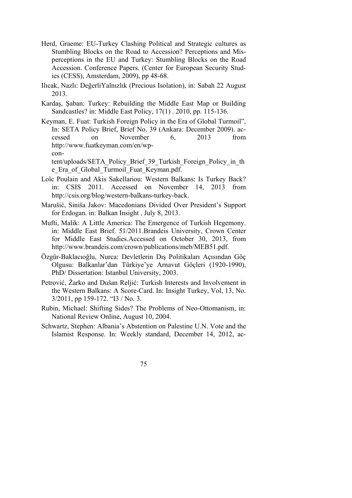- Herd, Graeme: EU-Turkey Clashing Political and Strategic cultures as Stumbling Blocks on the Road to Accession? Perceptions and Misperceptions in the EU and Turkey: Stumbling Blocks on the Road Accession. Conference Papers. (Center for European Security Studies (CESS), Amsterdam, 2009), pp 48-68.
- Ilıcak, Nazlı: DeğerliYalnızlık (Precious Isolation), in: Sabah 22 August 2013.
- Kardaş, Şaban: Turkey: Rebuilding the Middle East Map or Building Sandcastles? in: Middle East Policy, 17(1) . 2010, pp. 115-136.
- Keyman, E. Fuat: Turkish Foreign Policy in the Era of Global Turmoil", In: SETA Policy Brief, Brief No. 39 (Ankara: December 2009). accessed on November 6, 2013 from http://www.fuatkeyman.com/en/wpcon-

tent/uploads/SETA\_Policy\_Brief\_39\_Turkish\_Foreign\_Policy\_in\_th e\_Era\_of\_Global\_Turmoil\_Fuat\_Keyman.pdf.

- Loïc Poulain and Akis Sakellariou: Western Balkans: Is Turkey Back? in: CSIS 2011. Accessed on November 14, 2013 from http://csis.org/blog/western-balkans-turkey-back.
- Marušić, Siniša Jakov: Macedonians Divided Over President's Support for Erdogan. in: Balkan Insight , July 8, 2013.
- Mufti, Malik: A Little America: The Emergence of Turkish Hegemony. in: Middle East Brief. 51/2011.Brandeis University, Crown Center for Middle East Studies.Accessed on October 30, 2013, from http://www.brandeis.com/crown/publications/meb/MEB51.pdf.
- Özgür-Baklacıoğlu, Nurca: Devletlerin Dış Politikaları Açısından Göç Olgusu: Balkanlar'dan Türkiye'ye Arnavut Göçleri (1920-1990), PhD/ Dissertation: Istanbul University, 2003.
- Petrović, Žarko and Dušan Reljić: Turkish Interests and Involvement in the Western Balkans: A Score-Card. In: Insight Turkey, Vol, 13, No. 3/2011, pp 159-172. "I3 / No. 3.
- Rubin, Michael: Shifting Sides? The Problems of Neo-Ottomanism, in: National Review Online, August 10, 2004.
- Schwartz, Stephen: Albania's Abstention on Palestine U.N. Vote and the Islamist Response. In: Weekly standard, December 14, 2012, ac-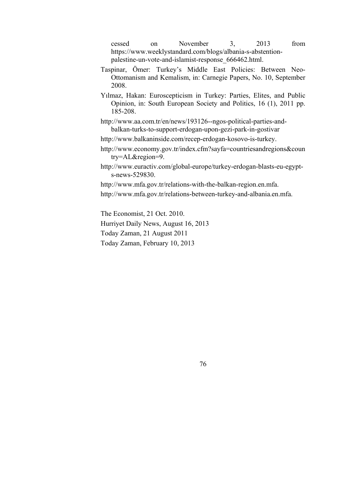cessed on November 3, 2013 from https://www.weeklystandard.com/blogs/albania-s-abstentionpalestine-un-vote-and-islamist-response\_666462.html.

- Taspinar, Ömer: Turkey's Middle East Policies: Between Neo-Ottomanism and Kemalism, in: Carnegie Papers, No. 10, September 2008.
- Yılmaz, Hakan: Euroscepticism in Turkey: Parties, Elites, and Public Opinion, in: South European Society and Politics, 16 (1), 2011 pp. 185-208.
- http://www.aa.com.tr/en/news/193126--ngos-political-parties-andbalkan-turks-to-support-erdogan-upon-gezi-park-in-gostivar
- http://www.balkaninside.com/recep-erdogan-kosovo-is-turkey.
- http://www.economy.gov.tr/index.cfm?sayfa=countriesandregions&coun try=AL&region=9.
- http://www.euractiv.com/global-europe/turkey-erdogan-blasts-eu-egypts-news-529830.
- http://www.mfa.gov.tr/relations-with-the-balkan-region.en.mfa.
- http://www.mfa.gov.tr/relations-between-turkey-and-albania.en.mfa.

The Economist, 21 Oct. 2010.

Hurriyet Daily News, August 16, 2013

Today Zaman, 21 August 2011

Today Zaman, February 10, 2013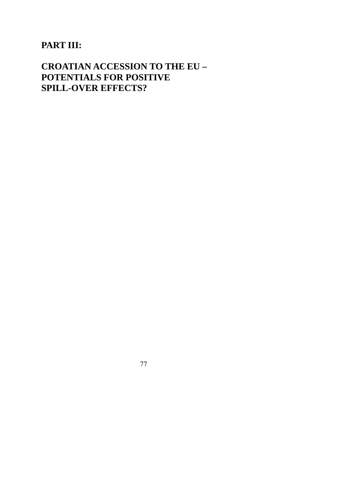# **PART III:**

# **CROATIAN ACCESSION TO THE EU – POTENTIALS FOR POSITIVE SPILL-OVER EFFECTS?**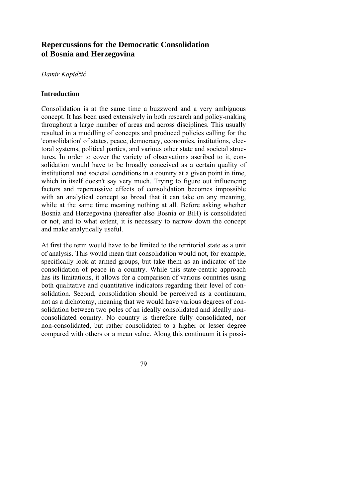# **Repercussions for the Democratic Consolidation of Bosnia and Herzegovina**

#### *Damir Kapidžić*

#### **Introduction**

Consolidation is at the same time a buzzword and a very ambiguous concept. It has been used extensively in both research and policy-making throughout a large number of areas and across disciplines. This usually resulted in a muddling of concepts and produced policies calling for the 'consolidation' of states, peace, democracy, economies, institutions, electoral systems, political parties, and various other state and societal structures. In order to cover the variety of observations ascribed to it, consolidation would have to be broadly conceived as a certain quality of institutional and societal conditions in a country at a given point in time, which in itself doesn't say very much. Trying to figure out influencing factors and repercussive effects of consolidation becomes impossible with an analytical concept so broad that it can take on any meaning, while at the same time meaning nothing at all. Before asking whether Bosnia and Herzegovina (hereafter also Bosnia or BiH) is consolidated or not, and to what extent, it is necessary to narrow down the concept and make analytically useful.

At first the term would have to be limited to the territorial state as a unit of analysis. This would mean that consolidation would not, for example, specifically look at armed groups, but take them as an indicator of the consolidation of peace in a country. While this state-centric approach has its limitations, it allows for a comparison of various countries using both qualitative and quantitative indicators regarding their level of consolidation. Second, consolidation should be perceived as a continuum, not as a dichotomy, meaning that we would have various degrees of consolidation between two poles of an ideally consolidated and ideally nonconsolidated country. No country is therefore fully consolidated, nor non-consolidated, but rather consolidated to a higher or lesser degree compared with others or a mean value. Along this continuum it is possi-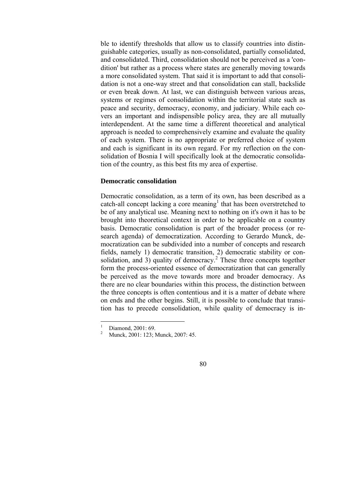ble to identify thresholds that allow us to classify countries into distinguishable categories, usually as non-consolidated, partially consolidated, and consolidated. Third, consolidation should not be perceived as a 'condition' but rather as a process where states are generally moving towards a more consolidated system. That said it is important to add that consolidation is not a one-way street and that consolidation can stall, backslide or even break down. At last, we can distinguish between various areas, systems or regimes of consolidation within the territorial state such as peace and security, democracy, economy, and judiciary. While each covers an important and indispensible policy area, they are all mutually interdependent. At the same time a different theoretical and analytical approach is needed to comprehensively examine and evaluate the quality of each system. There is no appropriate or preferred choice of system and each is significant in its own regard. For my reflection on the consolidation of Bosnia I will specifically look at the democratic consolidation of the country, as this best fits my area of expertise.

#### **Democratic consolidation**

Democratic consolidation, as a term of its own, has been described as a catch-all concept lacking a core meaning<sup>1</sup> that has been overstretched to be of any analytical use. Meaning next to nothing on it's own it has to be brought into theoretical context in order to be applicable on a country basis. Democratic consolidation is part of the broader process (or research agenda) of democratization. According to Gerardo Munck, democratization can be subdivided into a number of concepts and research fields, namely 1) democratic transition, 2) democratic stability or consolidation, and 3) quality of democracy.<sup>2</sup> These three concepts together form the process-oriented essence of democratization that can generally be perceived as the move towards more and broader democracy. As there are no clear boundaries within this process, the distinction between the three concepts is often contentious and it is a matter of debate where on ends and the other begins. Still, it is possible to conclude that transition has to precede consolidation, while quality of democracy is in-

 $\frac{1}{1}$ Diamond, 2001: 69.

<sup>2</sup> Munck, 2001: 123; Munck, 2007: 45.

<sup>80</sup>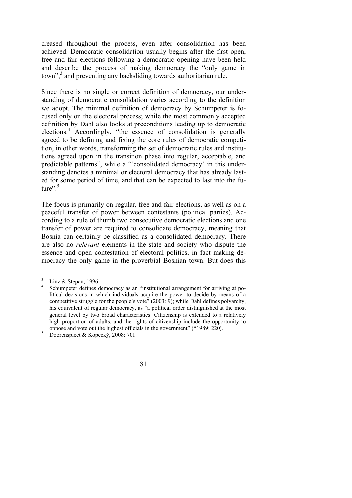creased throughout the process, even after consolidation has been achieved. Democratic consolidation usually begins after the first open, free and fair elections following a democratic opening have been held and describe the process of making democracy the "only game in town",<sup>3</sup> and preventing any backsliding towards authoritarian rule.

Since there is no single or correct definition of democracy, our understanding of democratic consolidation varies according to the definition we adopt. The minimal definition of democracy by Schumpeter is focused only on the electoral process; while the most commonly accepted definition by Dahl also looks at preconditions leading up to democratic elections.<sup>4</sup> Accordingly, "the essence of consolidation is generally agreed to be defining and fixing the core rules of democratic competition, in other words, transforming the set of democratic rules and institutions agreed upon in the transition phase into regular, acceptable, and predictable patterns", while a "'consolidated democracy' in this understanding denotes a minimal or electoral democracy that has already lasted for some period of time, and that can be expected to last into the future". $5$ 

The focus is primarily on regular, free and fair elections, as well as on a peaceful transfer of power between contestants (political parties). According to a rule of thumb two consecutive democratic elections and one transfer of power are required to consolidate democracy, meaning that Bosnia can certainly be classified as a consolidated democracy. There are also no *relevant* elements in the state and society who dispute the essence and open contestation of electoral politics, in fact making democracy the only game in the proverbial Bosnian town. But does this

Doorenspleet & Kopecký, 2008: 701.



<sup>3</sup> Linz & Stepan, 1996.

<sup>4</sup> Schumpeter defines democracy as an "institutional arrangement for arriving at political decisions in which individuals acquire the power to decide by means of a competitive struggle for the people's vote" (2003: 9); while Dahl defines polyarchy, his equivalent of regular democracy, as "a political order distinguished at the most general level by two broad characteristics: Citizenship is extended to a relatively high proportion of adults, and the rights of citizenship include the opportunity to oppose and vote out the highest officials in the government" (\*1989: 220).<br>
Separately  $\frac{2008 \cdot 701}{2008 \cdot 701}$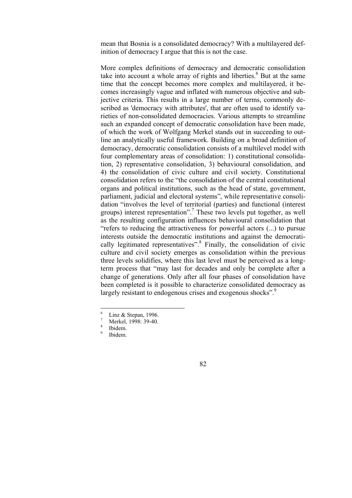mean that Bosnia is a consolidated democracy? With a multilayered definition of democracy I argue that this is not the case.

More complex definitions of democracy and democratic consolidation take into account a whole array of rights and liberties.<sup>6</sup> But at the same time that the concept becomes more complex and multilayered, it becomes increasingly vague and inflated with numerous objective and subjective criteria. This results in a large number of terms, commonly described as 'democracy with attributes', that are often used to identify varieties of non-consolidated democracies. Various attempts to streamline such an expanded concept of democratic consolidation have been made, of which the work of Wolfgang Merkel stands out in succeeding to outline an analytically useful framework. Building on a broad definition of democracy, democratic consolidation consists of a multilevel model with four complementary areas of consolidation: 1) constitutional consolidation, 2) representative consolidation, 3) behavioural consolidation, and 4) the consolidation of civic culture and civil society. Constitutional consolidation refers to the "the consolidation of the central constitutional organs and political institutions, such as the head of state, government, parliament, judicial and electoral systems", while representative consolidation "involves the level of territorial (parties) and functional (interest groups) interest representation".7 These two levels put together, as well as the resulting configuration influences behavioural consolidation that "refers to reducing the attractiveness for powerful actors (...) to pursue interests outside the democratic institutions and against the democratically legitimated representatives".<sup>8</sup> Finally, the consolidation of civic culture and civil society emerges as consolidation within the previous three levels solidifies, where this last level must be perceived as a longterm process that "may last for decades and only be complete after a change of generations. Only after all four phases of consolidation have been completed is it possible to characterize consolidated democracy as largely resistant to endogenous crises and exogenous shocks".<sup>9</sup>

 $\frac{1}{6}$ Linz & Stepan, 1996.

<sup>7</sup> Merkel, 1998: 39-40.

<sup>8</sup> Ibidem.

<sup>9</sup> Ibidem.

<sup>82</sup>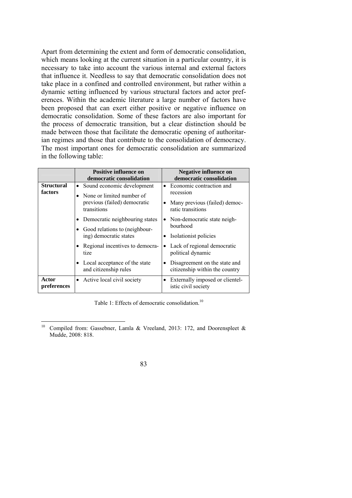Apart from determining the extent and form of democratic consolidation, which means looking at the current situation in a particular country, it is necessary to take into account the various internal and external factors that influence it. Needless to say that democratic consolidation does not take place in a confined and controlled environment, but rather within a dynamic setting influenced by various structural factors and actor preferences. Within the academic literature a large number of factors have been proposed that can exert either positive or negative influence on democratic consolidation. Some of these factors are also important for the process of democratic transition, but a clear distinction should be made between those that facilitate the democratic opening of authoritarian regimes and those that contribute to the consolidation of democracy. The most important ones for democratic consolidation are summarized in the following table:

|                              | <b>Positive influence on</b><br>democratic consolidation                                                            | <b>Negative influence on</b><br>democratic consolidation                                                            |
|------------------------------|---------------------------------------------------------------------------------------------------------------------|---------------------------------------------------------------------------------------------------------------------|
| <b>Structural</b><br>factors | Sound economic development<br>$\bullet$<br>None or limited number of<br>previous (failed) democratic<br>transitions | • Economic contraction and<br>recession<br>Many previous (failed) democ-<br>ratic transitions                       |
|                              | Democratic neighbouring states<br>Good relations to (neighbour-<br>ing) democratic states                           | • Non-democratic state neigh-<br>bourhood<br>Isolationist policies                                                  |
|                              | Regional incentives to democra-<br>tize<br>Local acceptance of the state<br>and citizenship rules                   | Lack of regional democratic<br>political dynamic<br>Disagreement on the state and<br>citizenship within the country |
| Actor<br>preferences         | • Active local civil society                                                                                        | Externally imposed or clientel-<br>istic civil society                                                              |

Table 1: Effects of democratic consolidation.<sup>10</sup>

 $10\,$ Compiled from: Gassebner, Lamla & Vreeland, 2013: 172, and Doorenspleet & Mudde, 2008: 818.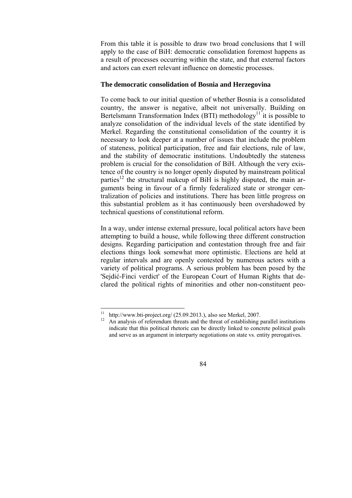From this table it is possible to draw two broad conclusions that I will apply to the case of BiH: democratic consolidation foremost happens as a result of processes occurring within the state, and that external factors and actors can exert relevant influence on domestic processes.

#### **The democratic consolidation of Bosnia and Herzegovina**

To come back to our initial question of whether Bosnia is a consolidated country, the answer is negative, albeit not universally. Building on Bertelsmann Transformation Index (BTI) methodology<sup>11</sup> it is possible to analyze consolidation of the individual levels of the state identified by Merkel. Regarding the constitutional consolidation of the country it is necessary to look deeper at a number of issues that include the problem of stateness, political participation, free and fair elections, rule of law, and the stability of democratic institutions. Undoubtedly the stateness problem is crucial for the consolidation of BiH. Although the very existence of the country is no longer openly disputed by mainstream political parties<sup>12</sup> the structural makeup of BiH is highly disputed, the main arguments being in favour of a firmly federalized state or stronger centralization of policies and institutions. There has been little progress on this substantial problem as it has continuously been overshadowed by technical questions of constitutional reform.

In a way, under intense external pressure, local political actors have been attempting to build a house, while following three different construction designs. Regarding participation and contestation through free and fair elections things look somewhat more optimistic. Elections are held at regular intervals and are openly contested by numerous actors with a variety of political programs. A serious problem has been posed by the 'Sejdić-Finci verdict' of the European Court of Human Rights that declared the political rights of minorities and other non-constituent peo-

 $11^\circ$ http://www.bti-project.org/  $(25.09.2013)$ , also see Merkel, 2007.

<sup>&</sup>lt;sup>12</sup> An analysis of referendum threats and the threat of establishing parallel institutions indicate that this political rhetoric can be directly linked to concrete political goals and serve as an argument in interparty negotiations on state vs. entity prerogatives.

<sup>84</sup>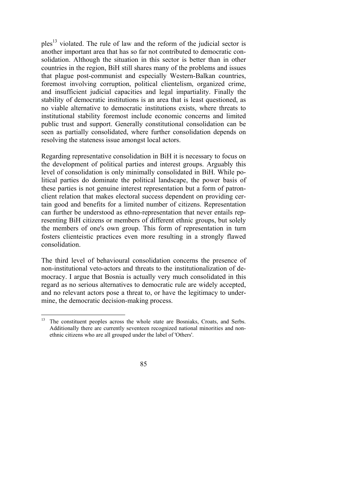$p$ les<sup>13</sup> violated. The rule of law and the reform of the judicial sector is another important area that has so far not contributed to democratic consolidation. Although the situation in this sector is better than in other countries in the region, BiH still shares many of the problems and issues that plague post-communist and especially Western-Balkan countries, foremost involving corruption, political clientelism, organized crime, and insufficient judicial capacities and legal impartiality. Finally the stability of democratic institutions is an area that is least questioned, as no viable alternative to democratic institutions exists, where threats to institutional stability foremost include economic concerns and limited public trust and support. Generally constitutional consolidation can be seen as partially consolidated, where further consolidation depends on resolving the stateness issue amongst local actors.

Regarding representative consolidation in BiH it is necessary to focus on the development of political parties and interest groups. Arguably this level of consolidation is only minimally consolidated in BiH. While political parties do dominate the political landscape, the power basis of these parties is not genuine interest representation but a form of patronclient relation that makes electoral success dependent on providing certain good and benefits for a limited number of citizens. Representation can further be understood as ethno-representation that never entails representing BiH citizens or members of different ethnic groups, but solely the members of one's own group. This form of representation in turn fosters clienteistic practices even more resulting in a strongly flawed consolidation.

The third level of behavioural consolidation concerns the presence of non-institutional veto-actors and threats to the institutionalization of democracy. I argue that Bosnia is actually very much consolidated in this regard as no serious alternatives to democratic rule are widely accepted, and no relevant actors pose a threat to, or have the legitimacy to undermine, the democratic decision-making process.

<sup>&</sup>lt;sup>13</sup> The constituent peoples across the whole state are Bosniaks, Croats, and Serbs. Additionally there are currently seventeen recognized national minorities and nonethnic citizens who are all grouped under the label of 'Others'.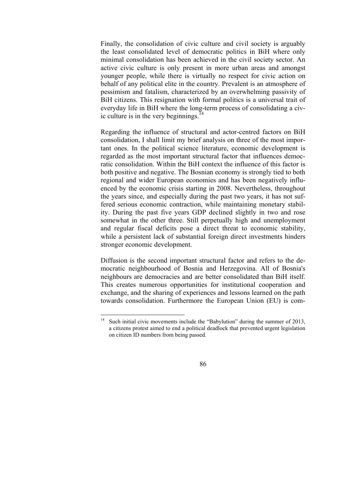Finally, the consolidation of civic culture and civil society is arguably the least consolidated level of democratic politics in BiH where only minimal consolidation has been achieved in the civil society sector. An active civic culture is only present in more urban areas and amongst younger people, while there is virtually no respect for civic action on behalf of any political elite in the country. Prevalent is an atmosphere of pessimism and fatalism, characterized by an overwhelming passivity of BiH citizens. This resignation with formal politics is a universal trait of everyday life in BiH where the long-term process of consolidating a civic culture is in the very beginnings.<sup>14</sup>

Regarding the influence of structural and actor-centred factors on BiH consolidation, I shall limit my brief analysis on three of the most important ones. In the political science literature, economic development is regarded as the most important structural factor that influences democratic consolidation. Within the BiH context the influence of this factor is both positive and negative. The Bosnian economy is strongly tied to both regional and wider European economies and has been negatively influenced by the economic crisis starting in 2008. Nevertheless, throughout the years since, and especially during the past two years, it has not suffered serious economic contraction, while maintaining monetary stability. During the past five years GDP declined slightly in two and rose somewhat in the other three. Still perpetually high and unemployment and regular fiscal deficits pose a direct threat to economic stability, while a persistent lack of substantial foreign direct investments hinders stronger economic development.

Diffusion is the second important structural factor and refers to the democratic neighbourhood of Bosnia and Herzegovina. All of Bosnia's neighbours are democracies and are better consolidated than BiH itself. This creates numerous opportunities for institutional cooperation and exchange, and the sharing of experiences and lessons learned on the path towards consolidation. Furthermore the European Union (EU) is com-

 $14$ Such initial civic movements include the "Babylution" during the summer of 2013, a citizens protest aimed to end a political deadlock that prevented urgent legislation on citizen ID numbers from being passed.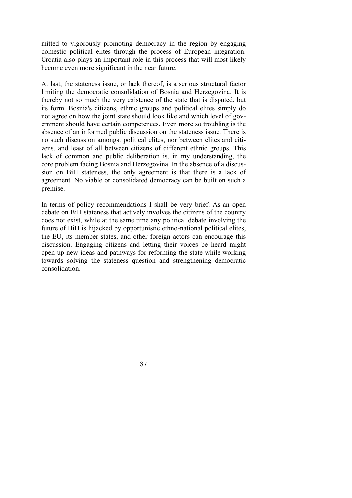mitted to vigorously promoting democracy in the region by engaging domestic political elites through the process of European integration. Croatia also plays an important role in this process that will most likely become even more significant in the near future.

At last, the stateness issue, or lack thereof, is a serious structural factor limiting the democratic consolidation of Bosnia and Herzegovina. It is thereby not so much the very existence of the state that is disputed, but its form. Bosnia's citizens, ethnic groups and political elites simply do not agree on how the joint state should look like and which level of government should have certain competences. Even more so troubling is the absence of an informed public discussion on the stateness issue. There is no such discussion amongst political elites, nor between elites and citizens, and least of all between citizens of different ethnic groups. This lack of common and public deliberation is, in my understanding, the core problem facing Bosnia and Herzegovina. In the absence of a discussion on BiH stateness, the only agreement is that there is a lack of agreement. No viable or consolidated democracy can be built on such a premise.

In terms of policy recommendations I shall be very brief. As an open debate on BiH stateness that actively involves the citizens of the country does not exist, while at the same time any political debate involving the future of BiH is hijacked by opportunistic ethno-national political elites, the EU, its member states, and other foreign actors can encourage this discussion. Engaging citizens and letting their voices be heard might open up new ideas and pathways for reforming the state while working towards solving the stateness question and strengthening democratic consolidation.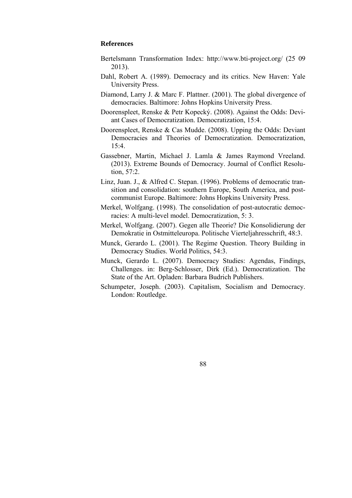#### **References**

- Bertelsmann Transformation Index: http://www.bti-project.org/ (25 09 2013).
- Dahl, Robert A. (1989). Democracy and its critics. New Haven: Yale University Press.
- Diamond, Larry J. & Marc F. Plattner. (2001). The global divergence of democracies. Baltimore: Johns Hopkins University Press.
- Doorenspleet, Renske & Petr Kopecký. (2008). Against the Odds: Deviant Cases of Democratization. Democratization, 15:4.
- Doorenspleet, Renske & Cas Mudde. (2008). Upping the Odds: Deviant Democracies and Theories of Democratization. Democratization, 15:4.
- Gassebner, Martin, Michael J. Lamla & James Raymond Vreeland. (2013). Extreme Bounds of Democracy. Journal of Conflict Resolution, 57:2.
- Linz, Juan. J., & Alfred C. Stepan. (1996). Problems of democratic transition and consolidation: southern Europe, South America, and postcommunist Europe. Baltimore: Johns Hopkins University Press.
- Merkel, Wolfgang. (1998). The consolidation of post-autocratic democracies: A multi-level model. Democratization, 5: 3.
- Merkel, Wolfgang. (2007). Gegen alle Theorie? Die Konsolidierung der Demokratie in Ostmitteleuropa. Politische Vierteljahresschrift, 48:3.
- Munck, Gerardo L. (2001). The Regime Question. Theory Building in Democracy Studies. World Politics, 54:3.
- Munck, Gerardo L. (2007). Democracy Studies: Agendas, Findings, Challenges. in: Berg-Schlosser, Dirk (Ed.). Democratization. The State of the Art. Opladen: Barbara Budrich Publishers.
- Schumpeter, Joseph. (2003). Capitalism, Socialism and Democracy. London: Routledge.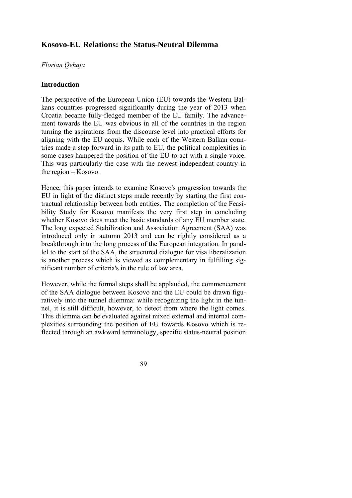## **Kosovo-EU Relations: the Status-Neutral Dilemma**

#### *Florian Qehaja*

#### **Introduction**

The perspective of the European Union (EU) towards the Western Balkans countries progressed significantly during the year of 2013 when Croatia became fully-fledged member of the EU family. The advancement towards the EU was obvious in all of the countries in the region turning the aspirations from the discourse level into practical efforts for aligning with the EU acquis. While each of the Western Balkan countries made a step forward in its path to EU, the political complexities in some cases hampered the position of the EU to act with a single voice. This was particularly the case with the newest independent country in the region – Kosovo.

Hence, this paper intends to examine Kosovo's progression towards the EU in light of the distinct steps made recently by starting the first contractual relationship between both entities. The completion of the Feasibility Study for Kosovo manifests the very first step in concluding whether Kosovo does meet the basic standards of any EU member state. The long expected Stabilization and Association Agreement (SAA) was introduced only in autumn 2013 and can be rightly considered as a breakthrough into the long process of the European integration. In parallel to the start of the SAA, the structured dialogue for visa liberalization is another process which is viewed as complementary in fulfilling significant number of criteria's in the rule of law area.

However, while the formal steps shall be applauded, the commencement of the SAA dialogue between Kosovo and the EU could be drawn figuratively into the tunnel dilemma: while recognizing the light in the tunnel, it is still difficult, however, to detect from where the light comes. This dilemma can be evaluated against mixed external and internal complexities surrounding the position of EU towards Kosovo which is reflected through an awkward terminology, specific status-neutral position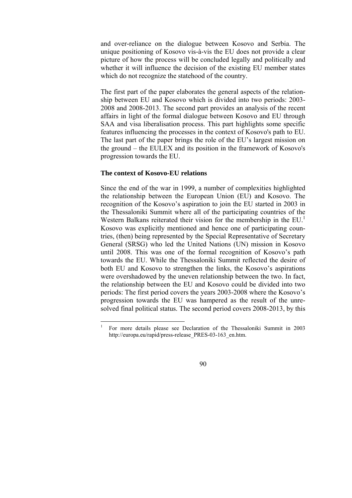and over-reliance on the dialogue between Kosovo and Serbia. The unique positioning of Kosovo vis-à-vis the EU does not provide a clear picture of how the process will be concluded legally and politically and whether it will influence the decision of the existing EU member states which do not recognize the statehood of the country.

The first part of the paper elaborates the general aspects of the relationship between EU and Kosovo which is divided into two periods: 2003- 2008 and 2008-2013. The second part provides an analysis of the recent affairs in light of the formal dialogue between Kosovo and EU through SAA and visa liberalisation process. This part highlights some specific features influencing the processes in the context of Kosovo's path to EU. The last part of the paper brings the role of the EU's largest mission on the ground – the EULEX and its position in the framework of Kosovo's progression towards the EU.

#### **The context of Kosovo-EU relations**

Since the end of the war in 1999, a number of complexities highlighted the relationship between the European Union (EU) and Kosovo. The recognition of the Kosovo's aspiration to join the EU started in 2003 in the Thessaloniki Summit where all of the participating countries of the Western Balkans reiterated their vision for the membership in the EU.<sup>1</sup> Kosovo was explicitly mentioned and hence one of participating countries, (then) being represented by the Special Representative of Secretary General (SRSG) who led the United Nations (UN) mission in Kosovo until 2008. This was one of the formal recognition of Kosovo's path towards the EU. While the Thessaloniki Summit reflected the desire of both EU and Kosovo to strengthen the links, the Kosovo's aspirations were overshadowed by the uneven relationship between the two. In fact, the relationship between the EU and Kosovo could be divided into two periods: The first period covers the years 2003-2008 where the Kosovo's progression towards the EU was hampered as the result of the unresolved final political status. The second period covers 2008-2013, by this

 $\frac{1}{1}$  For more details please see Declaration of the Thessaloniki Summit in 2003 http://europa.eu/rapid/press-release\_PRES-03-163\_en.htm.

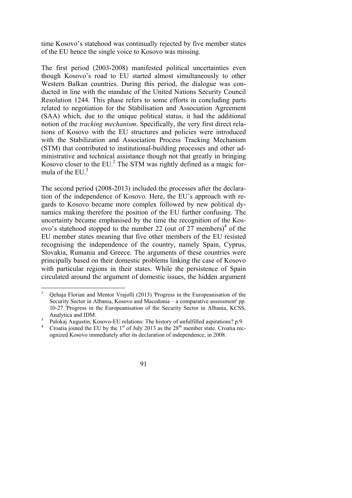time Kosovo's statehood was continually rejected by five member states of the EU hence the single voice to Kosovo was missing.

The first period (2003-2008) manifested political uncertainties even though Kosovo's road to EU started almost simultaneously to other Western Balkan countries. During this period, the dialogue was conducted in line with the mandate of the United Nations Security Council Resolution 1244. This phase refers to some efforts in concluding parts related to negotiation for the Stabilisation and Association Agreement (SAA) which, due to the unique political status, it had the additional notion of the *tracking mechanism*. Specifically, the very first direct relations of Kosovo with the EU structures and policies were introduced with the Stabilization and Association Process Tracking Mechanism (STM) that contributed to institutional-building processes and other administrative and technical assistance though not that greatly in bringing Kosovo closer to the EU.<sup>2</sup> The STM was rightly defined as a magic formula of the EU  $<sup>3</sup>$ </sup>

The second period (2008-2013) included the processes after the declaration of the independence of Kosovo. Here, the EU's approach with regards to Kosovo became more complex followed by new political dynamics making therefore the position of the EU further confusing. The uncertainty became emphasised by the time the recognition of the Kosovo's statehood stopped to the number 22 (out of  $27$  members)<sup>4</sup> of the EU member states meaning that five other members of the EU resisted recognising the independence of the country, namely Spain, Cyprus, Slovakia, Rumania and Greece. The arguments of these countries were principally based on their domestic problems linking the case of Kosovo with particular regions in their states. While the persistence of Spain circulated around the argument of domestic issues, the hidden argument

Croatia joined the EU by the  $1<sup>st</sup>$  of July 2013 as the  $28<sup>th</sup>$  member state. Croatia recognized Kosovo immediately after its declaration of independence, in 2008.



 $\frac{1}{2}$  Qehaja Florian and Mentor Vrajolli (2013) 'Progress in the Europeanisation of the Security Sector in Albania, Kosovo and Macedonia – a comparative assessment' pp. 10-27 'Progress in the Europeanisation of the Security Sector in Albania, KCSS, Analytica and IDM.

<sup>&</sup>lt;sup>3</sup> Palokaj Augustin, Kosovo-EU relations: The history of unfulfilled aspirations? p.9.<br><sup>4</sup> Creatio ising the EU by the 1<sup>st</sup> of July 2012 as the 2<sup>0th</sup> member state. Creationse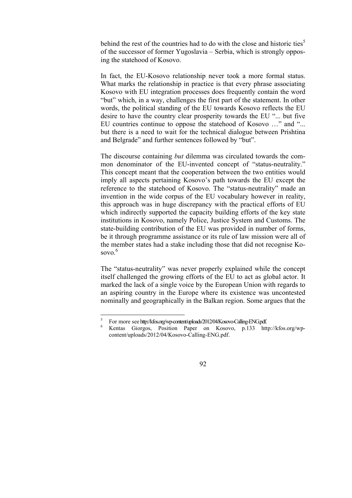behind the rest of the countries had to do with the close and historic ties<sup>5</sup> of the successor of former Yugoslavia – Serbia, which is strongly opposing the statehood of Kosovo.

In fact, the EU-Kosovo relationship never took a more formal status. What marks the relationship in practice is that every phrase associating Kosovo with EU integration processes does frequently contain the word "but" which, in a way, challenges the first part of the statement. In other words, the political standing of the EU towards Kosovo reflects the EU desire to have the country clear prosperity towards the EU "... but five EU countries continue to oppose the statehood of Kosovo …" and "... but there is a need to wait for the technical dialogue between Prishtina and Belgrade" and further sentences followed by "but".

The discourse containing *but* dilemma was circulated towards the common denominator of the EU-invented concept of "status-neutrality." This concept meant that the cooperation between the two entities would imply all aspects pertaining Kosovo's path towards the EU except the reference to the statehood of Kosovo. The "status-neutrality" made an invention in the wide corpus of the EU vocabulary however in reality, this approach was in huge discrepancy with the practical efforts of EU which indirectly supported the capacity building efforts of the key state institutions in Kosovo, namely Police, Justice System and Customs. The state-building contribution of the EU was provided in number of forms, be it through programme assistance or its rule of law mission were all of the member states had a stake including those that did not recognise Kosovo.<sup>6</sup>

The "status-neutrality" was never properly explained while the concept itself challenged the growing efforts of the EU to act as global actor. It marked the lack of a single voice by the European Union with regards to an aspiring country in the Europe where its existence was uncontested nominally and geographically in the Balkan region. Some argues that the

Kentas Giorgos, Position Paper on Kosovo, p.133 http://kfos.org/wpcontent/uploads/2012/04/Kosovo-Calling-ENG.pdf.



 $\frac{1}{5}$  For more see http://kfos.org/wp-content/uploads/2012/04/Kosovo-Calling-ENG.pdf. 6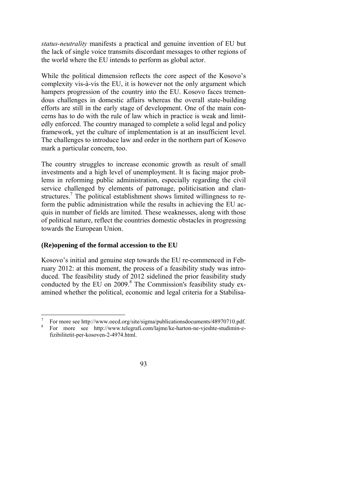*status-neutrality* manifests a practical and genuine invention of EU but the lack of single voice transmits discordant messages to other regions of the world where the EU intends to perform as global actor.

While the political dimension reflects the core aspect of the Kosovo's complexity vis-à-vis the EU, it is however not the only argument which hampers progression of the country into the EU. Kosovo faces tremendous challenges in domestic affairs whereas the overall state-building efforts are still in the early stage of development. One of the main concerns has to do with the rule of law which in practice is weak and limitedly enforced. The country managed to complete a solid legal and policy framework, yet the culture of implementation is at an insufficient level. The challenges to introduce law and order in the northern part of Kosovo mark a particular concern, too.

The country struggles to increase economic growth as result of small investments and a high level of unemployment. It is facing major problems in reforming public administration, especially regarding the civil service challenged by elements of patronage, politicisation and clanstructures.<sup>7</sup> The political establishment shows limited willingness to reform the public administration while the results in achieving the EU acquis in number of fields are limited. These weaknesses, along with those of political nature, reflect the countries domestic obstacles in progressing towards the European Union.

### **(Re)opening of the formal accession to the EU**

Kosovo's initial and genuine step towards the EU re-commenced in February 2012: at this moment, the process of a feasibility study was introduced. The feasibility study of 2012 sidelined the prior feasibility study conducted by the EU on  $2009$ .<sup>8</sup> The Commission's feasibility study examined whether the political, economic and legal criteria for a Stabilisa-

For more see http://www.telegrafi.com/lajme/ke-harton-ne-vjeshte-studimin-efizibilitetit-per-kosoven-2-4974.html.



 7 For more see http://www.oecd.org/site/sigma/publicationsdocuments/48970710.pdf.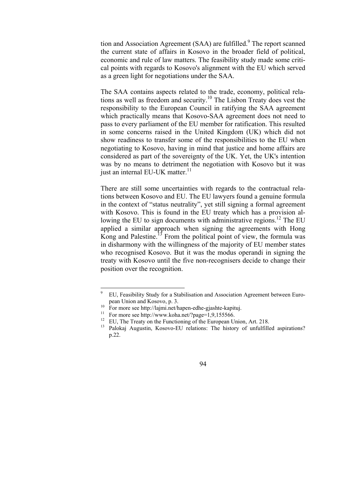tion and Association Agreement (SAA) are fulfilled.<sup>9</sup> The report scanned the current state of affairs in Kosovo in the broader field of political, economic and rule of law matters. The feasibility study made some critical points with regards to Kosovo's alignment with the EU which served as a green light for negotiations under the SAA.

The SAA contains aspects related to the trade, economy, political relations as well as freedom and security.10 The Lisbon Treaty does vest the responsibility to the European Council in ratifying the SAA agreement which practically means that Kosovo-SAA agreement does not need to pass to every parliament of the EU member for ratification. This resulted in some concerns raised in the United Kingdom (UK) which did not show readiness to transfer some of the responsibilities to the EU when negotiating to Kosovo, having in mind that justice and home affairs are considered as part of the sovereignty of the UK. Yet, the UK's intention was by no means to detriment the negotiation with Kosovo but it was just an internal EU-UK matter.<sup>11</sup>

There are still some uncertainties with regards to the contractual relations between Kosovo and EU. The EU lawyers found a genuine formula in the context of "status neutrality", yet still signing a formal agreement with Kosovo. This is found in the EU treaty which has a provision allowing the EU to sign documents with administrative regions.<sup>12</sup> The EU applied a similar approach when signing the agreements with Hong Kong and Palestine.<sup>13</sup> From the political point of view, the formula was in disharmony with the willingness of the majority of EU member states who recognised Kosovo. But it was the modus operandi in signing the treaty with Kosovo until the five non-recognisers decide to change their position over the recognition.

<sup>&</sup>lt;sup>13</sup> Palokaj Augustin, Kosovo-EU relations: The history of unfulfilled aspirations? p.22.



<sup>-&</sup>lt;br>9 EU, Feasibility Study for a Stabilisation and Association Agreement between Euro-

pean Union and Kosovo, p. 3.<br><sup>10</sup> For more see http://lajmi.net/hapen-edhe-gjashte-kapituj.<br><sup>11</sup> For more see http://www.koha.net/?page=1,9,155566.

<sup>&</sup>lt;sup>12</sup> EU, The Treaty on the Functioning of the European Union, Art. 218.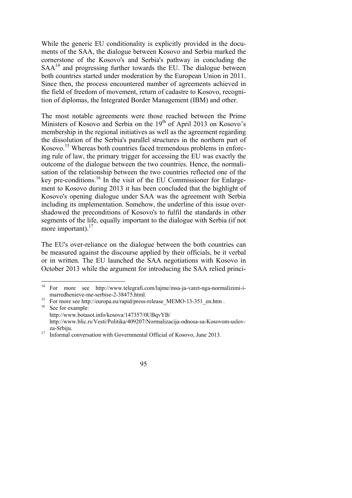While the generic EU conditionality is explicitly provided in the documents of the SAA, the dialogue between Kosovo and Serbia marked the cornerstone of the Kosovo's and Serbia's pathway in concluding the  $SAA<sup>14</sup>$  and progressing further towards the EU. The dialogue between both countries started under moderation by the European Union in 2011. Since then, the process encountered number of agreements achieved in the field of freedom of movement, return of cadastre to Kosovo, recognition of diplomas, the Integrated Border Management (IBM) and other.

The most notable agreements were those reached between the Prime Ministers of Kosovo and Serbia on the  $19<sup>th</sup>$  of April 2013 on Kosovo's membership in the regional initiatives as well as the agreement regarding the dissolution of the Serbia's parallel structures in the northern part of Kosovo.<sup>15</sup> Whereas both countries faced tremendous problems in enforcing rule of law, the primary trigger for accessing the EU was exactly the outcome of the dialogue between the two countries. Hence, the normalisation of the relationship between the two countries reflected one of the key pre-conditions.16 In the visit of the EU Commissioner for Enlargement to Kosovo during 2013 it has been concluded that the highlight of Kosovo's opening dialogue under SAA was the agreement with Serbia including its implementation. Somehow, the underline of this issue overshadowed the preconditions of Kosovo's to fulfil the standards in other segments of the life, equally important to the dialogue with Serbia (if not more important). $17$ 

The EU's over-reliance on the dialogue between the both countries can be measured against the discourse applied by their officials, be it verbal or in written. The EU launched the SAA negotiations with Kosovo in October 2013 while the argument for introducing the SAA relied princi-



 $14$ 14 For more see http://www.telegrafi.com/lajme/msa-ja-varet-nga-normalizimi-imarredhenieve-me-serbise-2-38475.html.<br><sup>15</sup> For more see http://europa.eu/rapid/press-release\_MEMO-13-351\_en.htm .

<sup>&</sup>lt;sup>16</sup> See for example: http://www.botasot.info/kosova/147357/0UBqvYB/ http://www.blic.rs/Vesti/Politika/409207/Normalizacija-odnosa-sa-Kosovom-uslovza-Srbiju.<br><sup>17</sup> Informal conversation with Governmental Official of Kosovo, June 2013.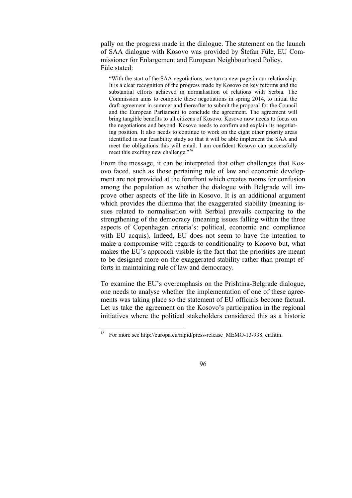pally on the progress made in the dialogue. The statement on the launch of SAA dialogue with Kosovo was provided by Štefan Füle, EU Commissioner for Enlargement and European Neighbourhood Policy. Füle stated:

"With the start of the SAA negotiations, we turn a new page in our relationship. It is a clear recognition of the progress made by Kosovo on key reforms and the substantial efforts achieved in normalisation of relations with Serbia. The Commission aims to complete these negotiations in spring 2014, to initial the draft agreement in summer and thereafter to submit the proposal for the Council and the European Parliament to conclude the agreement. The agreement will bring tangible benefits to all citizens of Kosovo. Kosovo now needs to focus on the negotiations and beyond. Kosovo needs to confirm and explain its negotiating position. It also needs to continue to work on the eight other priority areas identified in our feasibility study so that it will be able implement the SAA and meet the obligations this will entail. I am confident Kosovo can successfully meet this exciting new challenge."*18* 

From the message, it can be interpreted that other challenges that Kosovo faced, such as those pertaining rule of law and economic development are not provided at the forefront which creates rooms for confusion among the population as whether the dialogue with Belgrade will improve other aspects of the life in Kosovo. It is an additional argument which provides the dilemma that the exaggerated stability (meaning issues related to normalisation with Serbia) prevails comparing to the strengthening of the democracy (meaning issues falling within the three aspects of Copenhagen criteria's: political, economic and compliance with EU acquis). Indeed, EU does not seem to have the intention to make a compromise with regards to conditionality to Kosovo but, what makes the EU's approach visible is the fact that the priorities are meant to be designed more on the exaggerated stability rather than prompt efforts in maintaining rule of law and democracy.

To examine the EU's overemphasis on the Prishtina-Belgrade dialogue, one needs to analyse whether the implementation of one of these agreements was taking place so the statement of EU officials become factual. Let us take the agreement on the Kosovo's participation in the regional initiatives where the political stakeholders considered this as a historic

 $18\,$ 18 For more see http://europa.eu/rapid/press-release\_MEMO-13-938\_en.htm.

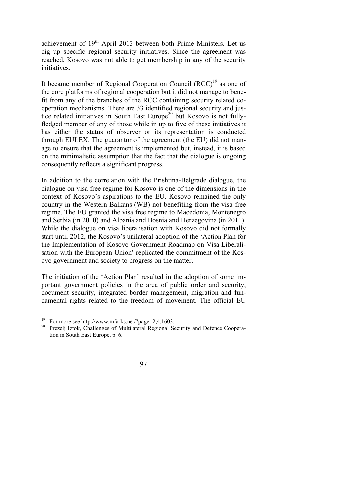achievement of 19<sup>th</sup> April 2013 between both Prime Ministers. Let us dig up specific regional security initiatives. Since the agreement was reached, Kosovo was not able to get membership in any of the security initiatives.

It became member of Regional Cooperation Council  $(RCC)^{19}$  as one of the core platforms of regional cooperation but it did not manage to benefit from any of the branches of the RCC containing security related cooperation mechanisms. There are 33 identified regional security and justice related initiatives in South East Europe<sup>20</sup> but Kosovo is not fullyfledged member of any of those while in up to five of these initiatives it has either the status of observer or its representation is conducted through EULEX. The guarantor of the agreement (the EU) did not manage to ensure that the agreement is implemented but, instead, it is based on the minimalistic assumption that the fact that the dialogue is ongoing consequently reflects a significant progress.

In addition to the correlation with the Prishtina-Belgrade dialogue, the dialogue on visa free regime for Kosovo is one of the dimensions in the context of Kosovo's aspirations to the EU. Kosovo remained the only country in the Western Balkans (WB) not benefiting from the visa free regime. The EU granted the visa free regime to Macedonia, Montenegro and Serbia (in 2010) and Albania and Bosnia and Herzegovina (in 2011). While the dialogue on visa liberalisation with Kosovo did not formally start until 2012, the Kosovo's unilateral adoption of the 'Action Plan for the Implementation of Kosovo Government Roadmap on Visa Liberalisation with the European Union' replicated the commitment of the Kosovo government and society to progress on the matter.

The initiation of the 'Action Plan' resulted in the adoption of some important government policies in the area of public order and security, document security, integrated border management, migration and fundamental rights related to the freedom of movement. The official EU

<sup>&</sup>lt;sup>20</sup> Prezelj Iztok, Challenges of Multilateral Regional Security and Defence Cooperation in South East Europe, p. 6.



<sup>&</sup>lt;sup>19</sup> For more see http://www.mfa-ks.net/?page=2,4,1603.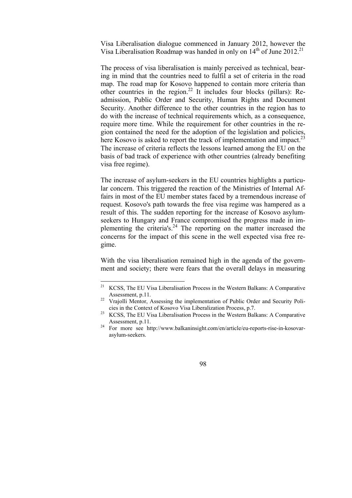Visa Liberalisation dialogue commenced in January 2012, however the Visa Liberalisation Roadmap was handed in only on  $14<sup>th</sup>$  of June 2012.<sup>21</sup>

The process of visa liberalisation is mainly perceived as technical, bearing in mind that the countries need to fulfil a set of criteria in the road map. The road map for Kosovo happened to contain more criteria than other countries in the region.22 It includes four blocks (pillars): Readmission, Public Order and Security, Human Rights and Document Security. Another difference to the other countries in the region has to do with the increase of technical requirements which, as a consequence, require more time. While the requirement for other countries in the region contained the need for the adoption of the legislation and policies, here Kosovo is asked to report the track of implementation and impact.<sup>23</sup> The increase of criteria reflects the lessons learned among the EU on the basis of bad track of experience with other countries (already benefiting visa free regime).

The increase of asylum-seekers in the EU countries highlights a particular concern. This triggered the reaction of the Ministries of Internal Affairs in most of the EU member states faced by a tremendous increase of request. Kosovo's path towards the free visa regime was hampered as a result of this. The sudden reporting for the increase of Kosovo asylumseekers to Hungary and France compromised the progress made in implementing the criteria's. $24$  The reporting on the matter increased the concerns for the impact of this scene in the well expected visa free regime.

With the visa liberalisation remained high in the agenda of the government and society; there were fears that the overall delays in measuring

Assessment, p.11.<br><sup>24</sup> For more see http://www.balkaninsight.com/en/article/eu-reports-rise-in-kosovarasylum-seekers.



 $21\,$ 21 KCSS, The EU Visa Liberalisation Process in the Western Balkans: A Comparative Assessment, p.11.<br><sup>22</sup> Vrajolli Mentor, Assessing the implementation of Public Order and Security Poli-

cies in the Context of Kosovo Visa Liberalization Process, p.7. 23 KCSS, The EU Visa Liberalisation Process in the Western Balkans: A Comparative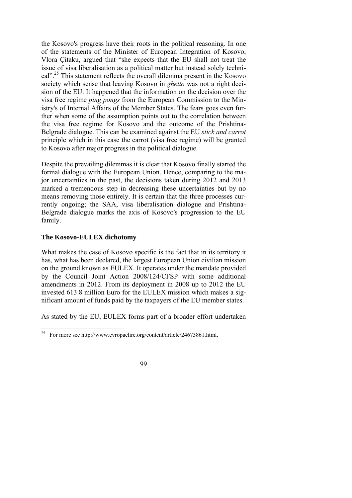the Kosovo's progress have their roots in the political reasoning. In one of the statements of the Minister of European Integration of Kosovo, Vlora Çitaku, argued that "she expects that the EU shall not treat the issue of visa liberalisation as a political matter but instead solely technical".25 This statement reflects the overall dilemma present in the Kosovo society which sense that leaving Kosovo in *ghetto* was not a right decision of the EU. It happened that the information on the decision over the visa free regime *ping pongs* from the European Commission to the Ministry's of Internal Affairs of the Member States. The fears goes even further when some of the assumption points out to the correlation between the visa free regime for Kosovo and the outcome of the Prishtina-Belgrade dialogue. This can be examined against the EU *stick and carrot* principle which in this case the carrot (visa free regime) will be granted to Kosovo after major progress in the political dialogue.

Despite the prevailing dilemmas it is clear that Kosovo finally started the formal dialogue with the European Union. Hence, comparing to the major uncertainties in the past, the decisions taken during 2012 and 2013 marked a tremendous step in decreasing these uncertainties but by no means removing those entirely. It is certain that the three processes currently ongoing; the SAA, visa liberalisation dialogue and Prishtina-Belgrade dialogue marks the axis of Kosovo's progression to the EU family.

#### **The Kosovo-EULEX dichotomy**

What makes the case of Kosovo specific is the fact that in its territory it has, what has been declared, the largest European Union civilian mission on the ground known as EULEX. It operates under the mandate provided by the Council Joint Action 2008/124/CFSP with some additional amendments in 2012. From its deployment in 2008 up to 2012 the EU invested 613.8 million Euro for the EULEX mission which makes a significant amount of funds paid by the taxpayers of the EU member states.

As stated by the EU, EULEX forms part of a broader effort undertaken

<sup>25</sup> 25 For more see http://www.evropaelire.org/content/article/24673861.html.

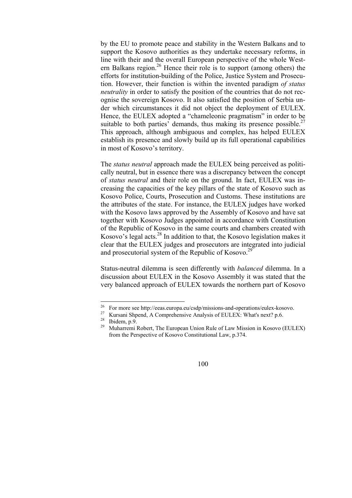by the EU to promote peace and stability in the Western Balkans and to support the Kosovo authorities as they undertake necessary reforms, in line with their and the overall European perspective of the whole Western Balkans region.<sup>26</sup> Hence their role is to support (among others) the efforts for institution-building of the Police, Justice System and Prosecution. However, their function is within the invented paradigm *of status neutrality* in order to satisfy the position of the countries that do not recognise the sovereign Kosovo. It also satisfied the position of Serbia under which circumstances it did not object the deployment of EULEX. Hence, the EULEX adopted a "chameleonic pragmatism" in order to be suitable to both parties' demands, thus making its presence possible.<sup>27</sup> This approach, although ambiguous and complex, has helped EULEX establish its presence and slowly build up its full operational capabilities in most of Kosovo's territory.

The *status neutral* approach made the EULEX being perceived as politically neutral, but in essence there was a discrepancy between the concept of *status neutral* and their role on the ground. In fact, EULEX was increasing the capacities of the key pillars of the state of Kosovo such as Kosovo Police, Courts, Prosecution and Customs. These institutions are the attributes of the state. For instance, the EULEX judges have worked with the Kosovo laws approved by the Assembly of Kosovo and have sat together with Kosovo Judges appointed in accordance with Constitution of the Republic of Kosovo in the same courts and chambers created with Kosovo's legal acts.<sup>28</sup> In addition to that, the Kosovo legislation makes it clear that the EULEX judges and prosecutors are integrated into judicial and prosecutorial system of the Republic of Kosovo.<sup>26</sup>

Status-neutral dilemma is seen differently with *balanced* dilemma. In a discussion about EULEX in the Kosovo Assembly it was stated that the very balanced approach of EULEX towards the northern part of Kosovo

 $26$ <sup>26</sup> For more see http://eeas.europa.eu/csdp/missions-and-operations/eulex-kosovo.<br><sup>27</sup> Kursani Shpend, A Comprehensive Analysis of EULEX: What's next? p.6.

<sup>28</sup> Ibidem, p.9.

<sup>29</sup> Muharremi Robert, The European Union Rule of Law Mission in Kosovo (EULEX) from the Perspective of Kosovo Constitutional Law, p.374.

<sup>100</sup>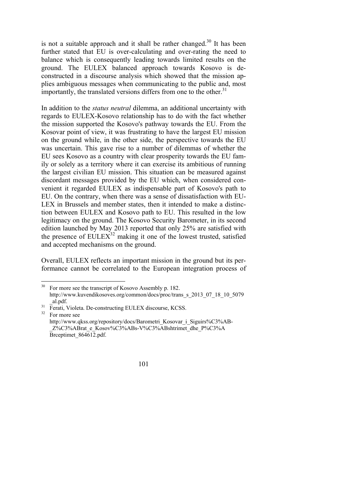is not a suitable approach and it shall be rather changed.<sup>30</sup> It has been further stated that EU is over-calculating and over-rating the need to balance which is consequently leading towards limited results on the ground. The EULEX balanced approach towards Kosovo is deconstructed in a discourse analysis which showed that the mission applies ambiguous messages when communicating to the public and, most importantly, the translated versions differs from one to the other.<sup>31</sup>

In addition to the *status neutral* dilemma, an additional uncertainty with regards to EULEX-Kosovo relationship has to do with the fact whether the mission supported the Kosovo's pathway towards the EU. From the Kosovar point of view, it was frustrating to have the largest EU mission on the ground while, in the other side, the perspective towards the EU was uncertain. This gave rise to a number of dilemmas of whether the EU sees Kosovo as a country with clear prosperity towards the EU family or solely as a territory where it can exercise its ambitious of running the largest civilian EU mission. This situation can be measured against discordant messages provided by the EU which, when considered convenient it regarded EULEX as indispensable part of Kosovo's path to EU. On the contrary, when there was a sense of dissatisfaction with EU-LEX in Brussels and member states, then it intended to make a distinction between EULEX and Kosovo path to EU. This resulted in the low legitimacy on the ground. The Kosovo Security Barometer, in its second edition launched by May 2013 reported that only 25% are satisfied with the presence of  $EULER^{32}$  making it one of the lowest trusted, satisfied and accepted mechanisms on the ground.

Overall, EULEX reflects an important mission in the ground but its performance cannot be correlated to the European integration process of

For more see http://www.qkss.org/repository/docs/Barometri\_Kosovar\_i\_Siguirs%C3%AB-\_Z%C3%ABrat\_e\_Kosov%C3%ABs-V%C3%ABshtrimet\_dhe\_P%C3%A Brceptimet\_864612.pdf.



 $30\,$ For more see the transcript of Kosovo Assembly p. 182. http://www.kuvendikosoves.org/common/docs/proc/trans\_s\_2013\_07\_18\_10\_5079\_

\_al.pdf. 31 Ferati, Violeta. De-constructing EULEX discourse, KCSS.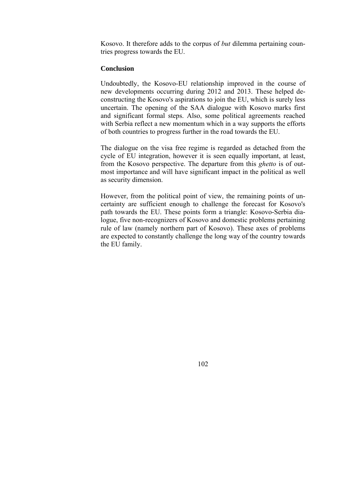Kosovo. It therefore adds to the corpus of *but* dilemma pertaining countries progress towards the EU.

#### **Conclusion**

Undoubtedly, the Kosovo-EU relationship improved in the course of new developments occurring during 2012 and 2013. These helped deconstructing the Kosovo's aspirations to join the EU, which is surely less uncertain. The opening of the SAA dialogue with Kosovo marks first and significant formal steps. Also, some political agreements reached with Serbia reflect a new momentum which in a way supports the efforts of both countries to progress further in the road towards the EU.

The dialogue on the visa free regime is regarded as detached from the cycle of EU integration, however it is seen equally important, at least, from the Kosovo perspective. The departure from this *ghetto* is of outmost importance and will have significant impact in the political as well as security dimension.

However, from the political point of view, the remaining points of uncertainty are sufficient enough to challenge the forecast for Kosovo's path towards the EU. These points form a triangle: Kosovo-Serbia dialogue, five non-recognizers of Kosovo and domestic problems pertaining rule of law (namely northern part of Kosovo). These axes of problems are expected to constantly challenge the long way of the country towards the EU family.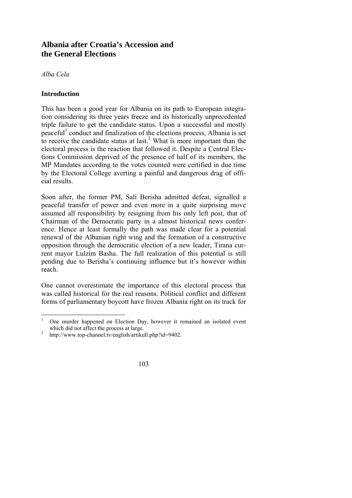# **Albania after Croatia's Accession and the General Elections**

## *Alba Cela*

## **Introduction**

This has been a good year for Albania on its path to European integration considering its three years freeze and its historically unprecedented triple failure to get the candidate status. Upon a successful and mostly peaceful<sup>1</sup> conduct and finalization of the elections process, Albania is set to receive the candidate status at last.<sup>2</sup> What is more important than the electoral process is the reaction that followed it. Despite a Central Elections Commission deprived of the presence of half of its members, the MP Mandates according to the votes counted were certified in due time by the Electoral College averting a painful and dangerous drag of official results.

Soon after, the former PM, Sali Berisha admitted defeat, signalled a peaceful transfer of power and even more in a quite surprising move assumed all responsibility by resigning from his only left post, that of Chairman of the Democratic party in a almost historical news conference. Hence at least formally the path was made clear for a potential renewal of the Albanian right wing and the formation of a constructive opposition through the democratic election of a new leader, Tirana current mayor Lulzim Basha. The full realization of this potential is still pending due to Berisha's continuing influence but it's however within reach.

One cannot overestimate the importance of this electoral process that was called historical for the real reasons. Political conflict and different forms of parliamentary boycott have frozen Albania right on its track for

http://www.top-channel.tv/english/artikull.php?id=9402.



 $\frac{1}{1}$  One murder happened on Election Day, however it remained an isolated event which did not affect the process at large.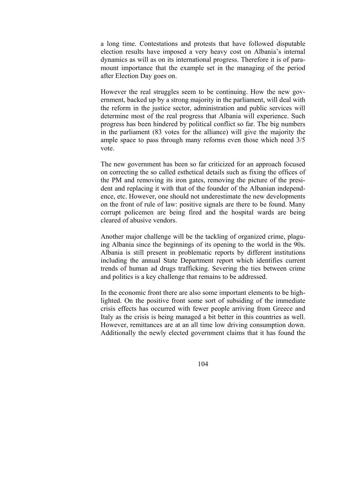a long time. Contestations and protests that have followed disputable election results have imposed a very heavy cost on Albania's internal dynamics as will as on its international progress. Therefore it is of paramount importance that the example set in the managing of the period after Election Day goes on.

However the real struggles seem to be continuing. How the new government, backed up by a strong majority in the parliament, will deal with the reform in the justice sector, administration and public services will determine most of the real progress that Albania will experience. Such progress has been hindered by political conflict so far. The big numbers in the parliament (83 votes for the alliance) will give the majority the ample space to pass through many reforms even those which need 3/5 vote.

The new government has been so far criticized for an approach focused on correcting the so called esthetical details such as fixing the offices of the PM and removing its iron gates, removing the picture of the president and replacing it with that of the founder of the Albanian independence, etc. However, one should not underestimate the new developments on the front of rule of law: positive signals are there to be found. Many corrupt policemen are being fired and the hospital wards are being cleared of abusive vendors.

Another major challenge will be the tackling of organized crime, plaguing Albania since the beginnings of its opening to the world in the 90s. Albania is still present in problematic reports by different institutions including the annual State Department report which identifies current trends of human ad drugs trafficking. Severing the ties between crime and politics is a key challenge that remains to be addressed.

In the economic front there are also some important elements to be highlighted. On the positive front some sort of subsiding of the immediate crisis effects has occurred with fewer people arriving from Greece and Italy as the crisis is being managed a bit better in this countries as well. However, remittances are at an all time low driving consumption down. Additionally the newly elected government claims that it has found the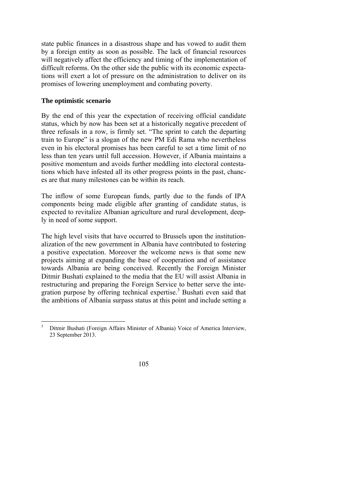state public finances in a disastrous shape and has vowed to audit them by a foreign entity as soon as possible. The lack of financial resources will negatively affect the efficiency and timing of the implementation of difficult reforms. On the other side the public with its economic expectations will exert a lot of pressure on the administration to deliver on its promises of lowering unemployment and combating poverty.

### **The optimistic scenario**

By the end of this year the expectation of receiving official candidate status, which by now has been set at a historically negative precedent of three refusals in a row, is firmly set. "The sprint to catch the departing train to Europe" is a slogan of the new PM Edi Rama who nevertheless even in his electoral promises has been careful to set a time limit of no less than ten years until full accession. However, if Albania maintains a positive momentum and avoids further meddling into electoral contestations which have infested all its other progress points in the past, chances are that many milestones can be within its reach.

The inflow of some European funds, partly due to the funds of IPA components being made eligible after granting of candidate status, is expected to revitalize Albanian agriculture and rural development, deeply in need of some support.

The high level visits that have occurred to Brussels upon the institutionalization of the new government in Albania have contributed to fostering a positive expectation. Moreover the welcome news is that some new projects aiming at expanding the base of cooperation and of assistance towards Albania are being conceived. Recently the Foreign Minister Ditmir Bushati explained to the media that the EU will assist Albania in restructuring and preparing the Foreign Service to better serve the integration purpose by offering technical expertise.<sup>3</sup> Bushati even said that the ambitions of Albania surpass status at this point and include setting a

<sup>&</sup>lt;sup>2</sup><br>3 Ditmir Bushati (Foreign Affairs Minister of Albania) Voice of America Interview, 23 September 2013.

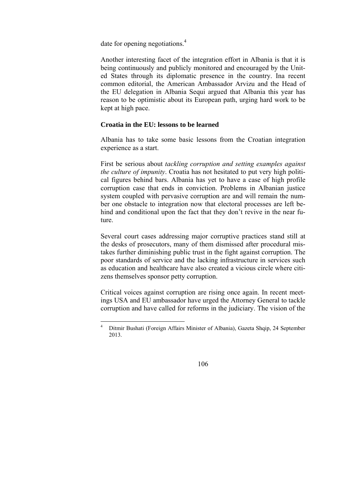date for opening negotiations.<sup>4</sup>

Another interesting facet of the integration effort in Albania is that it is being continuously and publicly monitored and encouraged by the United States through its diplomatic presence in the country. Ina recent common editorial, the American Ambassador Arvizu and the Head of the EU delegation in Albania Sequi argued that Albania this year has reason to be optimistic about its European path, urging hard work to be kept at high pace.

#### **Croatia in the EU: lessons to be learned**

Albania has to take some basic lessons from the Croatian integration experience as a start.

First be serious about *tackling corruption and setting examples against the culture of impunity*. Croatia has not hesitated to put very high political figures behind bars. Albania has yet to have a case of high profile corruption case that ends in conviction. Problems in Albanian justice system coupled with pervasive corruption are and will remain the number one obstacle to integration now that electoral processes are left behind and conditional upon the fact that they don't revive in the near future.

Several court cases addressing major corruptive practices stand still at the desks of prosecutors, many of them dismissed after procedural mistakes further diminishing public trust in the fight against corruption. The poor standards of service and the lacking infrastructure in services such as education and healthcare have also created a vicious circle where citizens themselves sponsor petty corruption.

Critical voices against corruption are rising once again. In recent meetings USA and EU ambassador have urged the Attorney General to tackle corruption and have called for reforms in the judiciary. The vision of the

 $\frac{1}{4}$  Ditmir Bushati (Foreign Affairs Minister of Albania), Gazeta Shqip, 24 September 2013.

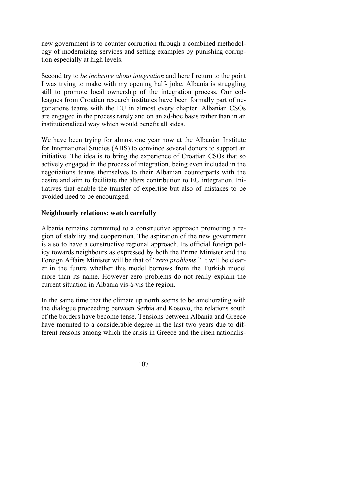new government is to counter corruption through a combined methodology of modernizing services and setting examples by punishing corruption especially at high levels.

Second try to *be inclusive about integration* and here I return to the point I was trying to make with my opening half- joke. Albania is struggling still to promote local ownership of the integration process. Our colleagues from Croatian research institutes have been formally part of negotiations teams with the EU in almost every chapter. Albanian CSOs are engaged in the process rarely and on an ad-hoc basis rather than in an institutionalized way which would benefit all sides.

We have been trying for almost one year now at the Albanian Institute for International Studies (AIIS) to convince several donors to support an initiative. The idea is to bring the experience of Croatian CSOs that so actively engaged in the process of integration, being even included in the negotiations teams themselves to their Albanian counterparts with the desire and aim to facilitate the alters contribution to EU integration. Initiatives that enable the transfer of expertise but also of mistakes to be avoided need to be encouraged.

#### **Neighbourly relations: watch carefully**

Albania remains committed to a constructive approach promoting a region of stability and cooperation. The aspiration of the new government is also to have a constructive regional approach. Its official foreign policy towards neighbours as expressed by both the Prime Minister and the Foreign Affairs Minister will be that of "*zero problems*." It will be clearer in the future whether this model borrows from the Turkish model more than its name. However zero problems do not really explain the current situation in Albania vis-à-vis the region.

In the same time that the climate up north seems to be ameliorating with the dialogue proceeding between Serbia and Kosovo, the relations south of the borders have become tense. Tensions between Albania and Greece have mounted to a considerable degree in the last two years due to different reasons among which the crisis in Greece and the risen nationalis-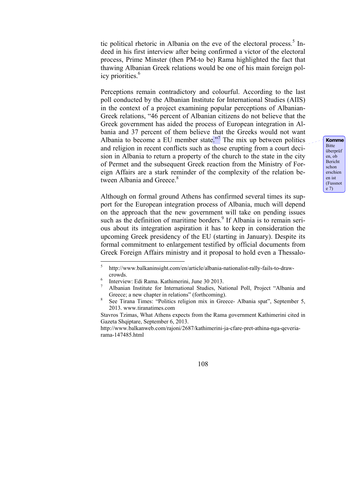tic political rhetoric in Albania on the eve of the electoral process.<sup>5</sup> Indeed in his first interview after being confirmed a victor of the electoral process, Prime Minster (then PM-to be) Rama highlighted the fact that thawing Albanian Greek relations would be one of his main foreign policy priorities.<sup>6</sup>

Perceptions remain contradictory and colourful. According to the last poll conducted by the Albanian Institute for International Studies (AIIS) in the context of a project examining popular perceptions of Albanian-Greek relations, "46 percent of Albanian citizens do not believe that the Greek government has aided the process of European integration in Albania and 37 percent of them believe that the Greeks would not want Albania to become a EU member state.<sup>77</sup> The mix up between politics and religion in recent conflicts such as those erupting from a court decision in Albania to return a property of the church to the state in the city of Permet and the subsequent Greek reaction from the Ministry of Foreign Affairs are a stark reminder of the complexity of the relation between Albania and Greece.<sup>8</sup>

Although on formal ground Athens has confirmed several times its support for the European integration process of Albania, much will depend on the approach that the new government will take on pending issues such as the definition of maritime borders.<sup>9</sup> If Albania is to remain serious about its integration aspiration it has to keep in consideration the upcoming Greek presidency of the EU (starting in January). Despite its formal commitment to enlargement testified by official documents from Greek Foreign Affairs ministry and it proposal to hold even a Thessalo-

**Komme** Bitte überprüf en, ob Bericht schon erschien en ist (Fussnot e 7)

 $\frac{1}{5}$  http://www.balkaninsight.com/en/article/albania-nationalist-rally-fails-to-drawcrowds.

Interview: Edi Rama. Kathimerini, June 30 2013.

<sup>7</sup> Albanian Institute for International Studies, National Poll, Project "Albania and Greece; a new chapter in relations" (forthcoming).

See Tirana Times: "Politics religion mix in Greece- Albania spat", September 5, 2013. www.tiranatimes.com

Stavros Tzimas, What Athens expects from the Rama government Kathimerini cited in Gazeta Shqiptare, September 6, 2013.

http://www.balkanweb.com/rajoni/2687/kathimerini-ja-cfare-pret-athina-nga-qeveriarama-147485.html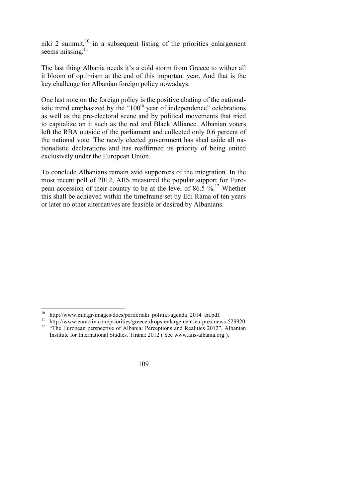niki 2 summit,  $10$  in a subsequent listing of the priorities enlargement seems missing. $11$ 

The last thing Albania needs it's a cold storm from Greece to wither all it bloom of optimism at the end of this important year. And that is the key challenge for Albanian foreign policy nowadays.

One last note on the foreign policy is the positive abating of the nationalistic trend emphasized by the " $100<sup>th</sup>$  year of independence" celebrations as well as the pre-electoral scene and by political movements that tried to capitalize on it such as the red and Black Alliance. Albanian voters left the RBA outside of the parliament and collected only 0.6 percent of the national vote. The newly elected government has shed aside all nationalistic declarations and has reaffirmed its priority of being united exclusively under the European Union.

To conclude Albanians remain avid supporters of the integration. In the most recent poll of 2012, AIIS measured the popular support for European accession of their country to be at the level of 86.5  $\%$ .<sup>12</sup> Whether this shall be achieved within the timeframe set by Edi Rama of ten years or later no other alternatives are feasible or desired by Albanians.

 <sup>10</sup> http://www.mfa.gr/images/docs/periferiaki politiki/agenda 2014 en.pdf.

<sup>&</sup>lt;sup>11</sup> http://www.euractiv.com/priorities/greece-drops-enlargement-eu-pres-news-529920<br><sup>12</sup> "The European perspective of Albania: Perceptions and Realities 2012", Albanian

Institute for International Studies. Tirana: 2012 ( See www.aiis-albania.org ).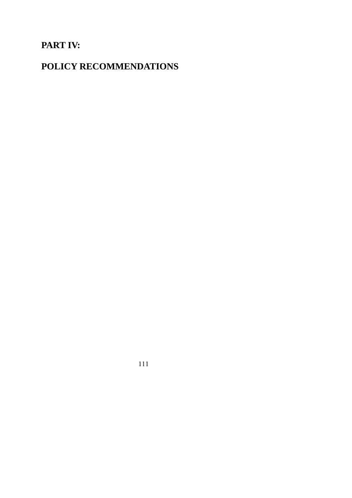# **PART IV:**

# **POLICY RECOMMENDATIONS**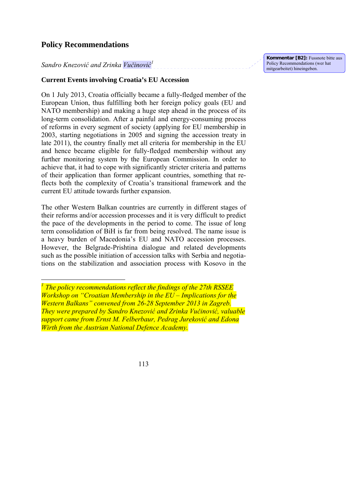# **Policy Recommendations**

 $\overline{\phantom{a}}$ 

# *Sandro Knezović and Zrinka Vučinović 1*

## **Current Events involving Croatia's EU Accession**

On 1 July 2013, Croatia officially became a fully-fledged member of the European Union, thus fulfilling both her foreign policy goals (EU and NATO membership) and making a huge step ahead in the process of its long-term consolidation. After a painful and energy-consuming process of reforms in every segment of society (applying for EU membership in 2003, starting negotiations in 2005 and signing the accession treaty in late 2011), the country finally met all criteria for membership in the EU and hence became eligible for fully-fledged membership without any further monitoring system by the European Commission. In order to achieve that, it had to cope with significantly stricter criteria and patterns of their application than former applicant countries, something that reflects both the complexity of Croatia's transitional framework and the current EU attitude towards further expansion.

The other Western Balkan countries are currently in different stages of their reforms and/or accession processes and it is very difficult to predict the pace of the developments in the period to come. The issue of long term consolidation of BiH is far from being resolved. The name issue is a heavy burden of Macedonia's EU and NATO accession processes. However, the Belgrade-Prishtina dialogue and related developments such as the possible initiation of accession talks with Serbia and negotiations on the stabilization and association process with Kosovo in the **Kommentar [B2]:** Fussnote bitte aus Policy Recommendations (wer hat mitgearbeitet) hineingeben.

<sup>&</sup>lt;sup>1</sup> The policy recommendations reflect the findings of the 27th RSSEE *Workshop on "Croatian Membership in the EU – Implications for the Western Balkans" convened from 26-28 September 2013 in Zagreb. They were prepared by Sandro Knezović and Zrinka Vučinović, valuable support came from Ernst M. Felberbaur, Pedrag Jureković and Edona Wirth from the Austrian National Defence Academy.* 

<sup>113</sup>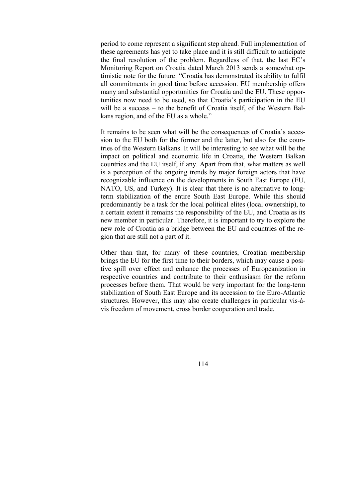period to come represent a significant step ahead. Full implementation of these agreements has yet to take place and it is still difficult to anticipate the final resolution of the problem. Regardless of that, the last EC's Monitoring Report on Croatia dated March 2013 sends a somewhat optimistic note for the future: "Croatia has demonstrated its ability to fulfil all commitments in good time before accession. EU membership offers many and substantial opportunities for Croatia and the EU. These opportunities now need to be used, so that Croatia's participation in the EU will be a success – to the benefit of Croatia itself, of the Western Balkans region, and of the EU as a whole."

It remains to be seen what will be the consequences of Croatia's accession to the EU both for the former and the latter, but also for the countries of the Western Balkans. It will be interesting to see what will be the impact on political and economic life in Croatia, the Western Balkan countries and the EU itself, if any. Apart from that, what matters as well is a perception of the ongoing trends by major foreign actors that have recognizable influence on the developments in South East Europe (EU, NATO, US, and Turkey). It is clear that there is no alternative to longterm stabilization of the entire South East Europe. While this should predominantly be a task for the local political elites (local ownership), to a certain extent it remains the responsibility of the EU, and Croatia as its new member in particular. Therefore, it is important to try to explore the new role of Croatia as a bridge between the EU and countries of the region that are still not a part of it.

Other than that, for many of these countries, Croatian membership brings the EU for the first time to their borders, which may cause a positive spill over effect and enhance the processes of Europeanization in respective countries and contribute to their enthusiasm for the reform processes before them. That would be very important for the long-term stabilization of South East Europe and its accession to the Euro-Atlantic structures. However, this may also create challenges in particular vis-àvis freedom of movement, cross border cooperation and trade.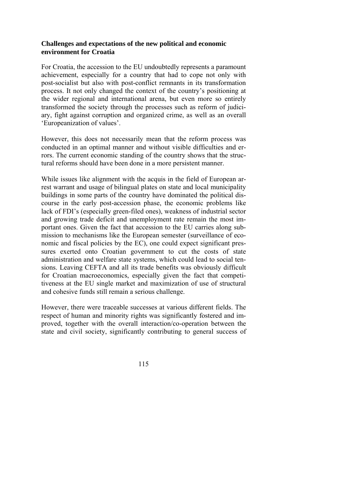## **Challenges and expectations of the new political and economic environment for Croatia**

For Croatia, the accession to the EU undoubtedly represents a paramount achievement, especially for a country that had to cope not only with post-socialist but also with post-conflict remnants in its transformation process. It not only changed the context of the country's positioning at the wider regional and international arena, but even more so entirely transformed the society through the processes such as reform of judiciary, fight against corruption and organized crime, as well as an overall 'Europeanization of values'.

However, this does not necessarily mean that the reform process was conducted in an optimal manner and without visible difficulties and errors. The current economic standing of the country shows that the structural reforms should have been done in a more persistent manner.

While issues like alignment with the acquis in the field of European arrest warrant and usage of bilingual plates on state and local municipality buildings in some parts of the country have dominated the political discourse in the early post-accession phase, the economic problems like lack of FDI's (especially green-filed ones), weakness of industrial sector and growing trade deficit and unemployment rate remain the most important ones. Given the fact that accession to the EU carries along submission to mechanisms like the European semester (surveillance of economic and fiscal policies by the EC), one could expect significant pressures exerted onto Croatian government to cut the costs of state administration and welfare state systems, which could lead to social tensions. Leaving CEFTA and all its trade benefits was obviously difficult for Croatian macroeconomics, especially given the fact that competitiveness at the EU single market and maximization of use of structural and cohesive funds still remain a serious challenge.

However, there were traceable successes at various different fields. The respect of human and minority rights was significantly fostered and improved, together with the overall interaction/co-operation between the state and civil society, significantly contributing to general success of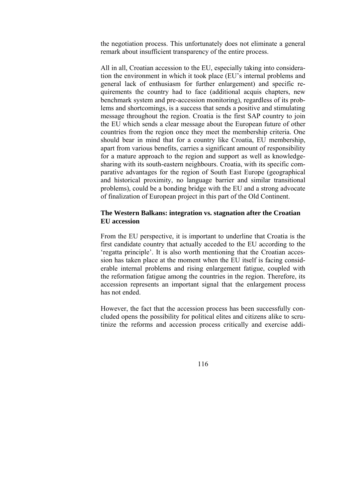the negotiation process. This unfortunately does not eliminate a general remark about insufficient transparency of the entire process.

All in all, Croatian accession to the EU, especially taking into consideration the environment in which it took place (EU's internal problems and general lack of enthusiasm for further enlargement) and specific requirements the country had to face (additional acquis chapters, new benchmark system and pre-accession monitoring), regardless of its problems and shortcomings, is a success that sends a positive and stimulating message throughout the region. Croatia is the first SAP country to join the EU which sends a clear message about the European future of other countries from the region once they meet the membership criteria. One should bear in mind that for a country like Croatia, EU membership, apart from various benefits, carries a significant amount of responsibility for a mature approach to the region and support as well as knowledgesharing with its south-eastern neighbours. Croatia, with its specific comparative advantages for the region of South East Europe (geographical and historical proximity, no language barrier and similar transitional problems), could be a bonding bridge with the EU and a strong advocate of finalization of European project in this part of the Old Continent.

#### **The Western Balkans: integration vs. stagnation after the Croatian EU accession**

From the EU perspective, it is important to underline that Croatia is the first candidate country that actually acceded to the EU according to the 'regatta principle'. It is also worth mentioning that the Croatian accession has taken place at the moment when the EU itself is facing considerable internal problems and rising enlargement fatigue, coupled with the reformation fatigue among the countries in the region. Therefore, its accession represents an important signal that the enlargement process has not ended.

However, the fact that the accession process has been successfully concluded opens the possibility for political elites and citizens alike to scrutinize the reforms and accession process critically and exercise addi-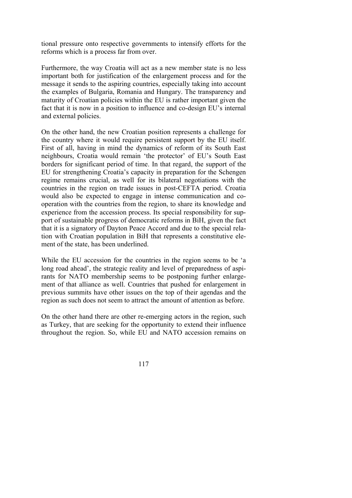tional pressure onto respective governments to intensify efforts for the reforms which is a process far from over.

Furthermore, the way Croatia will act as a new member state is no less important both for justification of the enlargement process and for the message it sends to the aspiring countries, especially taking into account the examples of Bulgaria, Romania and Hungary. The transparency and maturity of Croatian policies within the EU is rather important given the fact that it is now in a position to influence and co-design EU's internal and external policies.

On the other hand, the new Croatian position represents a challenge for the country where it would require persistent support by the EU itself. First of all, having in mind the dynamics of reform of its South East neighbours, Croatia would remain 'the protector' of EU's South East borders for significant period of time. In that regard, the support of the EU for strengthening Croatia's capacity in preparation for the Schengen regime remains crucial, as well for its bilateral negotiations with the countries in the region on trade issues in post-CEFTA period. Croatia would also be expected to engage in intense communication and cooperation with the countries from the region, to share its knowledge and experience from the accession process. Its special responsibility for support of sustainable progress of democratic reforms in BiH, given the fact that it is a signatory of Dayton Peace Accord and due to the special relation with Croatian population in BiH that represents a constitutive element of the state, has been underlined.

While the EU accession for the countries in the region seems to be 'a long road ahead', the strategic reality and level of preparedness of aspirants for NATO membership seems to be postponing further enlargement of that alliance as well. Countries that pushed for enlargement in previous summits have other issues on the top of their agendas and the region as such does not seem to attract the amount of attention as before.

On the other hand there are other re-emerging actors in the region, such as Turkey, that are seeking for the opportunity to extend their influence throughout the region. So, while EU and NATO accession remains on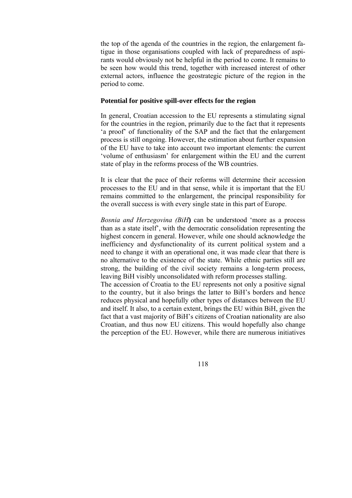the top of the agenda of the countries in the region, the enlargement fatigue in those organisations coupled with lack of preparedness of aspirants would obviously not be helpful in the period to come. It remains to be seen how would this trend, together with increased interest of other external actors, influence the geostrategic picture of the region in the period to come.

#### **Potential for positive spill-over effects for the region**

In general, Croatian accession to the EU represents a stimulating signal for the countries in the region, primarily due to the fact that it represents 'a proof' of functionality of the SAP and the fact that the enlargement process is still ongoing. However, the estimation about further expansion of the EU have to take into account two important elements: the current 'volume of enthusiasm' for enlargement within the EU and the current state of play in the reforms process of the WB countries.

It is clear that the pace of their reforms will determine their accession processes to the EU and in that sense, while it is important that the EU remains committed to the enlargement, the principal responsibility for the overall success is with every single state in this part of Europe.

*Bosnia and Herzegovina (BiH***)** can be understood 'more as a process than as a state itself', with the democratic consolidation representing the highest concern in general. However, while one should acknowledge the inefficiency and dysfunctionality of its current political system and a need to change it with an operational one, it was made clear that there is no alternative to the existence of the state. While ethnic parties still are strong, the building of the civil society remains a long-term process, leaving BiH visibly unconsolidated with reform processes stalling. The accession of Croatia to the EU represents not only a positive signal to the country, but it also brings the latter to BiH's borders and hence reduces physical and hopefully other types of distances between the EU and itself. It also, to a certain extent, brings the EU within BiH, given the fact that a vast majority of BiH's citizens of Croatian nationality are also

Croatian, and thus now EU citizens. This would hopefully also change the perception of the EU. However, while there are numerous initiatives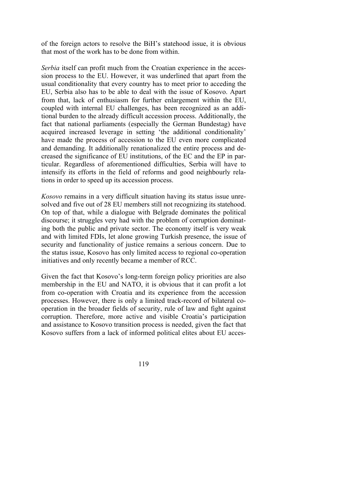of the foreign actors to resolve the BiH's statehood issue, it is obvious that most of the work has to be done from within.

*Serbia* itself can profit much from the Croatian experience in the accession process to the EU. However, it was underlined that apart from the usual conditionality that every country has to meet prior to acceding the EU, Serbia also has to be able to deal with the issue of Kosovo. Apart from that, lack of enthusiasm for further enlargement within the EU, coupled with internal EU challenges, has been recognized as an additional burden to the already difficult accession process. Additionally, the fact that national parliaments (especially the German Bundestag) have acquired increased leverage in setting 'the additional conditionality' have made the process of accession to the EU even more complicated and demanding. It additionally renationalized the entire process and decreased the significance of EU institutions, of the EC and the EP in particular. Regardless of aforementioned difficulties, Serbia will have to intensify its efforts in the field of reforms and good neighbourly relations in order to speed up its accession process.

*Kosovo* remains in a very difficult situation having its status issue unresolved and five out of 28 EU members still not recognizing its statehood. On top of that, while a dialogue with Belgrade dominates the political discourse; it struggles very had with the problem of corruption dominating both the public and private sector. The economy itself is very weak and with limited FDIs, let alone growing Turkish presence, the issue of security and functionality of justice remains a serious concern. Due to the status issue, Kosovo has only limited access to regional co-operation initiatives and only recently became a member of RCC.

Given the fact that Kosovo's long-term foreign policy priorities are also membership in the EU and NATO, it is obvious that it can profit a lot from co-operation with Croatia and its experience from the accession processes. However, there is only a limited track-record of bilateral cooperation in the broader fields of security, rule of law and fight against corruption. Therefore, more active and visible Croatia's participation and assistance to Kosovo transition process is needed, given the fact that Kosovo suffers from a lack of informed political elites about EU acces-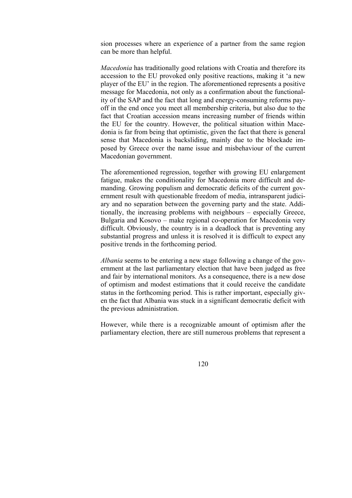sion processes where an experience of a partner from the same region can be more than helpful.

*Macedonia* has traditionally good relations with Croatia and therefore its accession to the EU provoked only positive reactions, making it 'a new player of the EU' in the region. The aforementioned represents a positive message for Macedonia, not only as a confirmation about the functionality of the SAP and the fact that long and energy-consuming reforms payoff in the end once you meet all membership criteria, but also due to the fact that Croatian accession means increasing number of friends within the EU for the country. However, the political situation within Macedonia is far from being that optimistic, given the fact that there is general sense that Macedonia is backsliding, mainly due to the blockade imposed by Greece over the name issue and misbehaviour of the current Macedonian government.

The aforementioned regression, together with growing EU enlargement fatigue, makes the conditionality for Macedonia more difficult and demanding. Growing populism and democratic deficits of the current government result with questionable freedom of media, intransparent judiciary and no separation between the governing party and the state. Additionally, the increasing problems with neighbours – especially Greece, Bulgaria and Kosovo – make regional co-operation for Macedonia very difficult. Obviously, the country is in a deadlock that is preventing any substantial progress and unless it is resolved it is difficult to expect any positive trends in the forthcoming period.

*Albania* seems to be entering a new stage following a change of the government at the last parliamentary election that have been judged as free and fair by international monitors. As a consequence, there is a new dose of optimism and modest estimations that it could receive the candidate status in the forthcoming period. This is rather important, especially given the fact that Albania was stuck in a significant democratic deficit with the previous administration.

However, while there is a recognizable amount of optimism after the parliamentary election, there are still numerous problems that represent a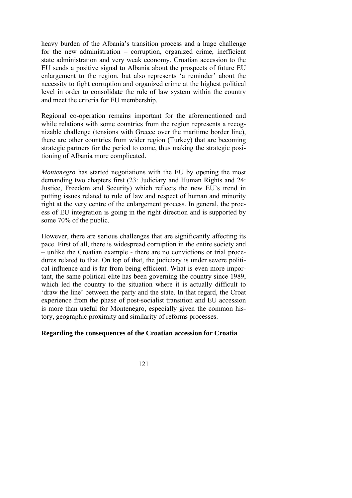heavy burden of the Albania's transition process and a huge challenge for the new administration – corruption, organized crime, inefficient state administration and very weak economy. Croatian accession to the EU sends a positive signal to Albania about the prospects of future EU enlargement to the region, but also represents 'a reminder' about the necessity to fight corruption and organized crime at the highest political level in order to consolidate the rule of law system within the country and meet the criteria for EU membership.

Regional co-operation remains important for the aforementioned and while relations with some countries from the region represents a recognizable challenge (tensions with Greece over the maritime border line), there are other countries from wider region (Turkey) that are becoming strategic partners for the period to come, thus making the strategic positioning of Albania more complicated.

*Montenegro* has started negotiations with the EU by opening the most demanding two chapters first (23: Judiciary and Human Rights and 24: Justice, Freedom and Security) which reflects the new EU's trend in putting issues related to rule of law and respect of human and minority right at the very centre of the enlargement process. In general, the process of EU integration is going in the right direction and is supported by some 70% of the public.

However, there are serious challenges that are significantly affecting its pace. First of all, there is widespread corruption in the entire society and – unlike the Croatian example - there are no convictions or trial procedures related to that. On top of that, the judiciary is under severe political influence and is far from being efficient. What is even more important, the same political elite has been governing the country since 1989, which led the country to the situation where it is actually difficult to 'draw the line' between the party and the state. In that regard, the Croat experience from the phase of post-socialist transition and EU accession is more than useful for Montenegro, especially given the common history, geographic proximity and similarity of reforms processes.

#### **Regarding the consequences of the Croatian accession for Croatia**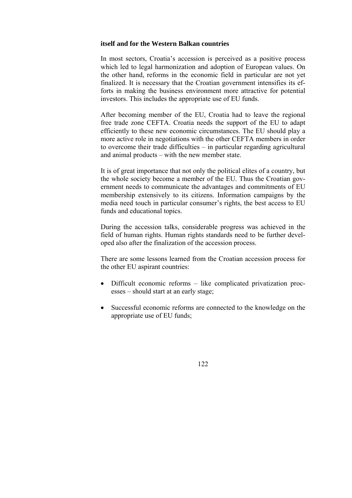#### **itself and for the Western Balkan countries**

In most sectors, Croatia's accession is perceived as a positive process which led to legal harmonization and adoption of European values. On the other hand, reforms in the economic field in particular are not yet finalized. It is necessary that the Croatian government intensifies its efforts in making the business environment more attractive for potential investors. This includes the appropriate use of EU funds.

After becoming member of the EU, Croatia had to leave the regional free trade zone CEFTA. Croatia needs the support of the EU to adapt efficiently to these new economic circumstances. The EU should play a more active role in negotiations with the other CEFTA members in order to overcome their trade difficulties – in particular regarding agricultural and animal products – with the new member state.

It is of great importance that not only the political elites of a country, but the whole society become a member of the EU. Thus the Croatian government needs to communicate the advantages and commitments of EU membership extensively to its citizens. Information campaigns by the media need touch in particular consumer's rights, the best access to EU funds and educational topics.

During the accession talks, considerable progress was achieved in the field of human rights. Human rights standards need to be further developed also after the finalization of the accession process.

There are some lessons learned from the Croatian accession process for the other EU aspirant countries:

- Difficult economic reforms like complicated privatization processes – should start at an early stage;
- Successful economic reforms are connected to the knowledge on the appropriate use of EU funds;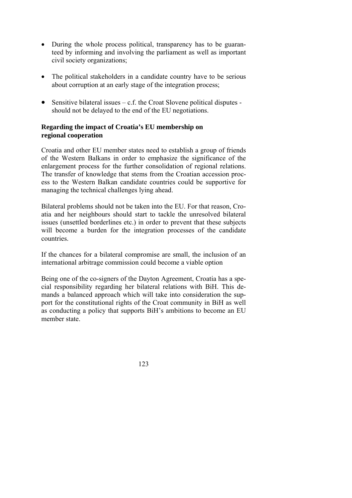- During the whole process political, transparency has to be guaranteed by informing and involving the parliament as well as important civil society organizations;
- The political stakeholders in a candidate country have to be serious about corruption at an early stage of the integration process;
- Sensitive bilateral issues  $-\mathbf{c}$ . f. the Croat Slovene political disputes should not be delayed to the end of the EU negotiations.

## **Regarding the impact of Croatia's EU membership on regional cooperation**

Croatia and other EU member states need to establish a group of friends of the Western Balkans in order to emphasize the significance of the enlargement process for the further consolidation of regional relations. The transfer of knowledge that stems from the Croatian accession process to the Western Balkan candidate countries could be supportive for managing the technical challenges lying ahead.

Bilateral problems should not be taken into the EU. For that reason, Croatia and her neighbours should start to tackle the unresolved bilateral issues (unsettled borderlines etc.) in order to prevent that these subjects will become a burden for the integration processes of the candidate countries.

If the chances for a bilateral compromise are small, the inclusion of an international arbitrage commission could become a viable option

Being one of the co-signers of the Dayton Agreement, Croatia has a special responsibility regarding her bilateral relations with BiH. This demands a balanced approach which will take into consideration the support for the constitutional rights of the Croat community in BiH as well as conducting a policy that supports BiH's ambitions to become an EU member state.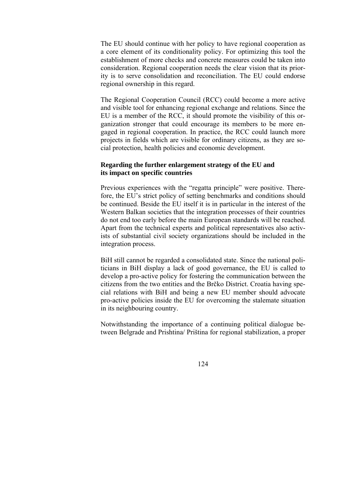The EU should continue with her policy to have regional cooperation as a core element of its conditionality policy. For optimizing this tool the establishment of more checks and concrete measures could be taken into consideration. Regional cooperation needs the clear vision that its priority is to serve consolidation and reconciliation. The EU could endorse regional ownership in this regard.

The Regional Cooperation Council (RCC) could become a more active and visible tool for enhancing regional exchange and relations. Since the EU is a member of the RCC, it should promote the visibility of this organization stronger that could encourage its members to be more engaged in regional cooperation. In practice, the RCC could launch more projects in fields which are visible for ordinary citizens, as they are social protection, health policies and economic development.

## **Regarding the further enlargement strategy of the EU and its impact on specific countries**

Previous experiences with the "regatta principle" were positive. Therefore, the EU's strict policy of setting benchmarks and conditions should be continued. Beside the EU itself it is in particular in the interest of the Western Balkan societies that the integration processes of their countries do not end too early before the main European standards will be reached. Apart from the technical experts and political representatives also activists of substantial civil society organizations should be included in the integration process.

BiH still cannot be regarded a consolidated state. Since the national politicians in BiH display a lack of good governance, the EU is called to develop a pro-active policy for fostering the communication between the citizens from the two entities and the Brčko District. Croatia having special relations with BiH and being a new EU member should advocate pro-active policies inside the EU for overcoming the stalemate situation in its neighbouring country.

Notwithstanding the importance of a continuing political dialogue between Belgrade and Prishtina/ Priština for regional stabilization, a proper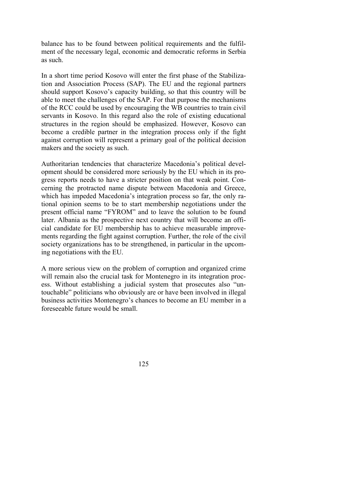balance has to be found between political requirements and the fulfilment of the necessary legal, economic and democratic reforms in Serbia as such.

In a short time period Kosovo will enter the first phase of the Stabilization and Association Process (SAP). The EU and the regional partners should support Kosovo's capacity building, so that this country will be able to meet the challenges of the SAP. For that purpose the mechanisms of the RCC could be used by encouraging the WB countries to train civil servants in Kosovo. In this regard also the role of existing educational structures in the region should be emphasized. However, Kosovo can become a credible partner in the integration process only if the fight against corruption will represent a primary goal of the political decision makers and the society as such.

Authoritarian tendencies that characterize Macedonia's political development should be considered more seriously by the EU which in its progress reports needs to have a stricter position on that weak point. Concerning the protracted name dispute between Macedonia and Greece, which has impeded Macedonia's integration process so far, the only rational opinion seems to be to start membership negotiations under the present official name "FYROM" and to leave the solution to be found later. Albania as the prospective next country that will become an official candidate for EU membership has to achieve measurable improvements regarding the fight against corruption. Further, the role of the civil society organizations has to be strengthened, in particular in the upcoming negotiations with the EU.

A more serious view on the problem of corruption and organized crime will remain also the crucial task for Montenegro in its integration process. Without establishing a judicial system that prosecutes also "untouchable" politicians who obviously are or have been involved in illegal business activities Montenegro's chances to become an EU member in a foreseeable future would be small.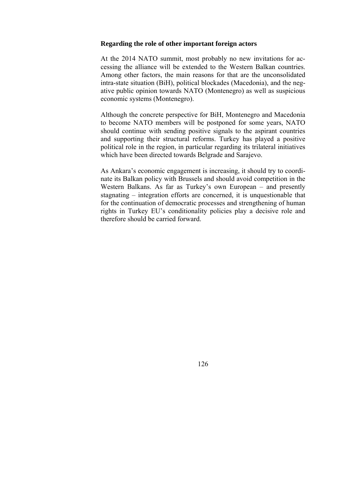#### **Regarding the role of other important foreign actors**

At the 2014 NATO summit, most probably no new invitations for accessing the alliance will be extended to the Western Balkan countries. Among other factors, the main reasons for that are the unconsolidated intra-state situation (BiH), political blockades (Macedonia), and the negative public opinion towards NATO (Montenegro) as well as suspicious economic systems (Montenegro).

Although the concrete perspective for BiH, Montenegro and Macedonia to become NATO members will be postponed for some years, NATO should continue with sending positive signals to the aspirant countries and supporting their structural reforms. Turkey has played a positive political role in the region, in particular regarding its trilateral initiatives which have been directed towards Belgrade and Sarajevo.

As Ankara's economic engagement is increasing, it should try to coordinate its Balkan policy with Brussels and should avoid competition in the Western Balkans. As far as Turkey's own European – and presently stagnating – integration efforts are concerned, it is unquestionable that for the continuation of democratic processes and strengthening of human rights in Turkey EU's conditionality policies play a decisive role and therefore should be carried forward.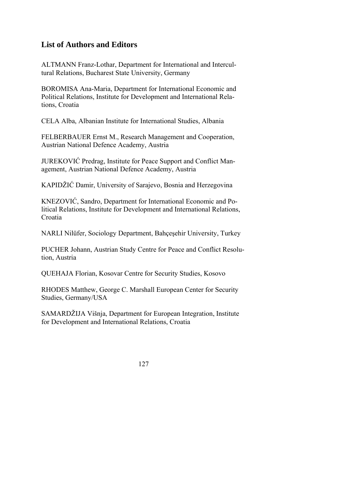# **List of Authors and Editors**

ALTMANN Franz-Lothar, Department for International and Intercultural Relations, Bucharest State University, Germany

BOROMISA Ana-Maria, Department for International Economic and Political Relations, Institute for Development and International Relations, Croatia

CELA Alba, Albanian Institute for International Studies, Albania

FELBERBAUER Ernst M., Research Management and Cooperation, Austrian National Defence Academy, Austria

JUREKOVIĆ Predrag, Institute for Peace Support and Conflict Management, Austrian National Defence Academy, Austria

KAPIDŽIĆ Damir, University of Sarajevo, Bosnia and Herzegovina

KNEZOVIĆ, Sandro, Department for International Economic and Political Relations, Institute for Development and International Relations, Croatia

NARLI Nilüfer, Sociology Department, Bahçeşehir University, Turkey

PUCHER Johann, Austrian Study Centre for Peace and Conflict Resolution, Austria

QUEHAJA Florian, Kosovar Centre for Security Studies, Kosovo

RHODES Matthew, George C. Marshall European Center for Security Studies, Germany/USA

SAMARDŽIJA Višnja, Department for European Integration, Institute for Development and International Relations, Croatia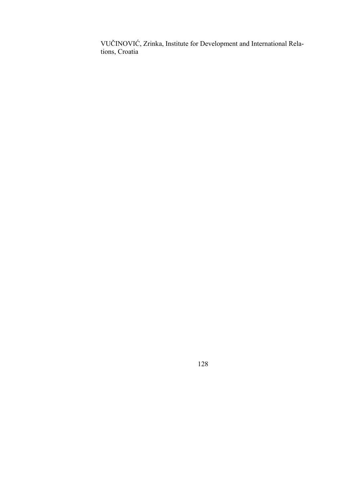VUČINOVIĆ, Zrinka, Institute for Development and International Relations, Croatia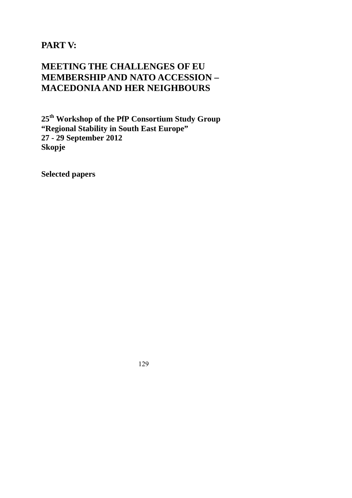**PART V:** 

# **MEETING THE CHALLENGES OF EU MEMBERSHIP AND NATO ACCESSION – MACEDONIA AND HER NEIGHBOURS**

**25th Workshop of the PfP Consortium Study Group "Regional Stability in South East Europe" 27 - 29 September 2012 Skopje** 

**Selected papers**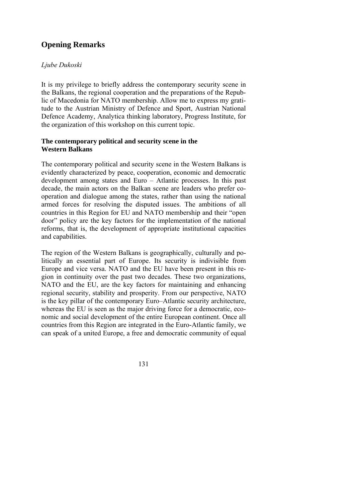# **Opening Remarks**

# *Ljube Dukoski*

It is my privilege to briefly address the contemporary security scene in the Balkans, the regional cooperation and the preparations of the Republic of Macedonia for NATO membership. Allow me to express my gratitude to the Austrian Ministry of Defence and Sport, Austrian National Defence Academy, Analytica thinking laboratory, Progress Institute, for the organization of this workshop on this current topic.

## **The contemporary political and security scene in the Western Balkans**

The contemporary political and security scene in the Western Balkans is evidently characterized by peace, cooperation, economic and democratic development among states and Euro – Atlantic processes. In this past decade, the main actors on the Balkan scene are leaders who prefer cooperation and dialogue among the states, rather than using the national armed forces for resolving the disputed issues. The ambitions of all countries in this Region for EU and NATO membership and their "open door" policy are the key factors for the implementation of the national reforms, that is, the development of appropriate institutional capacities and capabilities.

The region of the Western Balkans is geographically, culturally and politically an essential part of Europe. Its security is indivisible from Europe and vice versa. NATO and the EU have been present in this region in continuity over the past two decades. These two organizations, NATO and the EU, are the key factors for maintaining and enhancing regional security, stability and prosperity. From our perspective, NATO is the key pillar of the contemporary Euro–Atlantic security architecture, whereas the EU is seen as the major driving force for a democratic, eco-nomic and social development of the entire European continent. Once all countries from this Region are integrated in the Euro-Atlantic family, we can speak of a united Europe, a free and democratic community of equal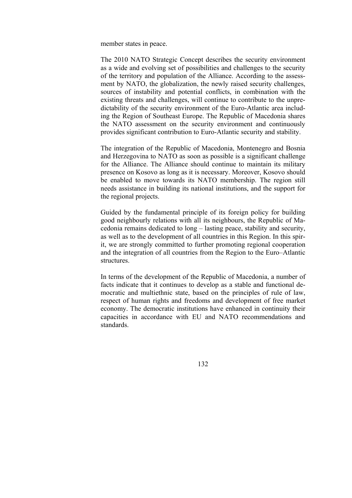member states in peace.

The 2010 NATO Strategic Concept describes the security environment as a wide and evolving set of possibilities and challenges to the security of the territory and population of the Alliance. According to the assessment by NATO, the globalization, the newly raised security challenges, sources of instability and potential conflicts, in combination with the existing threats and challenges, will continue to contribute to the unpredictability of the security environment of the Euro-Atlantic area including the Region of Southeast Europe. The Republic of Macedonia shares the NATO assessment on the security environment and continuously provides significant contribution to Euro-Atlantic security and stability.

The integration of the Republic of Macedonia, Montenegro and Bosnia and Herzegovina to NATO as soon as possible is a significant challenge for the Alliance. The Alliance should continue to maintain its military presence on Kosovo as long as it is necessary. Moreover, Kosovo should be enabled to move towards its NATO membership. The region still needs assistance in building its national institutions, and the support for the regional projects.

Guided by the fundamental principle of its foreign policy for building good neighbourly relations with all its neighbours, the Republic of Macedonia remains dedicated to long – lasting peace, stability and security, as well as to the development of all countries in this Region. In this spirit, we are strongly committed to further promoting regional cooperation and the integration of all countries from the Region to the Euro–Atlantic structures.

In terms of the development of the Republic of Macedonia, a number of facts indicate that it continues to develop as a stable and functional democratic and multiethnic state, based on the principles of rule of law, respect of human rights and freedoms and development of free market economy. The democratic institutions have enhanced in continuity their capacities in accordance with EU and NATO recommendations and standards.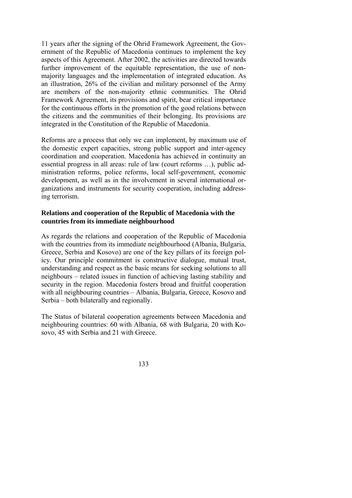11 years after the signing of the Ohrid Framework Agreement, the Government of the Republic of Macedonia continues to implement the key aspects of this Agreement. After 2002, the activities are directed towards further improvement of the equitable representation, the use of nonmajority languages and the implementation of integrated education. As an illustration, 26% of the civilian and military personnel of the Army are members of the non-majority ethnic communities. The Ohrid Framework Agreement, its provisions and spirit, bear critical importance for the continuous efforts in the promotion of the good relations between the citizens and the communities of their belonging. Its provisions are integrated in the Constitution of the Republic of Macedonia.

Reforms are a process that only we can implement, by maximum use of the domestic expert capacities, strong public support and inter-agency coordination and cooperation. Macedonia has achieved in continuity an essential progress in all areas: rule of law (court reforms …), public administration reforms, police reforms, local self-government, economic development, as well as in the involvement in several international organizations and instruments for security cooperation, including addressing terrorism.

# **Relations and cooperation of the Republic of Macedonia with the countries from its immediate neighbourhood**

As regards the relations and cooperation of the Republic of Macedonia with the countries from its immediate neighbourhood (Albania, Bulgaria, Greece, Serbia and Kosovo) are one of the key pillars of its foreign policy. Our principle commitment is constructive dialogue, mutual trust, understanding and respect as the basic means for seeking solutions to all neighbours – related issues in function of achieving lasting stability and security in the region. Macedonia fosters broad and fruitful cooperation with all neighbouring countries – Albania, Bulgaria, Greece, Kosovo and Serbia – both bilaterally and regionally.

The Status of bilateral cooperation agreements between Macedonia and neighbouring countries: 60 with Albania, 68 with Bulgaria, 20 with Kosovo, 45 with Serbia and 21 with Greece.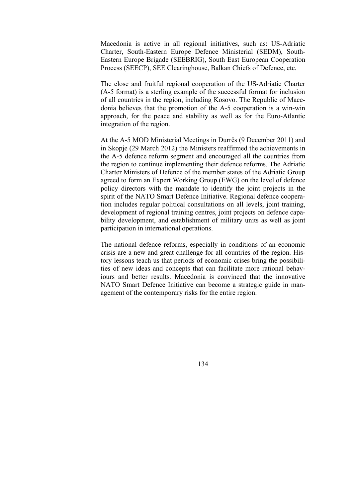Macedonia is active in all regional initiatives, such as: US-Adriatic Charter, South-Eastern Europe Defence Ministerial (SEDM), South-Eastern Europe Brigade (SEEBRIG), South East European Cooperation Process (SEECP), SEE Clearinghouse, Balkan Chiefs of Defence, etc.

The close and fruitful regional cooperation of the US-Adriatic Charter (A-5 format) is a sterling example of the successful format for inclusion of all countries in the region, including Kosovo. The Republic of Macedonia believes that the promotion of the A-5 cooperation is a win-win approach, for the peace and stability as well as for the Euro-Atlantic integration of the region.

At the A-5 MOD Ministerial Meetings in Durrës (9 December 2011) and in Skopje (29 March 2012) the Ministers reaffirmed the achievements in the A-5 defence reform segment and encouraged all the countries from the region to continue implementing their defence reforms. The Adriatic Charter Ministers of Defence of the member states of the Adriatic Group agreed to form an Expert Working Group (EWG) on the level of defence policy directors with the mandate to identify the joint projects in the spirit of the NATO Smart Defence Initiative. Regional defence cooperation includes regular political consultations on all levels, joint training, development of regional training centres, joint projects on defence capability development, and establishment of military units as well as joint participation in international operations.

The national defence reforms, especially in conditions of an economic crisis are a new and great challenge for all countries of the region. History lessons teach us that periods of economic crises bring the possibilities of new ideas and concepts that can facilitate more rational behaviours and better results. Macedonia is convinced that the innovative NATO Smart Defence Initiative can become a strategic guide in management of the contemporary risks for the entire region.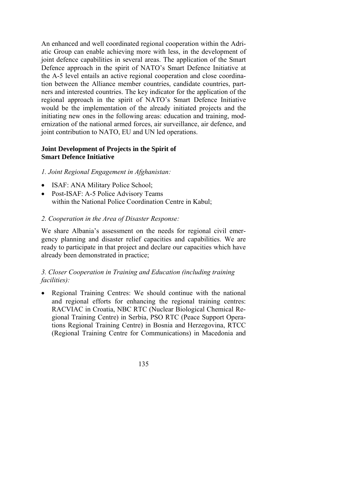An enhanced and well coordinated regional cooperation within the Adriatic Group can enable achieving more with less, in the development of joint defence capabilities in several areas. The application of the Smart Defence approach in the spirit of NATO's Smart Defence Initiative at the А-5 level entails an active regional cooperation and close coordination between the Alliance member countries, candidate countries, partners and interested countries. The key indicator for the application of the regional approach in the spirit of NATO's Smart Defence Initiative would be the implementation of the already initiated projects and the initiating new ones in the following areas: education and training, modernization of the national armed forces, air surveillance, air defence, and joint contribution to NATO, EU and UN led operations.

## **Joint Development of Projects in the Spirit of Smart Defence Initiative**

#### *1. Joint Regional Engagement in Afghanistan:*

- ISAF: ANA Military Police School;
- Post-ISAF: A-5 Police Advisory Teams within the National Police Coordination Centre in Kabul;

#### *2. Cooperation in the Area of Disaster Response:*

We share Albania's assessment on the needs for regional civil emergency planning and disaster relief capacities and capabilities. We are ready to participate in that project and declare our capacities which have already been demonstrated in practice;

## *3. Closer Cooperation in Training and Education (including training facilities):*

• Regional Training Centres: We should continue with the national and regional efforts for enhancing the regional training centres: RACVIAC in Croatia, NBC RTC (Nuclear Biological Chemical Regional Training Centre) in Serbia, PSO RTC (Peace Support Operations Regional Training Centre) in Bosnia and Herzegovina, RTCC (Regional Training Centre for Communications) in Macedonia and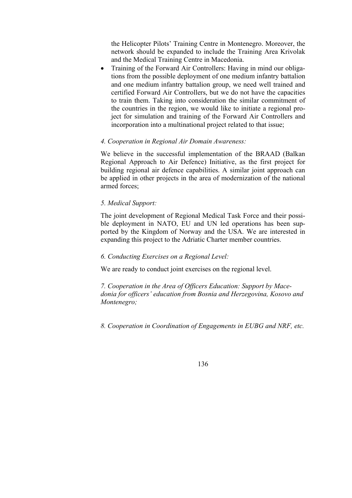the Helicopter Pilots' Training Centre in Montenegro. Moreover, the network should be expanded to include the Training Area Krivolak and the Medical Training Centre in Macedonia.

• Training of the Forward Air Controllers: Having in mind our obligations from the possible deployment of one medium infantry battalion and one medium infantry battalion group, we need well trained and certified Forward Air Controllers, but we do not have the capacities to train them. Taking into consideration the similar commitment of the countries in the region, we would like to initiate a regional project for simulation and training of the Forward Air Controllers and incorporation into a multinational project related to that issue;

## *4. Cooperation in Regional Air Domain Awareness:*

We believe in the successful implementation of the BRAAD (Balkan Regional Approach to Air Defence) Initiative, as the first project for building regional air defence capabilities. A similar joint approach can be applied in other projects in the area of modernization of the national armed forces;

## *5. Medical Support:*

The joint development of Regional Medical Task Force and their possible deployment in NATO, EU and UN led operations has been supported by the Kingdom of Norway and the USA. We are interested in expanding this project to the Adriatic Charter member countries.

## *6. Conducting Exercises on a Regional Level:*

We are ready to conduct joint exercises on the regional level.

*7. Cooperation in the Area of Officers Education: Support by Macedonia for officers' education from Bosnia and Herzegovina, Kosovo and Montenegro;* 

*8. Cooperation in Coordination of Engagements in EUBG and NRF, etc.*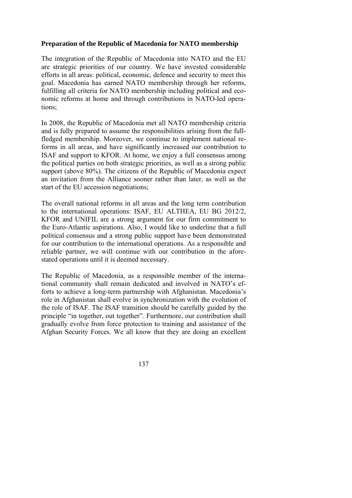## **Preparation of the Republic of Macedonia for NATO membership**

The integration of the Republic of Macedonia into NATO and the EU are strategic priorities of our country. We have invested considerable efforts in all areas: political, economic, defence and security to meet this goal. Macedonia has earned NATO membership through her reforms, fulfilling all criteria for NATO membership including political and economic reforms at home and through contributions in NATO-led operations;

In 2008, the Republic of Macedonia met all NATO membership criteria and is fully prepared to assume the responsibilities arising from the fullfledged membership. Moreover, we continue to implement national reforms in all areas, and have significantly increased our contribution to ISAF and support to KFOR. At home, we enjoy a full consensus among the political parties on both strategic priorities, as well as a strong public support (above 80%). The citizens of the Republic of Macedonia expect an invitation from the Alliance sooner rather than later, as well as the start of the EU accession negotiations;

The overall national reforms in all areas and the long term contribution to the international operations: ISAF, EU ALTHEA, EU BG 2012/2, KFOR and UNIFIL are a strong argument for our firm commitment to the Euro-Atlantic aspirations. Also, I would like to underline that a full political consensus and a strong public support have been demonstrated for our contribution to the international operations. As a responsible and reliable partner, we will continue with our contribution in the aforestated operations until it is deemed necessary.

The Republic of Macedonia, as a responsible member of the international community shall remain dedicated and involved in NATO's efforts to achieve a long-term partnership with Afghanistan. Macedonia's role in Afghanistan shall evolve in synchronization with the evolution of the role of ISAF. The ISAF transition should be carefully guided by the principle "in together, out together". Furthermore, our contribution shall gradually evolve from force protection to training and assistance of the Afghan Security Forces. We all know that they are doing an excellent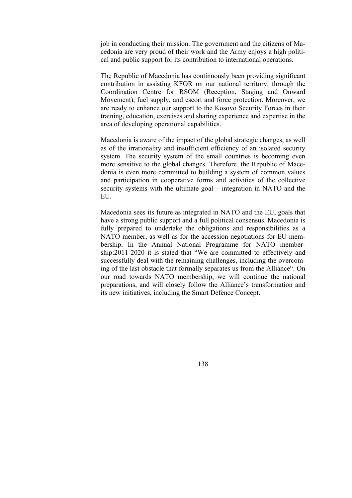job in conducting their mission. The government and the citizens of Macedonia are very proud of their work and the Army enjoys a high political and public support for its contribution to international operations.

The Republic of Macedonia has continuously been providing significant contribution in assisting KFOR on our national territory, through the Coordination Centre for RSOM (Reception, Staging and Onward Movement), fuel supply, and escort and force protection. Moreover, we are ready to enhance our support to the Kosovo Security Forces in their training, education, exercises and sharing experience and expertise in the area of developing operational capabilities.

Macedonia is aware of the impact of the global strategic changes, as well as of the irrationality and insufficient efficiency of an isolated security system. The security system of the small countries is becoming even more sensitive to the global changes. Therefore, the Republic of Macedonia is even more committed to building a system of common values and participation in cooperative forms and activities of the collective security systems with the ultimate goal – integration in NATO and the EU.

Macedonia sees its future as integrated in NATO and the EU, goals that have a strong public support and a full political consensus. Macedonia is fully prepared to undertake the obligations and responsibilities as a NATO member, as well as for the accession negotiations for EU membership. In the Annual National Programme for NATO membership:2011-2020 it is stated that "We are committed to effectively and successfully deal with the remaining challenges, including the overcoming of the last obstacle that formally separates us from the Alliance". On our road towards NATO membership, we will continue the national preparations, and will closely follow the Alliance's transformation and its new initiatives, including the Smart Defence Concept.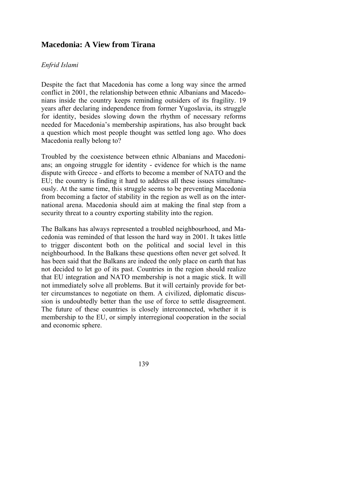# **Macedonia: A View from Tirana**

#### *Enfrid Islami*

Despite the fact that Macedonia has come a long way since the armed conflict in 2001, the relationship between ethnic Albanians and Macedonians inside the country keeps reminding outsiders of its fragility. 19 years after declaring independence from former Yugoslavia, its struggle for identity, besides slowing down the rhythm of necessary reforms needed for Macedonia's membership aspirations, has also brought back a question which most people thought was settled long ago. Who does Macedonia really belong to?

Troubled by the coexistence between ethnic Albanians and Macedonians; an ongoing struggle for identity - evidence for which is the name dispute with Greece - and efforts to become a member of NATO and the EU; the country is finding it hard to address all these issues simultaneously. At the same time, this struggle seems to be preventing Macedonia from becoming a factor of stability in the region as well as on the international arena. Macedonia should aim at making the final step from a security threat to a country exporting stability into the region.

The Balkans has always represented a troubled neighbourhood, and Macedonia was reminded of that lesson the hard way in 2001. It takes little to trigger discontent both on the political and social level in this neighbourhood. In the Balkans these questions often never get solved. It has been said that the Balkans are indeed the only place on earth that has not decided to let go of its past. Countries in the region should realize that EU integration and NATO membership is not a magic stick. It will not immediately solve all problems. But it will certainly provide for better circumstances to negotiate on them. A civilized, diplomatic discussion is undoubtedly better than the use of force to settle disagreement. The future of these countries is closely interconnected, whether it is membership to the EU, or simply interregional cooperation in the social and economic sphere.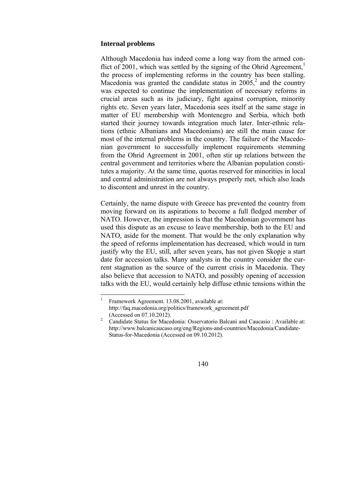#### **Internal problems**

Although Macedonia has indeed come a long way from the armed conflict of 2001, which was settled by the signing of the Ohrid Agreement, $\frac{1}{1}$ the process of implementing reforms in the country has been stalling. Macedonia was granted the candidate status in  $2005$ <sup>2</sup>, and the country was expected to continue the implementation of necessary reforms in crucial areas such as its judiciary, fight against corruption, minority rights etc. Seven years later, Macedonia sees itself at the same stage in matter of EU membership with Montenegro and Serbia, which both started their journey towards integration much later. Inter-ethnic relations (ethnic Albanians and Macedonians) are still the main cause for most of the internal problems in the country. The failure of the Macedonian government to successfully implement requirements stemming from the Ohrid Agreement in 2001, often stir up relations between the central government and territories where the Albanian population constitutes a majority. At the same time, quotas reserved for minorities in local and central administration are not always properly met, which also leads to discontent and unrest in the country.

Certainly, the name dispute with Greece has prevented the country from moving forward on its aspirations to become a full fledged member of NATO. However, the impression is that the Macedonian government has used this dispute as an excuse to leave membership, both to the EU and NATO, aside for the moment. That would be the only explanation why the speed of reforms implementation has decreased, which would in turn justify why the EU, still, after seven years, has not given Skopje a start date for accession talks. Many analysts in the country consider the current stagnation as the source of the current crisis in Macedonia. They also believe that accession to NATO, and possibly opening of accession talks with the EU, would certainly help diffuse ethnic tensions within the

 $\frac{1}{1}$  Framework Agreement. 13.08.2001, available at: http://faq.macedonia.org/politics/framework\_agreement.pdf

<sup>(</sup>Accessed on 07.10.2012). 2 Candidate Status for Macedonia: Osservatorio Balcani and Caucasio : Available at: http://www.balcanicaucaso.org/eng/Regions-and-countries/Macedonia/Candidate-Status-for-Macedonia (Accessed on 09.10.2012).

<sup>140</sup>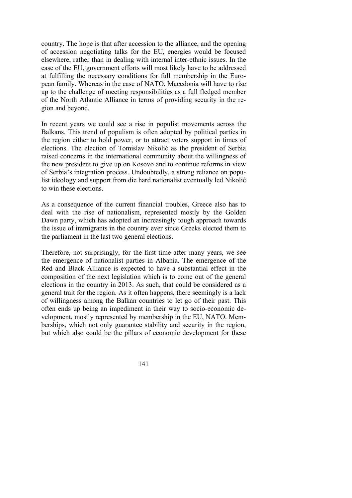country. The hope is that after accession to the alliance, and the opening of accession negotiating talks for the EU, energies would be focused elsewhere, rather than in dealing with internal inter-ethnic issues. In the case of the EU, government efforts will most likely have to be addressed at fulfilling the necessary conditions for full membership in the European family. Whereas in the case of NATO, Macedonia will have to rise up to the challenge of meeting responsibilities as a full fledged member of the North Atlantic Alliance in terms of providing security in the region and beyond.

In recent years we could see a rise in populist movements across the Balkans. This trend of populism is often adopted by political parties in the region either to hold power, or to attract voters support in times of elections. The election of Tomislav Nikolić as the president of Serbia raised concerns in the international community about the willingness of the new president to give up on Kosovo and to continue reforms in view of Serbia's integration process. Undoubtedly, a strong reliance on populist ideology and support from die hard nationalist eventually led Nikolić to win these elections.

As a consequence of the current financial troubles, Greece also has to deal with the rise of nationalism, represented mostly by the Golden Dawn party, which has adopted an increasingly tough approach towards the issue of immigrants in the country ever since Greeks elected them to the parliament in the last two general elections.

Therefore, not surprisingly, for the first time after many years, we see the emergence of nationalist parties in Albania. The emergence of the Red and Black Alliance is expected to have a substantial effect in the composition of the next legislation which is to come out of the general elections in the country in 2013. As such, that could be considered as a general trait for the region. As it often happens, there seemingly is a lack of willingness among the Balkan countries to let go of their past. This often ends up being an impediment in their way to socio-economic development, mostly represented by membership in the EU, NATO. Memberships, which not only guarantee stability and security in the region, but which also could be the pillars of economic development for these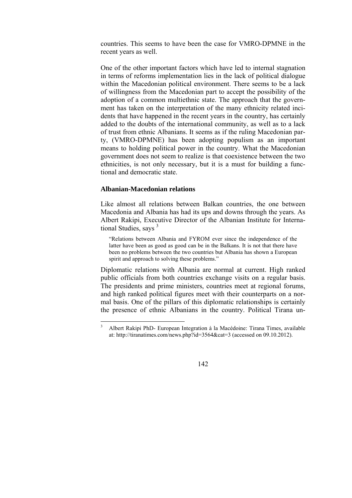countries. This seems to have been the case for VMRO-DPMNE in the recent years as well.

One of the other important factors which have led to internal stagnation in terms of reforms implementation lies in the lack of political dialogue within the Macedonian political environment. There seems to be a lack of willingness from the Macedonian part to accept the possibility of the adoption of a common multiethnic state. The approach that the government has taken on the interpretation of the many ethnicity related incidents that have happened in the recent years in the country, has certainly added to the doubts of the international community, as well as to a lack of trust from ethnic Albanians. It seems as if the ruling Macedonian party, (VMRO-DPMNE) has been adopting populism as an important means to holding political power in the country. What the Macedonian government does not seem to realize is that coexistence between the two ethnicities, is not only necessary, but it is a must for building a functional and democratic state.

#### **Albanian-Macedonian relations**

Like almost all relations between Balkan countries, the one between Macedonia and Albania has had its ups and downs through the years. As Albert Rakipi, Executive Director of the Albanian Institute for International Studies, says <sup>3</sup>

"Relations between Albania and FYROM ever since the independence of the latter have been as good as good can be in the Balkans. It is not that there have been no problems between the two countries but Albania has shown a European spirit and approach to solving these problems."

Diplomatic relations with Albania are normal at current. High ranked public officials from both countries exchange visits on a regular basis. The presidents and prime ministers, countries meet at regional forums, and high ranked political figures meet with their counterparts on a normal basis. One of the pillars of this diplomatic relationships is certainly the presence of ethnic Albanians in the country. Political Tirana un-

 $\frac{1}{3}$  Albert Rakipi PhD- European Integration à la Macédoine: Tirana Times, available at: http://tiranatimes.com/news.php?id=3564&cat=3 (accessed on 09.10.2012).

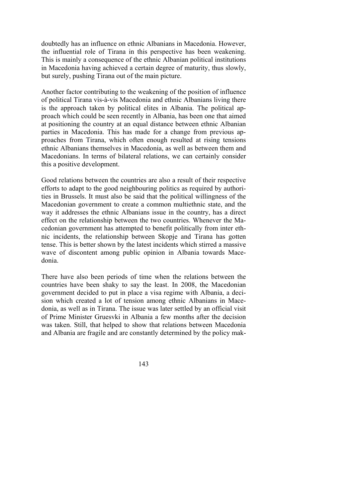doubtedly has an influence on ethnic Albanians in Macedonia. However, the influential role of Tirana in this perspective has been weakening. This is mainly a consequence of the ethnic Albanian political institutions in Macedonia having achieved a certain degree of maturity, thus slowly, but surely, pushing Tirana out of the main picture.

Another factor contributing to the weakening of the position of influence of political Tirana vis-à-vis Macedonia and ethnic Albanians living there is the approach taken by political elites in Albania. The political approach which could be seen recently in Albania, has been one that aimed at positioning the country at an equal distance between ethnic Albanian parties in Macedonia. This has made for a change from previous approaches from Tirana, which often enough resulted at rising tensions ethnic Albanians themselves in Macedonia, as well as between them and Macedonians. In terms of bilateral relations, we can certainly consider this a positive development.

Good relations between the countries are also a result of their respective efforts to adapt to the good neighbouring politics as required by authorities in Brussels. It must also be said that the political willingness of the Macedonian government to create a common multiethnic state, and the way it addresses the ethnic Albanians issue in the country, has a direct effect on the relationship between the two countries. Whenever the Macedonian government has attempted to benefit politically from inter ethnic incidents, the relationship between Skopje and Tirana has gotten tense. This is better shown by the latest incidents which stirred a massive wave of discontent among public opinion in Albania towards Macedonia.

There have also been periods of time when the relations between the countries have been shaky to say the least. In 2008, the Macedonian government decided to put in place a visa regime with Albania, a decision which created a lot of tension among ethnic Albanians in Macedonia, as well as in Tirana. The issue was later settled by an official visit of Prime Minister Gruesvki in Albania a few months after the decision was taken. Still, that helped to show that relations between Macedonia and Albania are fragile and are constantly determined by the policy mak-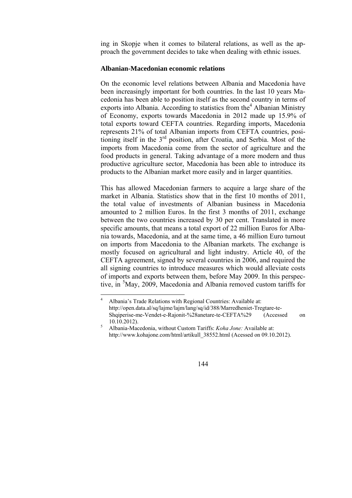ing in Skopje when it comes to bilateral relations, as well as the approach the government decides to take when dealing with ethnic issues.

#### **Albanian-Macedonian economic relations**

On the economic level relations between Albania and Macedonia have been increasingly important for both countries. In the last 10 years Macedonia has been able to position itself as the second country in terms of exports into Albania. According to statistics from the  $4$  Albanian Ministry of Economy, exports towards Macedonia in 2012 made up 15.9% of total exports toward CEFTA countries. Regarding imports, Macedonia represents 21% of total Albanian imports from CEFTA countries, positioning itself in the 3<sup>rd</sup> position, after Croatia, and Serbia. Most of the imports from Macedonia come from the sector of agriculture and the food products in general. Taking advantage of a more modern and thus productive agriculture sector, Macedonia has been able to introduce its products to the Albanian market more easily and in larger quantities.

This has allowed Macedonian farmers to acquire a large share of the market in Albania. Statistics show that in the first 10 months of 2011, the total value of investments of Albanian business in Macedonia amounted to 2 million Euros. In the first 3 months of 2011, exchange between the two countries increased by 30 per cent. Translated in more specific amounts, that means a total export of 22 million Euros for Albania towards, Macedonia, and at the same time, a 46 million Euro turnout on imports from Macedonia to the Albanian markets. The exchange is mostly focused on agricultural and light industry. Article 40, of the CEFTA agreement, signed by several countries in 2006, and required the all signing countries to introduce measures which would alleviate costs of imports and exports between them, before May 2009. In this perspective, in <sup>5</sup>May, 2009, Macedonia and Albania removed custom tariffs for

Albania-Macedonia, without Custom Tariffs: *Koha Jone:* Available at: http://www.kohajone.com/html/artikull\_38552.html (Acessed on 09.10.2012).



 $\frac{1}{4}$  Albania's Trade Relations with Regional Countries: Available at: http://open.data.al/sq/lajme/lajm/lang/sq/id/388/Marredheniet-Tregtare-te-Shqiperise-me-Vendet-e-Rajonit-%28anetare-te-CEFTA%29 (Accessed on  $10.10.2012$ ).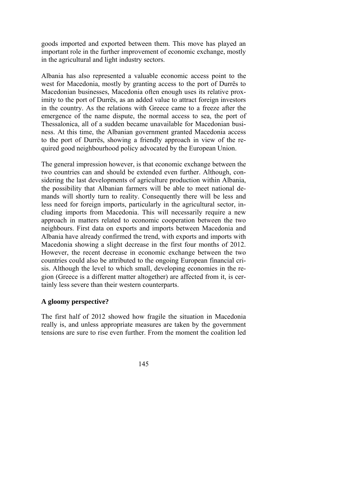goods imported and exported between them. This move has played an important role in the further improvement of economic exchange, mostly in the agricultural and light industry sectors.

Albania has also represented a valuable economic access point to the west for Macedonia, mostly by granting access to the port of Durrës to Macedonian businesses, Macedonia often enough uses its relative proximity to the port of Durrës, as an added value to attract foreign investors in the country. As the relations with Greece came to a freeze after the emergence of the name dispute, the normal access to sea, the port of Thessalonica, all of a sudden became unavailable for Macedonian business. At this time, the Albanian government granted Macedonia access to the port of Durrës, showing a friendly approach in view of the required good neighbourhood policy advocated by the European Union.

The general impression however, is that economic exchange between the two countries can and should be extended even further. Although, considering the last developments of agriculture production within Albania, the possibility that Albanian farmers will be able to meet national demands will shortly turn to reality. Consequently there will be less and less need for foreign imports, particularly in the agricultural sector, including imports from Macedonia. This will necessarily require a new approach in matters related to economic cooperation between the two neighbours. First data on exports and imports between Macedonia and Albania have already confirmed the trend, with exports and imports with Macedonia showing a slight decrease in the first four months of 2012. However, the recent decrease in economic exchange between the two countries could also be attributed to the ongoing European financial crisis. Although the level to which small, developing economies in the region (Greece is a different matter altogether) are affected from it, is certainly less severe than their western counterparts.

## **A gloomy perspective?**

The first half of 2012 showed how fragile the situation in Macedonia really is, and unless appropriate measures are taken by the government tensions are sure to rise even further. From the moment the coalition led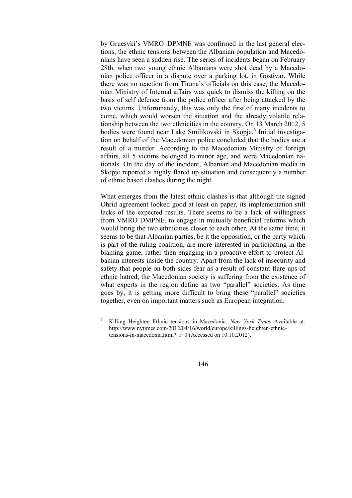by Gruesvki's VMRO–DPMNE was confirmed in the last general elections, the ethnic tensions between the Albanian population and Macedonians have seen a sudden rise. The series of incidents began on February 28th, when two young ethnic Albanians were shot dead by a Macedonian police officer in a dispute over a parking lot, in Gostivar. While there was no reaction from Tirana's officials on this case, the Macedonian Ministry of Internal affairs was quick to dismiss the killing on the basis of self defence from the police officer after being attacked by the two victims. Unfortunately, this was only the first of many incidents to come, which would worsen the situation and the already volatile relationship between the two ethnicities in the country. On 13 March 2012, 5 bodies were found near Lake Smilikovski in Skopje.<sup>6</sup> Initial investigation on behalf of the Macedonian police concluded that the bodies are a result of a murder. According to the Macedonian Ministry of foreign affairs, all 5 victims belonged to minor age, and were Macedonian nationals. On the day of the incident, Albanian and Macedonian media in Skopje reported a highly flared up situation and consequently a number of ethnic based clashes during the night.

What emerges from the latest ethnic clashes is that although the signed Ohrid agreement looked good at least on paper, its implementation still lacks of the expected results. There seems to be a lack of willingness from VMRO DMPNE, to engage in mutually beneficial reforms which would bring the two ethnicities closer to each other. At the same time, it seems to be that Albanian parties, be it the opposition, or the party which is part of the ruling coalition, are more interested in participating in the blaming game, rather then engaging in a proactive effort to protect Albanian interests inside the country. Apart from the lack of insecurity and safety that people on both sides fear as a result of constant flare ups of ethnic hatred, the Macedonian society is suffering from the existence of what experts in the region define as two "parallel" societies. As time goes by, it is getting more difficult to bring these "parallel" societies together, even on important matters such as European integration.

 $\frac{1}{6}$  Killing Heighten Ethnic tensions in Macedonia: *New York Times* Available at: http://www.nytimes.com/2012/04/16/world/europe/killings-heighten-ethnictensions-in-macedonia.html?  $r=0$  (Accessed on 10.10.2012).

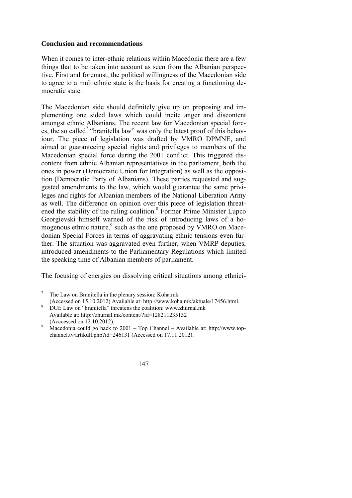### **Conclusion and recommendations**

When it comes to inter-ethnic relations within Macedonia there are a few things that to be taken into account as seen from the Albanian perspective. First and foremost, the political willingness of the Macedonian side to agree to a multiethnic state is the basis for creating a functioning democratic state.

The Macedonian side should definitely give up on proposing and implementing one sided laws which could incite anger and discontent amongst ethnic Albanians. The recent law for Macedonian special forces, the so called<sup>7</sup> "branitella law" was only the latest proof of this behaviour. The piece of legislation was drafted by VMRO DPMNE, and aimed at guaranteeing special rights and privileges to members of the Macedonian special force during the 2001 conflict. This triggered discontent from ethnic Albanian representatives in the parliament, both the ones in power (Democratic Union for Integration) as well as the opposition (Democratic Party of Albanians). These parties requested and suggested amendments to the law, which would guarantee the same privileges and rights for Albanian members of the National Liberation Army as well. The difference on opinion over this piece of legislation threatened the stability of the ruling coalition.<sup>8</sup> Former Prime Minister Lupco Georgievski himself warned of the risk of introducing laws of a homogenous ethnic nature, $9$  such as the one proposed by VMRO on Macedonian Special Forces in terms of aggravating ethnic tensions even further. The situation was aggravated even further, when VMRP deputies, introduced amendments to the Parliamentary Regulations which limited the speaking time of Albanian members of parliament.

The focusing of energies on dissolving critical situations among ethnici-

Macedonia could go back to 2001 – Top Channel – Available at: http://www.topchannel.tv/artikull.php?id=246131 (Accessed on 17.11.2012).



 7 The Law on Branitella in the plenary session: Koha.mk (Accessed on 15.10.2012) Available at: http://www.koha.mk/aktuale/17456.html. 8

DUI: Law on "branitella" threatens the coalition: www.zhurnal.mk Available at: http://zhurnal.mk/content/?id=128211235132 (Acccessed on 12.10.2012).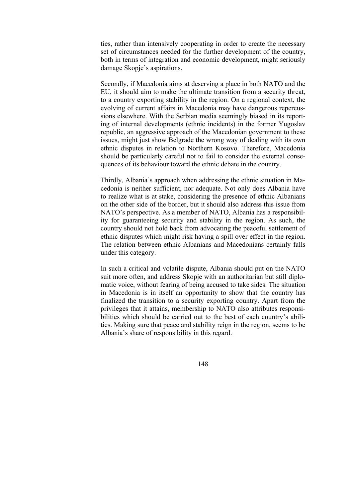ties, rather than intensively cooperating in order to create the necessary set of circumstances needed for the further development of the country, both in terms of integration and economic development, might seriously damage Skopje's aspirations.

Secondly, if Macedonia aims at deserving a place in both NATO and the EU, it should aim to make the ultimate transition from a security threat, to a country exporting stability in the region. On a regional context, the evolving of current affairs in Macedonia may have dangerous repercussions elsewhere. With the Serbian media seemingly biased in its reporting of internal developments (ethnic incidents) in the former Yugoslav republic, an aggressive approach of the Macedonian government to these issues, might just show Belgrade the wrong way of dealing with its own ethnic disputes in relation to Northern Kosovo. Therefore, Macedonia should be particularly careful not to fail to consider the external consequences of its behaviour toward the ethnic debate in the country.

Thirdly, Albania's approach when addressing the ethnic situation in Macedonia is neither sufficient, nor adequate. Not only does Albania have to realize what is at stake, considering the presence of ethnic Albanians on the other side of the border, but it should also address this issue from NATO's perspective. As a member of NATO, Albania has a responsibility for guaranteeing security and stability in the region. As such, the country should not hold back from advocating the peaceful settlement of ethnic disputes which might risk having a spill over effect in the region. The relation between ethnic Albanians and Macedonians certainly falls under this category.

In such a critical and volatile dispute, Albania should put on the NATO suit more often, and address Skopje with an authoritarian but still diplomatic voice, without fearing of being accused to take sides. The situation in Macedonia is in itself an opportunity to show that the country has finalized the transition to a security exporting country. Apart from the privileges that it attains, membership to NATO also attributes responsibilities which should be carried out to the best of each country's abilities. Making sure that peace and stability reign in the region, seems to be Albania's share of responsibility in this regard.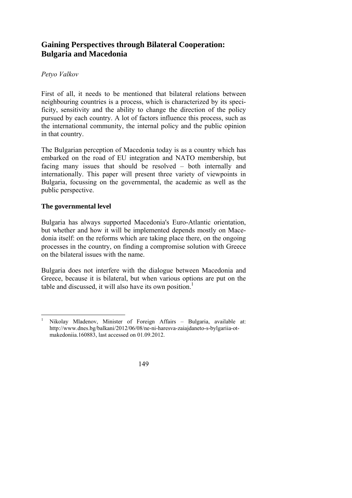# **Gaining Perspectives through Bilateral Cooperation: Bulgaria and Macedonia**

# *Petyo Valkov*

First of all, it needs to be mentioned that bilateral relations between neighbouring countries is a process, which is characterized by its specificity, sensitivity and the ability to change the direction of the policy pursued by each country. A lot of factors influence this process, such as the international community, the internal policy and the public opinion in that country.

The Bulgarian perception of Macedonia today is as a country which has embarked on the road of EU integration and NATO membership, but facing many issues that should be resolved – both internally and internationally. This paper will present three variety of viewpoints in Bulgaria, focussing on the governmental, the academic as well as the public perspective.

## **The governmental level**

Bulgaria has always supported Macedonia's Euro-Atlantic orientation, but whether and how it will be implemented depends mostly on Macedonia itself: on the reforms which are taking place there, on the ongoing processes in the country, on finding a compromise solution with Greece on the bilateral issues with the name.

Bulgaria does not interfere with the dialogue between Macedonia and Greece, because it is bilateral, but when various options are put on the table and discussed, it will also have its own position.<sup>1</sup>

 1 Nikolay Mladenov, Minister of Foreign Affairs – Bulgaria, available at: http://www.dnes.bg/balkani/2012/06/08/ne-ni-haresva-zaiajdaneto-s-bylgariia-otmakedoniia.160883, last accessed on 01.09.2012.

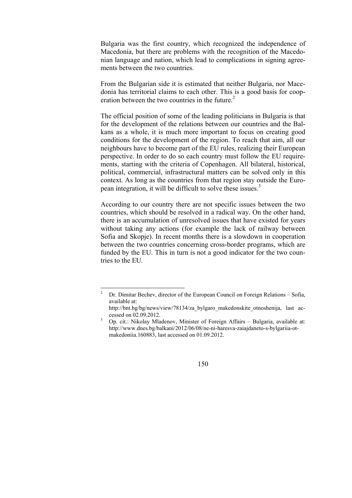Bulgaria was the first country, which recognized the independence of Macedonia, but there are problems with the recognition of the Macedonian language and nation, which lead to complications in signing agreements between the two countries.

From the Bulgarian side it is estimated that neither Bulgaria, nor Macedonia has territorial claims to each other. This is a good basis for cooperation between the two countries in the future. $2<sup>2</sup>$ 

The official position of some of the leading politicians in Bulgaria is that for the development of the relations between our countries and the Balkans as a whole, it is much more important to focus on creating good conditions for the development of the region. To reach that aim, all our neighbours have to become part of the EU rules, realizing their European perspective. In order to do so each country must follow the EU requirements, starting with the criteria of Copenhagen. All bilateral, historical, political, commercial, infrastructural matters can be solved only in this context. As long as the countries from that region stay outside the European integration, it will be difficult to solve these issues.<sup>3</sup>

According to our country there are not specific issues between the two countries, which should be resolved in a radical way. On the other hand, there is an accumulation of unresolved issues that have existed for years without taking any actions (for example the lack of railway between Sofia and Skopje). In recent months there is a slowdown in cooperation between the two countries concerning cross-border programs, which are funded by the EU. This in turn is not a good indicator for the two countries to the EU.

http://www.dnes.bg/balkani/2012/06/08/ne-ni-haresva-zaiajdaneto-s-bylgariia-otmakedoniia.160883, last accessed on 01.09.2012.



 $\frac{1}{2}$  Dr. Dimitar Bechev, director of the European Council on Foreign Relations – Sofia, available at:

http://bnt.bg/bg/news/view/78134/za bylgaro\_makedonskite\_otnoshenija,\_last accessed on 02.09.2012.<br><sup>3</sup> Op. cit.: Nikolay Mladenov, Minister of Foreign Affairs – Bulgaria, available at: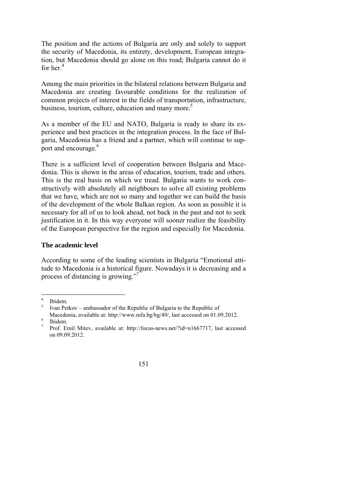The position and the actions of Bulgaria are only and solely to support the security of Macedonia, its entirety, development, European integration, but Macedonia should go alone on this road; Bulgaria cannot do it for her.4

Among the main priorities in the bilateral relations between Bulgaria and Macedonia are creating favourable conditions for the realization of common projects of interest in the fields of transportation, infrastructure, business, tourism, culture, education and many more.<sup>5</sup>

As a member of the EU and NATO, Bulgaria is ready to share its experience and best practices in the integration process. In the face of Bulgaria, Macedonia has a friend and a partner, which will continue to support and encourage.<sup>6</sup>

There is a sufficient level of cooperation between Bulgaria and Macedonia. This is shown in the areas of education, tourism, trade and others. This is the real basis on which we tread. Bulgaria wants to work constructively with absolutely all neighbours to solve all existing problems that we have, which are not so many and together we can build the basis of the development of the whole Balkan region. As soon as possible it is necessary for all of us to look ahead, not back in the past and not to seek justification in it. In this way everyone will sooner realize the feasibility of the European perspective for the region and especially for Macedonia.

## **The academic level**

According to some of the leading scientists in Bulgaria "Emotional attitude to Macedonia is a historical figure. Nowadays it is decreasing and a process of distancing is growing."7

<sup>7</sup> Prof. Emil Mitev, available at: http://focus-news.net/?id=n1667717, last accessed on 09.09.2012.



 $\frac{1}{4}$ Ibidem.

<sup>5</sup> Ivan Petkov – ambassador of the Republic of Bulgaria to the Republic of

Macedonia, available at: http://www.mfa.bg/bg/49/, last accessed on 01.09.2012. Ibidem.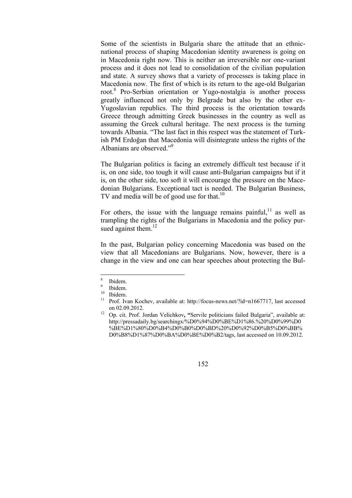Some of the scientists in Bulgaria share the attitude that an ethnicnational process of shaping Macedonian identity awareness is going on in Macedonia right now. This is neither an irreversible nor one-variant process and it does not lead to consolidation of the civilian population and state. A survey shows that a variety of processes is taking place in Macedonia now. The first of which is its return to the age-old Bulgarian root.<sup>8</sup> Pro-Serbian orientation or Yugo-nostalgia is another process greatly influenced not only by Belgrade but also by the other ex-Yugoslavian republics. The third process is the orientation towards Greece through admitting Greek businesses in the country as well as assuming the Greek cultural heritage. The next process is the turning towards Albania. "The last fact in this respect was the statement of Turkish PM Erdoğan that Macedonia will disintegrate unless the rights of the Albanians are observed."<sup>9</sup>

The Bulgarian politics is facing an extremely difficult test because if it is, on one side, too tough it will cause anti-Bulgarian campaigns but if it is, on the other side, too soft it will encourage the pressure on the Macedonian Bulgarians. Exceptional tact is needed. The Bulgarian Business, TV and media will be of good use for that.<sup>10</sup>

For others, the issue with the language remains painful,  $11$  as well as trampling the rights of the Bulgarians in Macedonia and the policy pursued against them. $12$ 

In the past, Bulgarian policy concerning Macedonia was based on the view that all Macedonians are Bulgarians. Now, however, there is a change in the view and one can hear speeches about protecting the Bul-

-

<sup>8</sup> Ibidem.

<sup>9</sup> Ibidem.

 $^{10}$  Ibidem.

<sup>11</sup> Prof. Ivan Kochev, available at: http://focus-news.net/?id=n1667717, last accessed on 02.09.2012. 12 Op. cit. Prof. Jordan Velichkov**, "**Servile politicians failed Bulgaria", available at:

http://pressadaily.bg/searchingx/%D0%94%D0%BE%D1%86.%20%D0%99%D0 %BE%D1%80%D0%B4%D0%B0%D0%BD%20%D0%92%D0%B5%D0%BB% D0%B8%D1%87%D0%BA%D0%BE%D0%B2/tags, last accessed on 10.09.2012.

<sup>152</sup>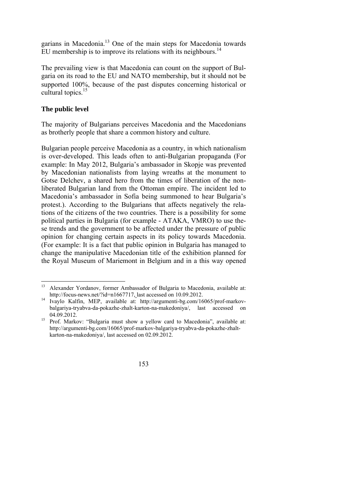garians in Macedonia.13 One of the main steps for Macedonia towards EU membership is to improve its relations with its neighbours.<sup>14</sup>

The prevailing view is that Macedonia can count on the support of Bulgaria on its road to the EU and NATO membership, but it should not be supported 100%, because of the past disputes concerning historical or cultural topics.<sup>15</sup>

## **The public level**

The majority of Bulgarians perceives Macedonia and the Macedonians as brotherly people that share a common history and culture.

Bulgarian people perceive Macedonia as a country, in which nationalism is over-developed. This leads often to anti-Bulgarian propaganda (For example: In May 2012, Bulgaria's ambassador in Skopje was prevented by Macedonian nationalists from laying wreaths at the monument to Gotse Delchev, a shared hero from the times of liberation of the nonliberated Bulgarian land from the Ottoman empire. The incident led to Macedonia's ambassador in Sofia being summoned to hear Bulgaria's protest.). According to the Bulgarians that affects negatively the relations of the citizens of the two countries. There is a possibility for some political parties in Bulgaria (for example - ATAKA, VMRO) to use these trends and the government to be affected under the pressure of public opinion for changing certain aspects in its policy towards Macedonia. (For example: It is a fact that public opinion in Bulgaria has managed to change the manipulative Macedonian title of the exhibition planned for the Royal Museum of Mariemont in Belgium and in a this way opened

http://argumenti-bg.com/16065/prof-markov-balgariya-tryabva-da-pokazhe-zhaltkarton-na-makedoniya/, last accessed on 02.09.2012.



<sup>&</sup>lt;sup>13</sup> Alexander Yordanov, former Ambassador of Bulgaria to Macedonia, available at:<br>http://focus-news.net/?id=n1667717, last accessed on 10.09.2012.

 $\frac{14}{14}$  Ivaylo Kalfin, MEP, available at: http://argumenti-bg.com/16065/prof-markovbalgariya-tryabva-da-pokazhe-zhalt-karton-na-makedoniya/, last accessed on 04.09.2012.<br><sup>15</sup> Prof. Markov: "Bulgaria must show a yellow card to Macedonia", available at: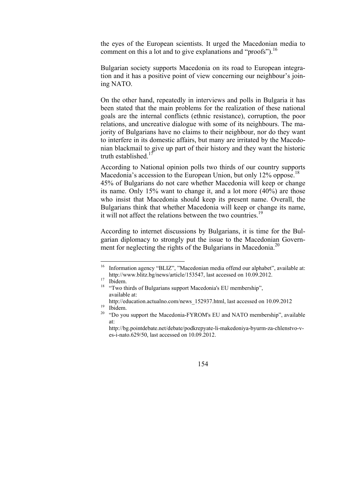the eyes of the European scientists. It urged the Macedonian media to comment on this a lot and to give explanations and "proofs").  $^{16}$ 

Bulgarian society supports Macedonia on its road to European integration and it has a positive point of view concerning our neighbour's joining NATO.

On the other hand, repeatedly in interviews and polls in Bulgaria it has been stated that the main problems for the realization of these national goals are the internal conflicts (ethnic resistance), corruption, the poor relations, and uncreative dialogue with some of its neighbours. The majority of Bulgarians have no claims to their neighbour, nor do they want to interfere in its domestic affairs, but many are irritated by the Macedonian blackmail to give up part of their history and they want the historic truth established $17$ 

According to National opinion polls two thirds of our country supports Macedonia's accession to the European Union, but only  $12\%$  oppose.<sup>18</sup> 45% of Bulgarians do not care whether Macedonia will keep or change its name. Only 15% want to change it, and a lot more (40%) are those who insist that Macedonia should keep its present name. Overall, the Bulgarians think that whether Macedonia will keep or change its name, it will not affect the relations between the two countries.<sup>19</sup>

According to internet discussions by Bulgarians, it is time for the Bulgarian diplomacy to strongly put the issue to the Macedonian Government for neglecting the rights of the Bulgarians in Macedonia.<sup>20</sup>

http://bg.pointdebate.net/debate/podkrepyate-li-makedoniya-byurm-za-chlenstvo-ves-i-nato.629/50, last accessed on 10.09.2012.



<sup>&</sup>lt;sup>16</sup> Information agency "BLIZ", "Macedonian media offend our alphabet", available at: http://www.blitz.bg/news/article/153547, last accessed on 10.09.2012. 17 Ibidem.

<sup>&</sup>lt;sup>18</sup> "Two thirds of Bulgarians support Macedonia's EU membership", available at:

http://education.actualno.com/news\_152937.html, last accessed on 10.09.2012<br><sup>19</sup> Ibidem.

<sup>&</sup>lt;sup>20</sup> "Do you support the Macedonia-FYROM's EU and NATO membership", available at: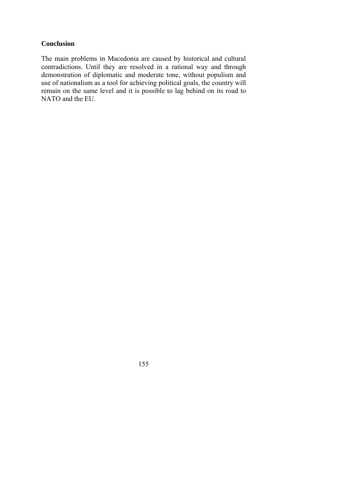## **Conclusion**

The main problems in Macedonia are caused by historical and cultural contradictions. Until they are resolved in a rational way and through demonstration of diplomatic and moderate tone, without populism and use of nationalism as a tool for achieving political goals, the country will remain on the same level and it is possible to lag behind on its road to NATO and the EU.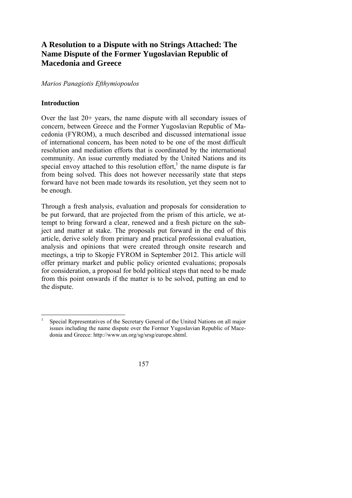# **A Resolution to a Dispute with no Strings Attached: The Name Dispute of the Former Yugoslavian Republic of Macedonia and Greece**

## *Marios Panagiotis Efthymiopoulos*

## **Introduction**

Over the last 20+ years, the name dispute with all secondary issues of concern, between Greece and the Former Yugoslavian Republic of Macedonia (FYROM), a much described and discussed international issue of international concern, has been noted to be one of the most difficult resolution and mediation efforts that is coordinated by the international community. An issue currently mediated by the United Nations and its special envoy attached to this resolution effort, $<sup>1</sup>$  the name dispute is far</sup> from being solved. This does not however necessarily state that steps forward have not been made towards its resolution, yet they seem not to be enough.

Through a fresh analysis, evaluation and proposals for consideration to be put forward, that are projected from the prism of this article, we attempt to bring forward a clear, renewed and a fresh picture on the subject and matter at stake. The proposals put forward in the end of this article, derive solely from primary and practical professional evaluation, analysis and opinions that were created through onsite research and meetings, a trip to Skopje FYROM in September 2012. This article will offer primary market and public policy oriented evaluations; proposals for consideration, a proposal for bold political steps that need to be made from this point onwards if the matter is to be solved, putting an end to the dispute.

 1 Special Representatives of the Secretary General of the United Nations on all major issues including the name dispute over the Former Yugoslavian Republic of Macedonia and Greece: http://www.un.org/sg/srsg/europe.shtml.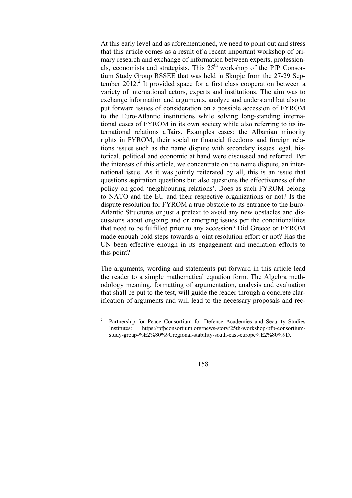At this early level and as aforementioned, we need to point out and stress that this article comes as a result of a recent important workshop of primary research and exchange of information between experts, professionals, economists and strategists. This  $25<sup>th</sup>$  workshop of the PfP Consortium Study Group RSSEE that was held in Skopje from the 27-29 September 2012.<sup>2</sup> It provided space for a first class cooperation between a variety of international actors, experts and institutions. The aim was to exchange information and arguments, analyze and understand but also to put forward issues of consideration on a possible accession of FYROM to the Euro-Atlantic institutions while solving long-standing international cases of FYROM in its own society while also referring to its international relations affairs. Examples cases: the Albanian minority rights in FYROM, their social or financial freedoms and foreign relations issues such as the name dispute with secondary issues legal, historical, political and economic at hand were discussed and referred. Per the interests of this article, we concentrate on the name dispute, an international issue. As it was jointly reiterated by all, this is an issue that questions aspiration questions but also questions the effectiveness of the policy on good 'neighbouring relations'. Does as such FYROM belong to NATO and the EU and their respective organizations or not? Is the dispute resolution for FYROM a true obstacle to its entrance to the Euro-Atlantic Structures or just a pretext to avoid any new obstacles and discussions about ongoing and or emerging issues per the conditionalities that need to be fulfilled prior to any accession? Did Greece or FYROM made enough bold steps towards a joint resolution effort or not? Has the UN been effective enough in its engagement and mediation efforts to this point?

The arguments, wording and statements put forward in this article lead the reader to a simple mathematical equation form. The Algebra methodology meaning, formatting of argumentation, analysis and evaluation that shall be put to the test, will guide the reader through a concrete clarification of arguments and will lead to the necessary proposals and rec-

 $\frac{1}{2}$  Partnership for Peace Consortium for Defence Academies and Security Studies Institutes: https://pfpconsortium.org/news-story/25th-workshop-pfp-consortiumstudy-group-%E2%80%9Cregional-stability-south-east-europe%E2%80%9D.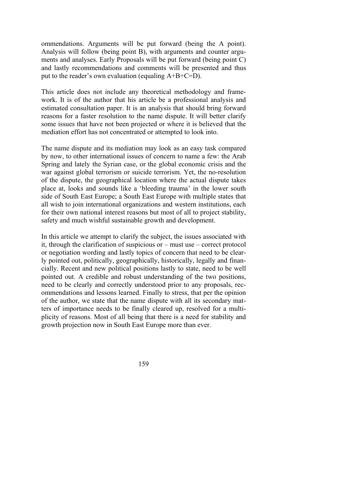ommendations. Arguments will be put forward (being the A point). Analysis will follow (being point B), with arguments and counter arguments and analyses. Early Proposals will be put forward (being point C) and lastly recommendations and comments will be presented and thus put to the reader's own evaluation (equaling  $A+B+C=D$ ).

This article does not include any theoretical methodology and framework. It is of the author that his article be a professional analysis and estimated consultation paper. It is an analysis that should bring forward reasons for a faster resolution to the name dispute. It will better clarify some issues that have not been projected or where it is believed that the mediation effort has not concentrated or attempted to look into.

The name dispute and its mediation may look as an easy task compared by now, to other international issues of concern to name a few: the Arab Spring and lately the Syrian case, or the global economic crisis and the war against global terrorism or suicide terrorism. Yet, the no-resolution of the dispute, the geographical location where the actual dispute takes place at, looks and sounds like a 'bleeding trauma' in the lower south side of South East Europe; a South East Europe with multiple states that all wish to join international organizations and western institutions, each for their own national interest reasons but most of all to project stability, safety and much wishful sustainable growth and development.

In this article we attempt to clarify the subject, the issues associated with it, through the clarification of suspicious or – must use – correct protocol or negotiation wording and lastly topics of concern that need to be clearly pointed out, politically, geographically, historically, legally and financially. Recent and new political positions lastly to state, need to be well pointed out. A credible and robust understanding of the two positions, need to be clearly and correctly understood prior to any proposals, recommendations and lessons learned. Finally to stress, that per the opinion of the author, we state that the name dispute with all its secondary matters of importance needs to be finally cleared up, resolved for a multiplicity of reasons. Most of all being that there is a need for stability and growth projection now in South East Europe more than ever.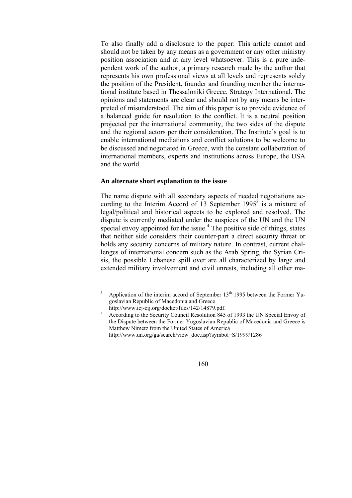To also finally add a disclosure to the paper: This article cannot and should not be taken by any means as a government or any other ministry position association and at any level whatsoever. This is a pure independent work of the author, a primary research made by the author that represents his own professional views at all levels and represents solely the position of the President, founder and founding member the international institute based in Thessaloniki Greece, Strategy International. The opinions and statements are clear and should not by any means be interpreted of misunderstood. The aim of this paper is to provide evidence of a balanced guide for resolution to the conflict. It is a neutral position projected per the international community, the two sides of the dispute and the regional actors per their consideration. The Institute's goal is to enable international mediations and conflict solutions to be welcome to be discussed and negotiated in Greece, with the constant collaboration of international members, experts and institutions across Europe, the USA and the world.

#### **An alternate short explanation to the issue**

The name dispute with all secondary aspects of needed negotiations according to the Interim Accord of 13 September  $1995<sup>3</sup>$  is a mixture of legal/political and historical aspects to be explored and resolved. The dispute is currently mediated under the auspices of the UN and the UN special envoy appointed for the issue.<sup>4</sup> The positive side of things, states that neither side considers their counter-part a direct security threat or holds any security concerns of military nature. In contrast, current challenges of international concern such as the Arab Spring, the Syrian Crisis, the possible Lebanese spill over are all characterized by large and extended military involvement and civil unrests, including all other ma-

 $\frac{1}{3}$ Application of the interim accord of September  $13<sup>th</sup>$  1995 between the Former Yugoslavian Republic of Macedonia and Greece

http://www.icj-cij.org/docket/files/142/14879.pdf. According to the Security Council Resolution 845 of 1993 the UN Special Envoy of the Dispute between the Former Yugoslavian Republic of Macedonia and Greece is Matthew Nimetz from the United States of America http://www.un.org/ga/search/view\_doc.asp?symbol=S/1999/1286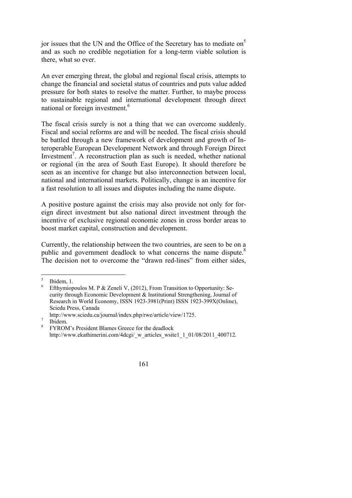jor issues that the UN and the Office of the Secretary has to mediate on<sup>5</sup> and as such no credible negotiation for a long-term viable solution is there, what so ever.

An ever emerging threat, the global and regional fiscal crisis, attempts to change the financial and societal status of countries and puts value added pressure for both states to resolve the matter. Further, to maybe process to sustainable regional and international development through direct national or foreign investment.6

The fiscal crisis surely is not a thing that we can overcome suddenly. Fiscal and social reforms are and will be needed. The fiscal crisis should be battled through a new framework of development and growth of Interoperable European Development Network and through Foreign Direct Investment<sup>7</sup>. A reconstruction plan as such is needed, whether national or regional (in the area of South East Europe). It should therefore be seen as an incentive for change but also interconnection between local, national and international markets. Politically, change is an incentive for a fast resolution to all issues and disputes including the name dispute.

A positive posture against the crisis may also provide not only for foreign direct investment but also national direct investment through the incentive of exclusive regional economic zones in cross border areas to boost market capital, construction and development.

Currently, the relationship between the two countries, are seen to be on a public and government deadlock to what concerns the name dispute.<sup>8</sup> The decision not to overcome the "drawn red-lines" from either sides,

FYROM's President Blames Greece for the deadlock http://www.ekathimerini.com/4dcgi/\_w\_articles\_wsite1\_1\_01/08/2011\_400712.



<sup>5</sup> Ibidem, 1.

<sup>6</sup> Efthymiopoulos M. P & Zeneli V, (2012), From Transition to Opportunity: Security through Economic Development & Institutional Strengthening, Journal of Research in World Economy, ISSN 1923-3981(Print) ISSN 1923-399X(Online), Sciedu Press, Canada

http://www.sciedu.ca/journal/index.php/rwe/article/view/1725.

Ibidem. 8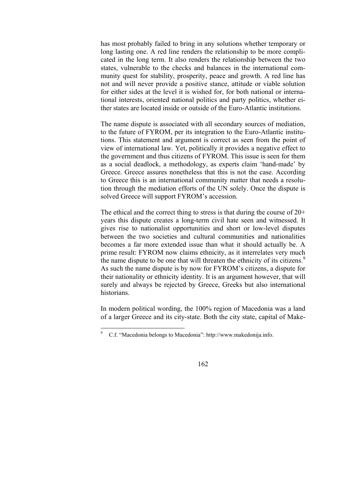has most probably failed to bring in any solutions whether temporary or long lasting one. A red line renders the relationship to be more complicated in the long term. It also renders the relationship between the two states, vulnerable to the checks and balances in the international community quest for stability, prosperity, peace and growth. A red line has not and will never provide a positive stance, attitude or viable solution for either sides at the level it is wished for, for both national or international interests, oriented national politics and party politics, whether either states are located inside or outside of the Euro-Atlantic institutions.

The name dispute is associated with all secondary sources of mediation, to the future of FYROM, per its integration to the Euro-Atlantic institutions. This statement and argument is correct as seen from the point of view of international law. Yet, politically it provides a negative effect to the government and thus citizens of FYROM. This issue is seen for them as a social deadlock, a methodology, as experts claim 'hand-made' by Greece. Greece assures nonetheless that this is not the case. According to Greece this is an international community matter that needs a resolution through the mediation efforts of the UN solely. Once the dispute is solved Greece will support FYROM's accession.

The ethical and the correct thing to stress is that during the course of 20+ years this dispute creates a long-term civil hate seen and witnessed. It gives rise to nationalist opportunities and short or low-level disputes between the two societies and cultural communities and nationalities becomes a far more extended issue than what it should actually be. A prime result: FYROM now claims ethnicity, as it interrelates very much the name dispute to be one that will threaten the ethnicity of its citizens.<sup>9</sup> As such the name dispute is by now for FYROM's citizens, a dispute for their nationality or ethnicity identity. It is an argument however, that will surely and always be rejected by Greece, Greeks but also international historians.

In modern political wording, the 100% region of Macedonia was a land of a larger Greece and its city-state. Both the city state, capital of Make-

-



<sup>9</sup> C.f. "Macedonia belongs to Macedonia": http://www.makedonija.info.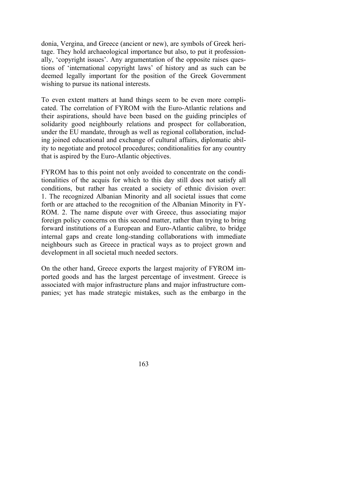donia, Vergina, and Greece (ancient or new), are symbols of Greek heritage. They hold archaeological importance but also, to put it professionally, 'copyright issues'. Any argumentation of the opposite raises questions of 'international copyright laws' of history and as such can be deemed legally important for the position of the Greek Government wishing to pursue its national interests.

To even extent matters at hand things seem to be even more complicated. The correlation of FYROM with the Euro-Atlantic relations and their aspirations, should have been based on the guiding principles of solidarity good neighbourly relations and prospect for collaboration, under the EU mandate, through as well as regional collaboration, including joined educational and exchange of cultural affairs, diplomatic ability to negotiate and protocol procedures; conditionalities for any country that is aspired by the Euro-Atlantic objectives.

FYROM has to this point not only avoided to concentrate on the conditionalities of the acquis for which to this day still does not satisfy all conditions, but rather has created a society of ethnic division over: 1. The recognized Albanian Minority and all societal issues that come forth or are attached to the recognition of the Albanian Minority in FY-ROM. 2. The name dispute over with Greece, thus associating major foreign policy concerns on this second matter, rather than trying to bring forward institutions of a European and Euro-Atlantic calibre, to bridge internal gaps and create long-standing collaborations with immediate neighbours such as Greece in practical ways as to project grown and development in all societal much needed sectors.

On the other hand, Greece exports the largest majority of FYROM imported goods and has the largest percentage of investment. Greece is associated with major infrastructure plans and major infrastructure companies; yet has made strategic mistakes, such as the embargo in the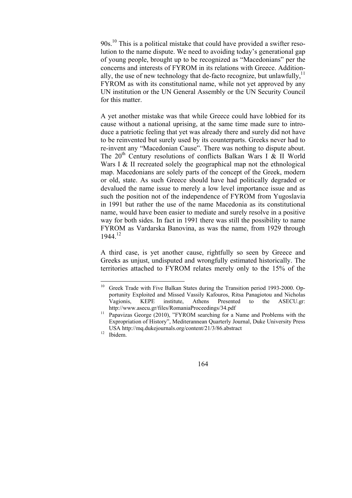$90s$ <sup>10</sup>. This is a political mistake that could have provided a swifter resolution to the name dispute. We need to avoiding today's generational gap of young people, brought up to be recognized as "Macedonians" per the concerns and interests of FYROM in its relations with Greece. Additionally, the use of new technology that de-facto recognize, but unlawfully,  $11$ FYROM as with its constitutional name, while not yet approved by any UN institution or the UN General Assembly or the UN Security Council for this matter.

A yet another mistake was that while Greece could have lobbied for its cause without a national uprising, at the same time made sure to introduce a patriotic feeling that yet was already there and surely did not have to be reinvented but surely used by its counterparts. Greeks never had to re-invent any "Macedonian Cause". There was nothing to dispute about. The  $20<sup>th</sup>$  Century resolutions of conflicts Balkan Wars I & II World Wars I & II recreated solely the geographical map not the ethnological map. Macedonians are solely parts of the concept of the Greek, modern or old, state. As such Greece should have had politically degraded or devalued the name issue to merely a low level importance issue and as such the position not of the independence of FYROM from Yugoslavia in 1991 but rather the use of the name Macedonia as its constitutional name, would have been easier to mediate and surely resolve in a positive way for both sides. In fact in 1991 there was still the possibility to name FYROM as Vardarska Banovina, as was the name, from 1929 through 1944.12

A third case, is yet another cause, rightfully so seen by Greece and Greeks as unjust, undisputed and wrongfully estimated historically. The territories attached to FYROM relates merely only to the 15% of the



 $10\,$ 10 Greek Trade with Five Balkan States during the Transition period 1993-2000. Opportunity Exploited and Missed Vassily Kafouros, Ritsa Panagiotou and Nicholas Vagionis, KEPE institute, Athens Presented to the ASECU.gr:

 $\frac{m_{\text{F}}}{2}$  Papavizas George (2010), "FYROM searching for a Name and Problems with the Expropriation of History", Mediterannean Quarterly Journal, Duke University Press USA http://mq.dukejournals.org/content/21/3/86.abstract 12 Ibidem.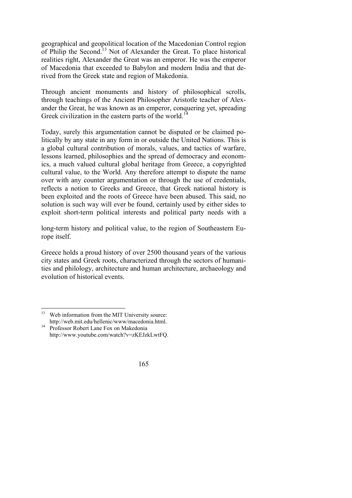geographical and geopolitical location of the Macedonian Control region of Philip the Second.13 Not of Alexander the Great. To place historical realities right, Alexander the Great was an emperor. He was the emperor of Macedonia that exceeded to Babylon and modern India and that derived from the Greek state and region of Makedonia.

Through ancient monuments and history of philosophical scrolls, through teachings of the Ancient Philosopher Aristotle teacher of Alexander the Great, he was known as an emperor, conquering yet, spreading Greek civilization in the eastern parts of the world.<sup>14</sup>

Today, surely this argumentation cannot be disputed or be claimed politically by any state in any form in or outside the United Nations. This is a global cultural contribution of morals, values, and tactics of warfare, lessons learned, philosophies and the spread of democracy and economics, a much valued cultural global heritage from Greece, a copyrighted cultural value, to the World. Any therefore attempt to dispute the name over with any counter argumentation or through the use of credentials, reflects a notion to Greeks and Greece, that Greek national history is been exploited and the roots of Greece have been abused. This said, no solution is such way will ever be found, certainly used by either sides to exploit short-term political interests and political party needs with a

long-term history and political value, to the region of Southeastern Europe itself.

Greece holds a proud history of over 2500 thousand years of the various city states and Greek roots, characterized through the sectors of humanities and philology, architecture and human architecture, archaeology and evolution of historical events.

 $13$ Web information from the MIT University source:

http://web.mit.edu/hellenic/www/macedonia.html.<br>Professor Robert Lane Fox on Makedonia http://www.youtube.com/watch?v=zKEJzkLwtFQ.

<sup>165</sup>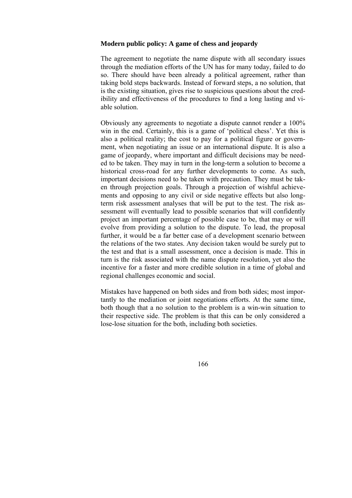#### **Modern public policy: A game of chess and jeopardy**

The agreement to negotiate the name dispute with all secondary issues through the mediation efforts of the UN has for many today, failed to do so. There should have been already a political agreement, rather than taking bold steps backwards. Instead of forward steps, a no solution, that is the existing situation, gives rise to suspicious questions about the credibility and effectiveness of the procedures to find a long lasting and viable solution.

Obviously any agreements to negotiate a dispute cannot render a 100% win in the end. Certainly, this is a game of 'political chess'. Yet this is also a political reality; the cost to pay for a political figure or government, when negotiating an issue or an international dispute. It is also a game of jeopardy, where important and difficult decisions may be needed to be taken. They may in turn in the long-term a solution to become a historical cross-road for any further developments to come. As such, important decisions need to be taken with precaution. They must be taken through projection goals. Through a projection of wishful achievements and opposing to any civil or side negative effects but also longterm risk assessment analyses that will be put to the test. The risk assessment will eventually lead to possible scenarios that will confidently project an important percentage of possible case to be, that may or will evolve from providing a solution to the dispute. To lead, the proposal further, it would be a far better case of a development scenario between the relations of the two states. Any decision taken would be surely put to the test and that is a small assessment, once a decision is made. This in turn is the risk associated with the name dispute resolution, yet also the incentive for a faster and more credible solution in a time of global and regional challenges economic and social.

Mistakes have happened on both sides and from both sides; most importantly to the mediation or joint negotiations efforts. At the same time, both though that a no solution to the problem is a win-win situation to their respective side. The problem is that this can be only considered a lose-lose situation for the both, including both societies.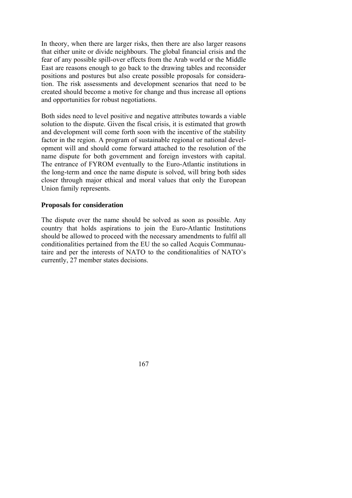In theory, when there are larger risks, then there are also larger reasons that either unite or divide neighbours. The global financial crisis and the fear of any possible spill-over effects from the Arab world or the Middle East are reasons enough to go back to the drawing tables and reconsider positions and postures but also create possible proposals for consideration. The risk assessments and development scenarios that need to be created should become a motive for change and thus increase all options and opportunities for robust negotiations.

Both sides need to level positive and negative attributes towards a viable solution to the dispute. Given the fiscal crisis, it is estimated that growth and development will come forth soon with the incentive of the stability factor in the region. A program of sustainable regional or national development will and should come forward attached to the resolution of the name dispute for both government and foreign investors with capital. The entrance of FYROM eventually to the Euro-Atlantic institutions in the long-term and once the name dispute is solved, will bring both sides closer through major ethical and moral values that only the European Union family represents.

#### **Proposals for consideration**

The dispute over the name should be solved as soon as possible. Any country that holds aspirations to join the Euro-Atlantic Institutions should be allowed to proceed with the necessary amendments to fulfil all conditionalities pertained from the EU the so called Acquis Communautaire and per the interests of NATO to the conditionalities of NATO's currently, 27 member states decisions.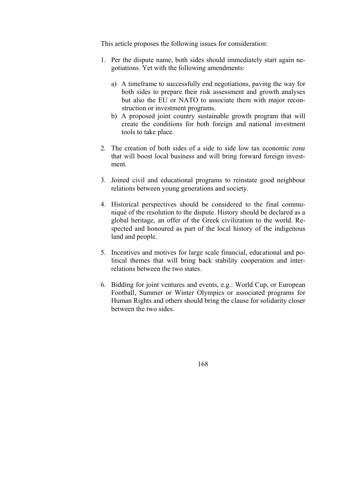This article proposes the following issues for consideration:

- 1. Per the dispute name, both sides should immediately start again negotiations. Yet with the following amendments:
	- a) A timeframe to successfully end negotiations, paving the way for both sides to prepare their risk assessment and growth analyses but also the EU or NATO to associate them with major reconstruction or investment programs.
	- b) A proposed joint country sustainable growth program that will create the conditions for both foreign and national investment tools to take place.
- 2. The creation of both sides of a side to side low tax economic zone that will boost local business and will bring forward foreign investment.
- 3. Joined civil and educational programs to reinstate good neighbour relations between young generations and society.
- 4. Historical perspectives should be considered to the final communiqué of the resolution to the dispute. History should be declared as a global heritage, an offer of the Greek civilization to the world. Respected and honoured as part of the local history of the indigenous land and people.
- 5. Incentives and motives for large scale financial, educational and political themes that will bring back stability cooperation and interrelations between the two states.
- 6. Bidding for joint ventures and events, e.g.: World Cup, or European Football, Summer or Winter Olympics or associated programs for Human Rights and others should bring the clause for solidarity closer between the two sides.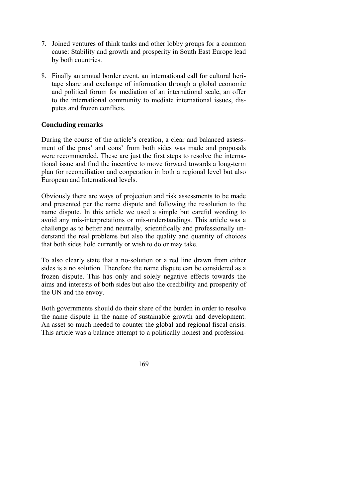- 7. Joined ventures of think tanks and other lobby groups for a common cause: Stability and growth and prosperity in South East Europe lead by both countries.
- 8. Finally an annual border event, an international call for cultural heritage share and exchange of information through a global economic and political forum for mediation of an international scale, an offer to the international community to mediate international issues, disputes and frozen conflicts.

## **Concluding remarks**

During the course of the article's creation, a clear and balanced assessment of the pros' and cons' from both sides was made and proposals were recommended. These are just the first steps to resolve the international issue and find the incentive to move forward towards a long-term plan for reconciliation and cooperation in both a regional level but also European and International levels.

Obviously there are ways of projection and risk assessments to be made and presented per the name dispute and following the resolution to the name dispute. In this article we used a simple but careful wording to avoid any mis-interpretations or mis-understandings. This article was a challenge as to better and neutrally, scientifically and professionally understand the real problems but also the quality and quantity of choices that both sides hold currently or wish to do or may take.

To also clearly state that a no-solution or a red line drawn from either sides is a no solution. Therefore the name dispute can be considered as a frozen dispute. This has only and solely negative effects towards the aims and interests of both sides but also the credibility and prosperity of the UN and the envoy.

Both governments should do their share of the burden in order to resolve the name dispute in the name of sustainable growth and development. An asset so much needed to counter the global and regional fiscal crisis. This article was a balance attempt to a politically honest and profession-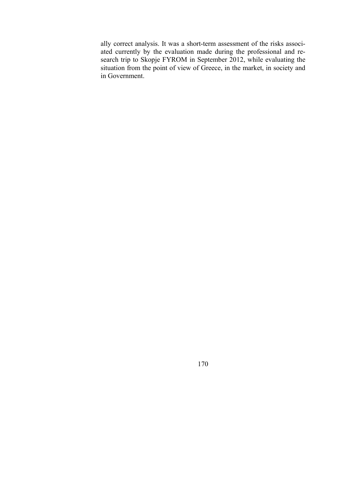ally correct analysis. It was a short-term assessment of the risks associated currently by the evaluation made during the professional and research trip to Skopje FYROM in September 2012, while evaluating the situation from the point of view of Greece, in the market, in society and in Government.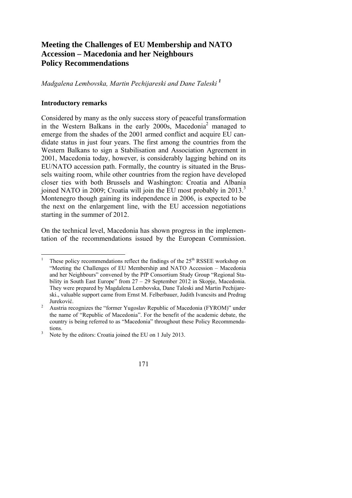# **Meeting the Challenges of EU Membership and NATO Accession – Macedonia and her Neighbours Policy Recommendations**

*Madgalena Lembovska, Martin Pechijareski and Dane Taleski <sup>1</sup>*

## **Introductory remarks**

Considered by many as the only success story of peaceful transformation in the Western Balkans in the early 2000s, Macedonia<sup>2</sup> managed to emerge from the shades of the 2001 armed conflict and acquire EU candidate status in just four years. The first among the countries from the Western Balkans to sign a Stabilisation and Association Agreement in 2001, Macedonia today, however, is considerably lagging behind on its EU/NATO accession path. Formally, the country is situated in the Brussels waiting room, while other countries from the region have developed closer ties with both Brussels and Washington: Croatia and Albania joined NATO in 2009; Croatia will join the EU most probably in 2013.<sup>3</sup> Montenegro though gaining its independence in 2006, is expected to be the next on the enlargement line, with the EU accession negotiations starting in the summer of 2012.

On the technical level, Macedonia has shown progress in the implementation of the recommendations issued by the European Commission.

 $\overline{a}$ 1 These policy recommendations reflect the findings of the  $25<sup>th</sup>$  RSSEE workshop on "Meeting the Challenges of EU Membership and NATO Accession – Macedonia and her Neighbours" convened by the PfP Consortium Study Group "Regional Stability in South East Europe" from 27 – 29 September 2012 in Skopje, Macedonia. They were prepared by Magdalena Lembovska, Dane Taleski and Martin Pechijareski., valuable support came from Ernst M. Felberbauer, Judith Ivancsits and Predrag Jureković.

Austria recognizes the "former Yugoslav Republic of Macedonia (FYROM)" under the name of "Republic of Macedonia". For the benefit of the academic debate, the country is being referred to as "Macedonia" throughout these Policy Recommenda-

tions.<br><sup>3</sup> Note by the editors: Croatia joined the EU on 1 July 2013.

<sup>171</sup>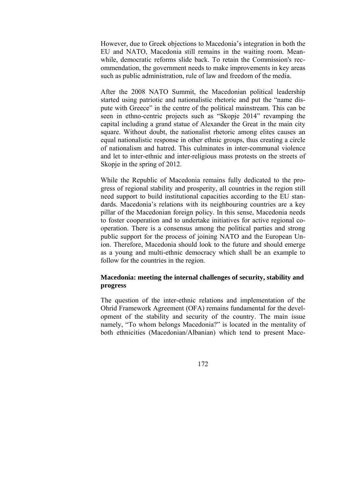However, due to Greek objections to Macedonia's integration in both the EU and NATO, Macedonia still remains in the waiting room. Meanwhile, democratic reforms slide back. To retain the Commission's recommendation, the government needs to make improvements in key areas such as public administration, rule of law and freedom of the media.

After the 2008 NATO Summit, the Macedonian political leadership started using patriotic and nationalistic rhetoric and put the "name dispute with Greece" in the centre of the political mainstream. This can be seen in ethno-centric projects such as "Skopje 2014" revamping the capital including a grand statue of Alexander the Great in the main city square. Without doubt, the nationalist rhetoric among elites causes an equal nationalistic response in other ethnic groups, thus creating a circle of nationalism and hatred. This culminates in inter-communal violence and let to inter-ethnic and inter-religious mass protests on the streets of Skopje in the spring of 2012.

While the Republic of Macedonia remains fully dedicated to the progress of regional stability and prosperity, all countries in the region still need support to build institutional capacities according to the EU standards. Macedonia's relations with its neighbouring countries are a key pillar of the Macedonian foreign policy. In this sense, Macedonia needs to foster cooperation and to undertake initiatives for active regional cooperation. There is a consensus among the political parties and strong public support for the process of joining NATO and the European Union. Therefore, Macedonia should look to the future and should emerge as a young and multi-ethnic democracy which shall be an example to follow for the countries in the region.

## **Macedonia: meeting the internal challenges of security, stability and progress**

The question of the inter-ethnic relations and implementation of the Ohrid Framework Agreement (OFA) remains fundamental for the development of the stability and security of the country. The main issue namely, "To whom belongs Macedonia?" is located in the mentality of both ethnicities (Macedonian/Albanian) which tend to present Mace-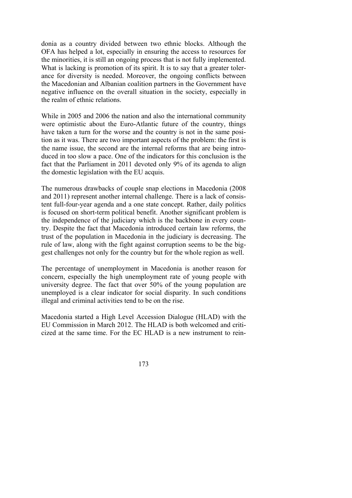donia as a country divided between two ethnic blocks. Although the OFA has helped a lot, especially in ensuring the access to resources for the minorities, it is still an ongoing process that is not fully implemented. What is lacking is promotion of its spirit. It is to say that a greater tolerance for diversity is needed. Moreover, the ongoing conflicts between the Macedonian and Albanian coalition partners in the Government have negative influence on the overall situation in the society, especially in the realm of ethnic relations.

While in 2005 and 2006 the nation and also the international community were optimistic about the Euro-Atlantic future of the country, things have taken a turn for the worse and the country is not in the same position as it was. There are two important aspects of the problem: the first is the name issue, the second are the internal reforms that are being introduced in too slow a pace. One of the indicators for this conclusion is the fact that the Parliament in 2011 devoted only 9% of its agenda to align the domestic legislation with the EU acquis.

The numerous drawbacks of couple snap elections in Macedonia (2008 and 2011) represent another internal challenge. There is a lack of consistent full-four-year agenda and a one state concept. Rather, daily politics is focused on short-term political benefit. Another significant problem is the independence of the judiciary which is the backbone in every country. Despite the fact that Macedonia introduced certain law reforms, the trust of the population in Macedonia in the judiciary is decreasing. The rule of law, along with the fight against corruption seems to be the biggest challenges not only for the country but for the whole region as well.

The percentage of unemployment in Macedonia is another reason for concern, especially the high unemployment rate of young people with university degree. The fact that over 50% of the young population are unemployed is a clear indicator for social disparity. In such conditions illegal and criminal activities tend to be on the rise.

Macedonia started a High Level Accession Dialogue (HLAD) with the EU Commission in March 2012. The HLAD is both welcomed and criticized at the same time. For the EC HLAD is a new instrument to rein-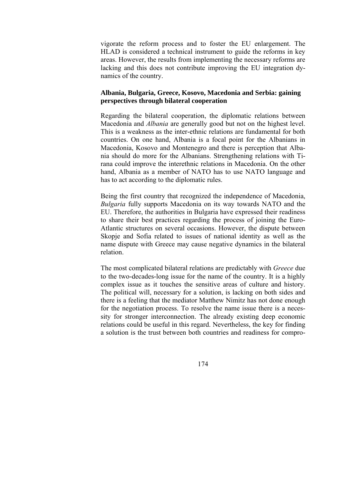vigorate the reform process and to foster the EU enlargement. The HLAD is considered a technical instrument to guide the reforms in key areas. However, the results from implementing the necessary reforms are lacking and this does not contribute improving the EU integration dynamics of the country.

#### **Albania, Bulgaria, Greece, Kosovo, Macedonia and Serbia: gaining perspectives through bilateral cooperation**

Regarding the bilateral cooperation, the diplomatic relations between Macedonia and *Albania* are generally good but not on the highest level. This is a weakness as the inter-ethnic relations are fundamental for both countries. On one hand, Albania is a focal point for the Albanians in Macedonia, Kosovo and Montenegro and there is perception that Albania should do more for the Albanians. Strengthening relations with Tirana could improve the interethnic relations in Macedonia. On the other hand, Albania as a member of NATO has to use NATO language and has to act according to the diplomatic rules.

Being the first country that recognized the independence of Macedonia, *Bulgaria* fully supports Macedonia on its way towards NATO and the EU. Therefore, the authorities in Bulgaria have expressed their readiness to share their best practices regarding the process of joining the Euro-Atlantic structures on several occasions. However, the dispute between Skopje and Sofia related to issues of national identity as well as the name dispute with Greece may cause negative dynamics in the bilateral relation.

The most complicated bilateral relations are predictably with *Greece* due to the two-decades-long issue for the name of the country. It is a highly complex issue as it touches the sensitive areas of culture and history. The political will, necessary for a solution, is lacking on both sides and there is a feeling that the mediator Matthew Nimitz has not done enough for the negotiation process. To resolve the name issue there is a necessity for stronger interconnection. The already existing deep economic relations could be useful in this regard. Nevertheless, the key for finding a solution is the trust between both countries and readiness for compro-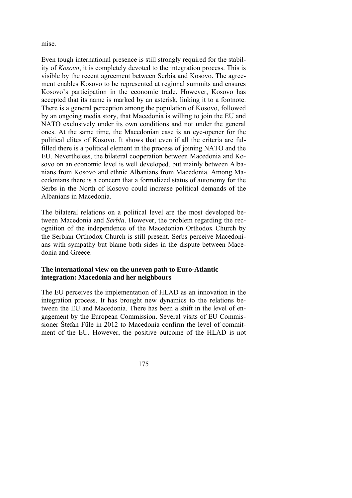mise.

Even tough international presence is still strongly required for the stability of *Kosovo*, it is completely devoted to the integration process. This is visible by the recent agreement between Serbia and Kosovo. The agreement enables Kosovo to be represented at regional summits and ensures Kosovo's participation in the economic trade. However, Kosovo has accepted that its name is marked by an asterisk, linking it to a footnote. There is a general perception among the population of Kosovo, followed by an ongoing media story, that Macedonia is willing to join the EU and NATO exclusively under its own conditions and not under the general ones. At the same time, the Macedonian case is an eye-opener for the political elites of Kosovo. It shows that even if all the criteria are fulfilled there is a political element in the process of joining NATO and the EU. Nevertheless, the bilateral cooperation between Macedonia and Kosovo on an economic level is well developed, but mainly between Albanians from Kosovo and ethnic Albanians from Macedonia. Among Macedonians there is a concern that a formalized status of autonomy for the Serbs in the North of Kosovo could increase political demands of the Albanians in Macedonia.

The bilateral relations on a political level are the most developed between Macedonia and *Serbia*. However, the problem regarding the recognition of the independence of the Macedonian Orthodox Church by the Serbian Orthodox Church is still present. Serbs perceive Macedonians with sympathy but blame both sides in the dispute between Macedonia and Greece.

#### **The international view on the uneven path to Euro-Atlantic integration: Macedonia and her neighbours**

The EU perceives the implementation of HLAD as an innovation in the integration process. It has brought new dynamics to the relations between the EU and Macedonia. There has been a shift in the level of engagement by the European Commission. Several visits of EU Commissioner Štefan Füle in 2012 to Macedonia confirm the level of commitment of the EU. However, the positive outcome of the HLAD is not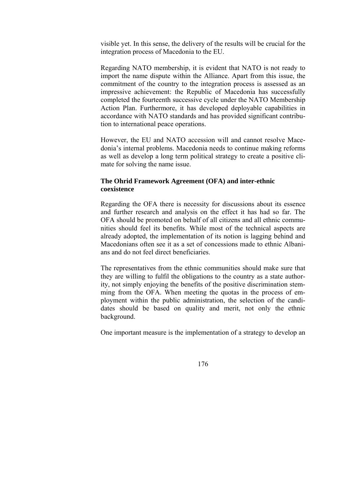visible yet. In this sense, the delivery of the results will be crucial for the integration process of Macedonia to the EU.

Regarding NATO membership, it is evident that NATO is not ready to import the name dispute within the Alliance. Apart from this issue, the commitment of the country to the integration process is assessed as an impressive achievement: the Republic of Macedonia has successfully completed the fourteenth successive cycle under the NATO Membership Action Plan. Furthermore, it has developed deployable capabilities in accordance with NATO standards and has provided significant contribution to international peace operations.

However, the EU and NATO accession will and cannot resolve Macedonia's internal problems. Macedonia needs to continue making reforms as well as develop a long term political strategy to create a positive climate for solving the name issue.

## **The Ohrid Framework Agreement (OFA) and inter-ethnic coexistence**

Regarding the OFA there is necessity for discussions about its essence and further research and analysis on the effect it has had so far. The OFA should be promoted on behalf of all citizens and all ethnic communities should feel its benefits. While most of the technical aspects are already adopted, the implementation of its notion is lagging behind and Macedonians often see it as a set of concessions made to ethnic Albanians and do not feel direct beneficiaries.

The representatives from the ethnic communities should make sure that they are willing to fulfil the obligations to the country as a state authority, not simply enjoying the benefits of the positive discrimination stemming from the OFA. When meeting the quotas in the process of employment within the public administration, the selection of the candidates should be based on quality and merit, not only the ethnic background.

One important measure is the implementation of a strategy to develop an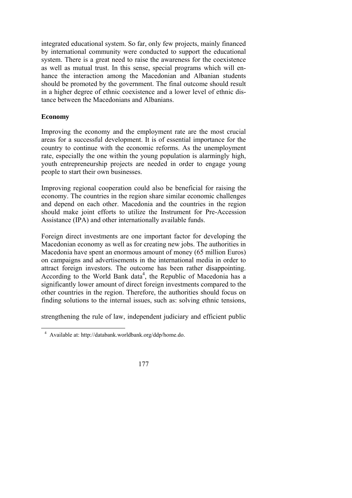integrated educational system. So far, only few projects, mainly financed by international community were conducted to support the educational system. There is a great need to raise the awareness for the coexistence as well as mutual trust. In this sense, special programs which will enhance the interaction among the Macedonian and Albanian students should be promoted by the government. The final outcome should result in a higher degree of ethnic coexistence and a lower level of ethnic distance between the Macedonians and Albanians.

## **Economy**

Improving the economy and the employment rate are the most crucial areas for a successful development. It is of essential importance for the country to continue with the economic reforms. As the unemployment rate, especially the one within the young population is alarmingly high, youth entrepreneurship projects are needed in order to engage young people to start their own businesses.

Improving regional cooperation could also be beneficial for raising the economy. The countries in the region share similar economic challenges and depend on each other. Macedonia and the countries in the region should make joint efforts to utilize the Instrument for Pre-Accession Assistance (IPA) and other internationally available funds.

Foreign direct investments are one important factor for developing the Macedonian economy as well as for creating new jobs. The authorities in Macedonia have spent an enormous amount of money (65 million Euros) on campaigns and advertisements in the international media in order to attract foreign investors. The outcome has been rather disappointing. According to the World Bank data<sup>4</sup>, the Republic of Macedonia has a significantly lower amount of direct foreign investments compared to the other countries in the region. Therefore, the authorities should focus on finding solutions to the internal issues, such as: solving ethnic tensions,

strengthening the rule of law, independent judiciary and efficient public

 4 Available at: http://databank.worldbank.org/ddp/home.do.

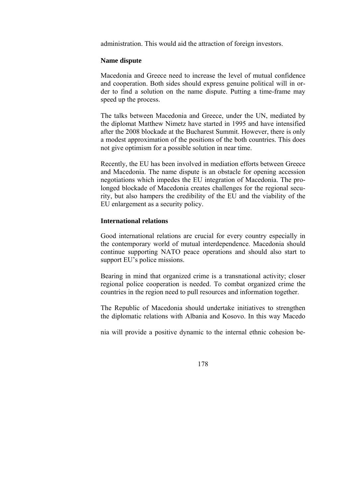administration. This would aid the attraction of foreign investors.

#### **Name dispute**

Macedonia and Greece need to increase the level of mutual confidence and cooperation. Both sides should express genuine political will in order to find a solution on the name dispute. Putting a time-frame may speed up the process.

The talks between Macedonia and Greece, under the UN, mediated by the diplomat Matthew Nimetz have started in 1995 and have intensified after the 2008 blockade at the Bucharest Summit. However, there is only a modest approximation of the positions of the both countries. This does not give optimism for a possible solution in near time.

Recently, the EU has been involved in mediation efforts between Greece and Macedonia. The name dispute is an obstacle for opening accession negotiations which impedes the EU integration of Macedonia. The prolonged blockade of Macedonia creates challenges for the regional security, but also hampers the credibility of the EU and the viability of the EU enlargement as a security policy.

#### **International relations**

Good international relations are crucial for every country especially in the contemporary world of mutual interdependence. Macedonia should continue supporting NATO peace operations and should also start to support EU's police missions.

Bearing in mind that organized crime is a transnational activity; closer regional police cooperation is needed. To combat organized crime the countries in the region need to pull resources and information together.

The Republic of Macedonia should undertake initiatives to strengthen the diplomatic relations with Albania and Kosovo. In this way Macedo

nia will provide a positive dynamic to the internal ethnic cohesion be-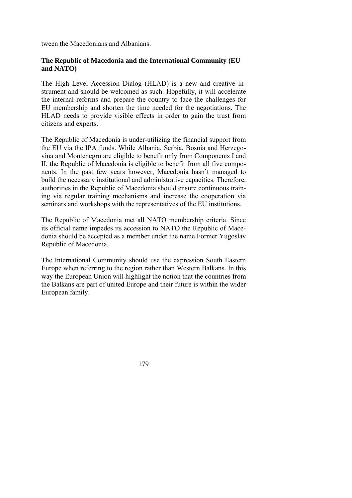tween the Macedonians and Albanians.

## **The Republic of Macedonia and the International Community (EU and NATO)**

The High Level Accession Dialog (HLAD) is a new and creative instrument and should be welcomed as such. Hopefully, it will accelerate the internal reforms and prepare the country to face the challenges for EU membership and shorten the time needed for the negotiations. The HLAD needs to provide visible effects in order to gain the trust from citizens and experts.

The Republic of Macedonia is under-utilizing the financial support from the EU via the IPA funds. While Albania, Serbia, Bosnia and Herzegovina and Montenegro are eligible to benefit only from Components I and II, the Republic of Macedonia is eligible to benefit from all five components. In the past few years however, Macedonia hasn't managed to build the necessary institutional and administrative capacities. Therefore, authorities in the Republic of Macedonia should ensure continuous training via regular training mechanisms and increase the cooperation via seminars and workshops with the representatives of the EU institutions.

The Republic of Macedonia met all NATO membership criteria. Since its official name impedes its accession to NATO the Republic of Macedonia should be accepted as a member under the name Former Yugoslav Republic of Macedonia.

The International Community should use the expression South Eastern Europe when referring to the region rather than Western Balkans. In this way the European Union will highlight the notion that the countries from the Balkans are part of united Europe and their future is within the wider European family.